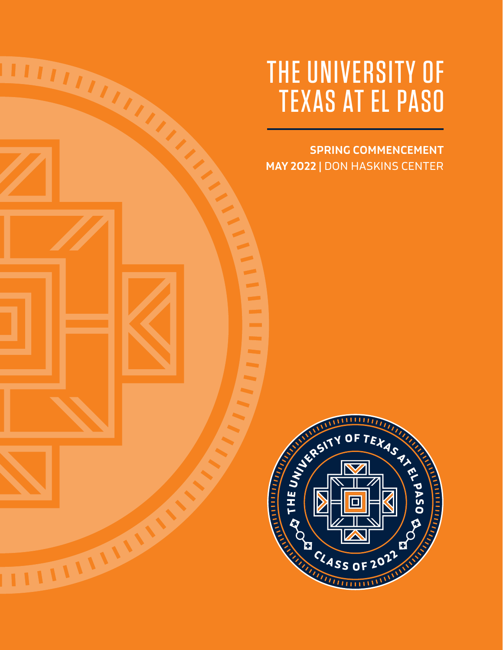# THE UNIVERSITY OF TEXAS AT EL PASO

THEFT

**SPRING COMMENCEMENT MAY 2022 |** DON HASKINS CENTER

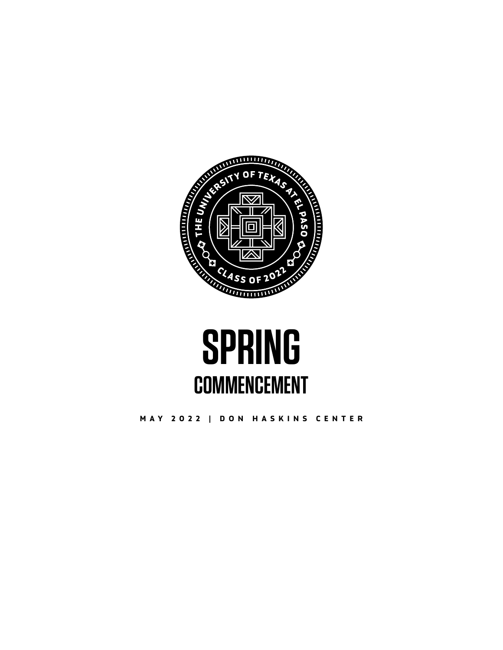

# **COMMENCEMENT**

MAY 2022 | DON HASKINS CENTER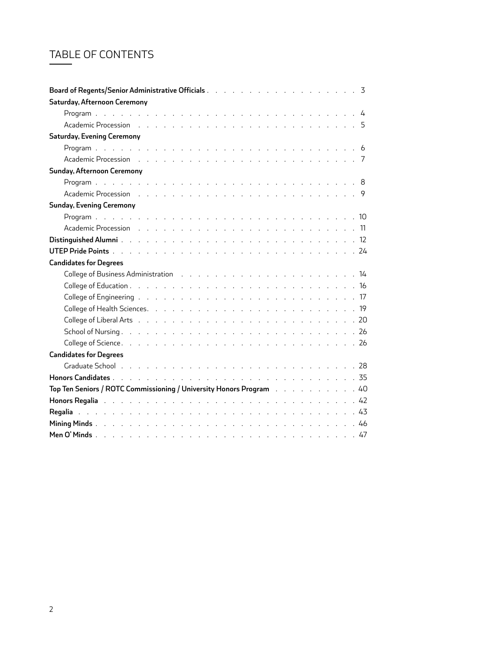# TABLE OF CONTENTS

| Saturday, Afternoon Ceremony                                                                                                                                                                                                   |  |  |
|--------------------------------------------------------------------------------------------------------------------------------------------------------------------------------------------------------------------------------|--|--|
|                                                                                                                                                                                                                                |  |  |
|                                                                                                                                                                                                                                |  |  |
| <b>Saturday, Evening Ceremony</b>                                                                                                                                                                                              |  |  |
|                                                                                                                                                                                                                                |  |  |
| Academic Procession (ed. 2010) and the contract of the contract of the contract of the Catalogue of the Catalogue of the Catalogue of the Catalogue of the Catalogue of the Catalogue of the Catalogue of the Catalogue of the |  |  |
| Sunday, Afternoon Ceremony                                                                                                                                                                                                     |  |  |
|                                                                                                                                                                                                                                |  |  |
|                                                                                                                                                                                                                                |  |  |
| Sunday, Evening Ceremony                                                                                                                                                                                                       |  |  |
|                                                                                                                                                                                                                                |  |  |
| Academic Procession (ed. 2010) and (ed. 2010) and (ed. 2010) and (ed. 2010) and (ed. 2011) and (ed. 2011) and (                                                                                                                |  |  |
| Distinguished Alumni (Charles Later Later Later Later Later Later Later Later Later Later Later Later Later La                                                                                                                 |  |  |
|                                                                                                                                                                                                                                |  |  |
| <b>Candidates for Degrees</b>                                                                                                                                                                                                  |  |  |
| College of Business Administration (Alberta Alberta Alberta Alberta Alberta Alberta Alberta Alberta Alberta Alb                                                                                                                |  |  |
|                                                                                                                                                                                                                                |  |  |
|                                                                                                                                                                                                                                |  |  |
|                                                                                                                                                                                                                                |  |  |
|                                                                                                                                                                                                                                |  |  |
|                                                                                                                                                                                                                                |  |  |
|                                                                                                                                                                                                                                |  |  |
| <b>Candidates for Degrees</b>                                                                                                                                                                                                  |  |  |
|                                                                                                                                                                                                                                |  |  |
|                                                                                                                                                                                                                                |  |  |
| Top Ten Seniors / ROTC Commissioning / University Honors Program Alberts And August 2016                                                                                                                                       |  |  |
|                                                                                                                                                                                                                                |  |  |
|                                                                                                                                                                                                                                |  |  |
|                                                                                                                                                                                                                                |  |  |
|                                                                                                                                                                                                                                |  |  |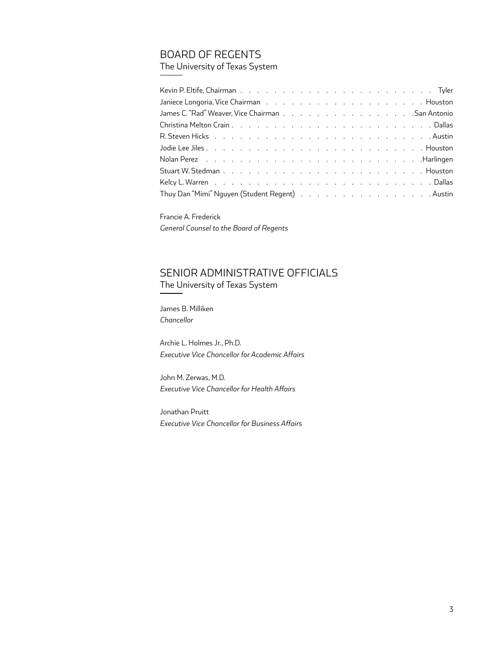# BOARD OF REGENTS

The University of Texas System

| Nolan Perez (Albert Albert Albert Albert Albert Albert Albert Albert Albert Albert Albert Albert Albert Albert |
|----------------------------------------------------------------------------------------------------------------|
|                                                                                                                |
|                                                                                                                |
| Thuy Dan "Mimi" Nguyen (Student Regent) Austin                                                                 |

Francie A. Frederick *General Counsel to the Board of Regents*

# SENIOR ADMINISTRATIVE OFFICIALS The University of Texas System

James B. Milliken *Chancellor*

Archie L. Holmes Jr., Ph.D. *Executive Vice Chancellor for Academic Affairs*

John M. Zerwas, M.D. *Executive Vice Chancellor for Health Affairs*

Jonathan Pruitt *Executive Vice Chancellor for Business Affairs*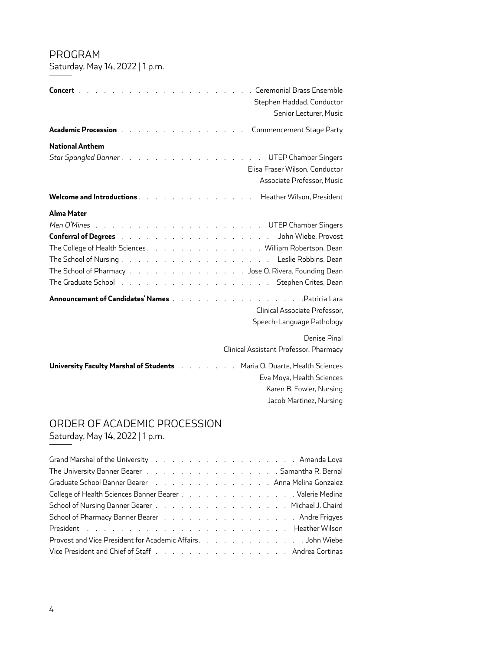# PROGRAM

Saturday, May 14, 2022 | 1 p.m.

| . Ceremonial Brass Ensemble<br>Concert<br>Stephen Haddad, Conductor<br>Senior Lecturer, Music                                                                                                                                                                      |
|--------------------------------------------------------------------------------------------------------------------------------------------------------------------------------------------------------------------------------------------------------------------|
| Academic Procession <b>Academic</b> Procession<br><b>Commencement Stage Party</b>                                                                                                                                                                                  |
| <b>National Anthem</b>                                                                                                                                                                                                                                             |
| Star Spangled Banner.<br><b>UTEP Chamber Singers</b><br>Elisa Fraser Wilson, Conductor<br>Associate Professor, Music                                                                                                                                               |
| Welcome and Introductions<br>. . Heather Wilson, President                                                                                                                                                                                                         |
| <b>Alma Mater</b><br>John Wiebe, Provost<br><b>Conferral of Degrees</b> to a construction of the construction of the <b>Conferral of Degrees</b><br>The College of Health Sciences William Robertson, Dean<br>The School of Pharmacy Jose O. Rivera, Founding Dean |
| The Graduate School (The Case of Contract Contract Contract Contract Contract Contract Contract Contract Contr                                                                                                                                                     |
| Announcement of Candidates' Names Announcement of Candidates' Names Announcement of Candidates' Names Announce<br>Clinical Associate Professor,<br>Speech-Language Pathology                                                                                       |
| Denise Pinal<br>Clinical Assistant Professor, Pharmacy                                                                                                                                                                                                             |
| University Faculty Marshal of Students<br>Maria O. Duarte, Health Sciences<br>Eva Moya, Health Sciences<br>Karen B. Fowler, Nursing<br>Jacob Martinez, Nursing                                                                                                     |

# ORDER OF ACADEMIC PROCESSION

Saturday, May 14, 2022 | 1 p.m.

| The University Banner Bearer Samantha R. Bernal                                                                |  |  |  |  |  |
|----------------------------------------------------------------------------------------------------------------|--|--|--|--|--|
| Graduate School Banner Bearer (Changel and Channel Anna Melina Conzalez                                        |  |  |  |  |  |
| College of Health Sciences Banner Bearer Valerie Medina                                                        |  |  |  |  |  |
| School of Nursing Banner Bearer Michael J. Chaird                                                              |  |  |  |  |  |
| School of Pharmacy Banner Bearer (Collection Contract Library Contract Library Chool of Pharmacy Banner Bearer |  |  |  |  |  |
|                                                                                                                |  |  |  |  |  |
| Provost and Vice President for Academic Affairs. John Wiebe                                                    |  |  |  |  |  |
| Vice President and Chief of Staff Andrea Cortinas                                                              |  |  |  |  |  |
|                                                                                                                |  |  |  |  |  |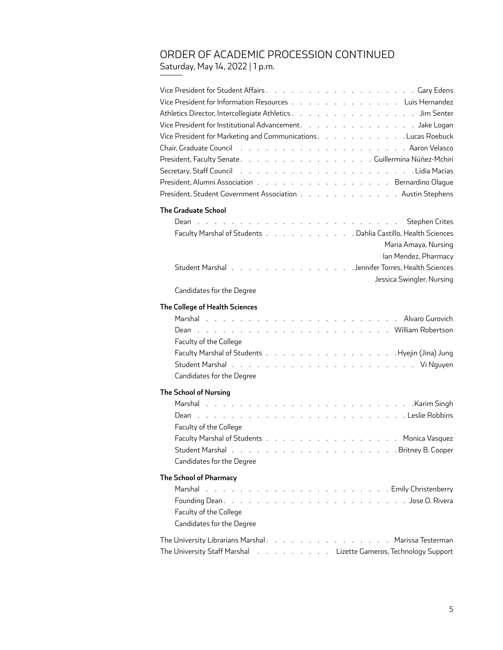# ORDER OF ACADEMIC PROCESSION CONTINUED Saturday, May 14, 2022 | 1 p.m.

| Vice President for Information Resources Luis Hernandez                                                        |
|----------------------------------------------------------------------------------------------------------------|
| Athletics Director, Intercollegiate Athletics Jim Senter                                                       |
| Vice President for Institutional Advancement. Jake Logan                                                       |
| Vice President for Marketing and Communications. Lucas Roebuck                                                 |
| Chair, Graduate Council (Chair Council (Chair Chair Council Chair Council Chair Council Chair Chair Chair Chai |
| President, Faculty Senate. Guillermina Núñez-Mchiri                                                            |
| Secretary, Staff Council (Allenger Marian Allenger Marian Allenger Marian Allenger Marian Allenger Marian Alle |
| President, Alumni Association Bernardino Olaque                                                                |
| President, Student Government Association Austin Stephens                                                      |
| <b>The Graduate School</b>                                                                                     |
| <b>Stephen Crites</b>                                                                                          |
| Faculty Marshal of Students Dahlia Castillo, Health Sciences                                                   |
| Maria Amaya, Nursing                                                                                           |
| lan Mendez, Pharmacy                                                                                           |
| Student Marshal No. No. No. No. No. No. N. N. Nennifer Torres, Health Sciences                                 |
| Jessica Swingler, Nursing                                                                                      |
| Candidates for the Degree                                                                                      |
| The College of Health Sciences                                                                                 |
|                                                                                                                |
|                                                                                                                |
| Faculty of the College                                                                                         |
| Faculty Marshal of Students Hyejin (Jina) Jung                                                                 |
|                                                                                                                |
| Candidates for the Degree                                                                                      |
| <b>The School of Nursing</b>                                                                                   |
|                                                                                                                |
|                                                                                                                |
| Faculty of the College                                                                                         |
| Faculty Marshal of Students Monica Vasquez                                                                     |
|                                                                                                                |
| Candidates for the Degree                                                                                      |
|                                                                                                                |
| <b>The School of Pharmacy</b>                                                                                  |
|                                                                                                                |
|                                                                                                                |
| Faculty of the College                                                                                         |
| Candidates for the Degree                                                                                      |
| The University Librarians Marshal. Marissa Testerman                                                           |
| The University Staff Marshal No. All Alles No. Aller Lizette Gameros, Technology Support                       |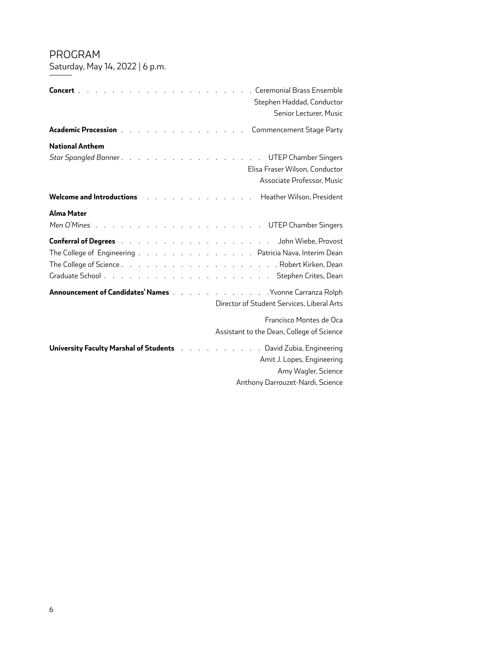# PROGRAM

Saturday, May 14, 2022 | 6 p.m.

| . Ceremonial Brass Ensemble<br>Concert<br>the contract of the contract of the contract of the contract of the contract of the contract of the contract of<br>Stephen Haddad, Conductor<br>Senior Lecturer, Music |
|------------------------------------------------------------------------------------------------------------------------------------------------------------------------------------------------------------------|
| Academic Procession<br>Commencement Stage Party                                                                                                                                                                  |
| <b>National Anthem</b>                                                                                                                                                                                           |
| Star Spangled Banner.<br><b>UTEP Chamber Singers</b><br>Elisa Fraser Wilson, Conductor<br>Associate Professor, Music                                                                                             |
| Welcome and Introductions with the state of the state of the state of the state of the state of the state of t<br>Heather Wilson, President                                                                      |
| <b>Alma Mater</b>                                                                                                                                                                                                |
| The College of Engineering Patricia Nava, Interim Dean                                                                                                                                                           |
| Announcement of Candidates' Names Yvonne Carranza Rolph<br>Director of Student Services, Liberal Arts                                                                                                            |
| Francisco Montes de Oca<br>Assistant to the Dean, College of Science                                                                                                                                             |
| University Faculty Marshal of Students .<br>. David Zubia, Engineering<br>Amit J. Lopes, Engineering<br>Amy Wagler, Science<br>Anthony Darrouzet-Nardi, Science                                                  |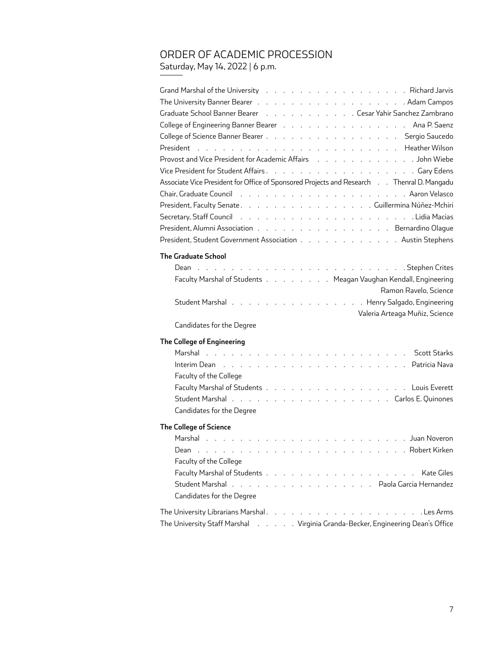# ORDER OF ACADEMIC PROCESSION

Saturday, May 14, 2022 | 6 p.m.

| Grand Marshal of the University (Theory of Alleman Arrow of Alleman Arrow of Alleman Arrow of Grand Jarvis                                        |
|---------------------------------------------------------------------------------------------------------------------------------------------------|
| The University Banner Bearer (Contact of Contact of Contact of Contact of Composition Campos                                                      |
| Graduate School Banner Bearer (Fig. 1991) and School Cesar Yahir Sanchez Zambrano                                                                 |
| College of Engineering Banner Bearer No. A. A. A. A. A. Ana P. Saenz                                                                              |
|                                                                                                                                                   |
|                                                                                                                                                   |
| Provost and Vice President for Academic Affairs (engineerage engineerage engineerage of the Viebe                                                 |
|                                                                                                                                                   |
| Associate Vice President for Office of Sponsored Projects and Research Thenral D. Mangadu                                                         |
| Chair, Graduate Council (Chairman Annumento Annumento Annumento Annumento Annumento Annumento Annumento Annume                                    |
| President, Faculty Senate. Guillermina Núñez-Mchiri                                                                                               |
|                                                                                                                                                   |
| President, Alumni Association Bernardino Olaque                                                                                                   |
| President, Student Government Association Austin Stephens                                                                                         |
| <b>The Graduate School</b>                                                                                                                        |
|                                                                                                                                                   |
| Faculty Marshal of Students Meagan Vaughan Kendall, Engineering                                                                                   |
| Ramon Ravelo, Science                                                                                                                             |
| Student Marshal Henry Salgado, Engineering                                                                                                        |
|                                                                                                                                                   |
|                                                                                                                                                   |
| Valeria Arteaga Muñiz, Science                                                                                                                    |
| Candidates for the Degree                                                                                                                         |
| The College of Engineering                                                                                                                        |
| <b>Scott Starks</b>                                                                                                                               |
| Interim Dean (ed. 2010) and the control of the control of the control of the control of the Control of Theorem                                    |
| Faculty of the College                                                                                                                            |
| Faculty Marshal of Students Louis Everett                                                                                                         |
|                                                                                                                                                   |
| Candidates for the Degree                                                                                                                         |
| <b>The College of Science</b>                                                                                                                     |
| Marshal<br>. Juan Noveron                                                                                                                         |
| Dean                                                                                                                                              |
| <u> 2008 : Alexandr Scholars Scholars Scholars Scholars Scholars Scholars Scholars Scholars Scholars Scholars Schol</u><br>Faculty of the College |
| Kate Giles                                                                                                                                        |
| Student Marshal (Ed. Leoning Leoning Leoning Leoning Leoning Leoning Leoning Leoning Leoning Leoning Leoning L                                    |
| Candidates for the Degree                                                                                                                         |
|                                                                                                                                                   |
| The University Staff Marshal (Changletic Annus Virginia Granda-Becker, Engineering Dean's Office                                                  |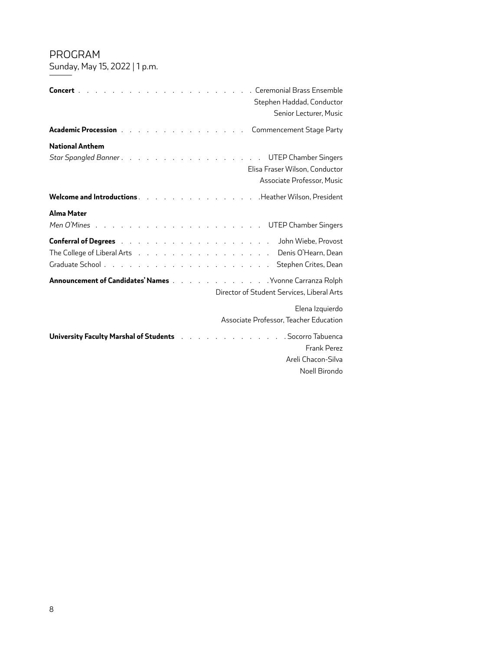# PROGRAM

Sunday, May 15, 2022 | 1 p.m.

| Stephen Haddad, Conductor<br>Senior Lecturer, Music                                                                                            |
|------------------------------------------------------------------------------------------------------------------------------------------------|
| Academic Procession<br>Commencement Stage Party                                                                                                |
| <b>National Anthem</b><br><b>UTEP Chamber Singers</b><br>Star Spangled Banner.<br>Elisa Fraser Wilson, Conductor<br>Associate Professor, Music |
| Welcome and Introductions. Heather Wilson, President                                                                                           |
| <b>Alma Mater</b>                                                                                                                              |
| The College of Liberal Arts Denis O'Hearn, Dean<br>Stephen Crites, Dean                                                                        |
| <b>Announcement of Candidates' Names</b> Yvonne Carranza Rolph<br>Director of Student Services, Liberal Arts                                   |
| Elena Izquierdo<br>Associate Professor, Teacher Education                                                                                      |
| <b>University Faculty Marshal of Students</b> the substitution of the secorro Tabuenca<br>Frank Perez<br>Areli Chacon-Silva<br>Noell Birondo   |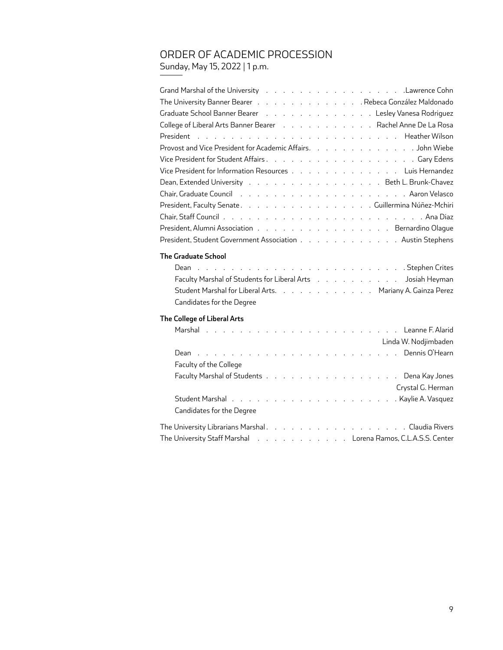# ORDER OF ACADEMIC PROCESSION Sunday, May 15, 2022 | 1 p.m.

| Grand Marshal of the University (Ed. Louis Lawson, Lawrence Cohn                                                  |
|-------------------------------------------------------------------------------------------------------------------|
| The University Banner Bearer (Collection Controller Controller Maldonado                                          |
| Graduate School Banner Bearer (Changel Alley Landeley and Lesley Vanesa Rodriguez                                 |
| College of Liberal Arts Banner Bearer (Changel Annelle Annelle La Rosa)                                           |
|                                                                                                                   |
| Provost and Vice President for Academic Affairs. (Fig. 1, Fig. 1, Fig. 1, Fig. 1, John Wiebe                      |
|                                                                                                                   |
| Vice President for Information Resources Luis Hernandez                                                           |
| Dean, Extended University Beth L. Brunk-Chavez                                                                    |
| Chair, Graduate Council (Chairman Alexander Alexander Alexander Alexander Alexander Alexander Alexander Alexander |
| President, Faculty Senate. Guillermina Núñez-Mchiri                                                               |
|                                                                                                                   |
| President, Alumni Association Bernardino Olague                                                                   |
| President, Student Government Association Austin Stephens                                                         |
| <b>The Graduate School</b>                                                                                        |
| <b><i>COMPANY SERVING CONTROVERS AND LIMITATION CONTROVERS</i></b><br>Dean                                        |
| Faculty Marshal of Students for Liberal Arts No. A. A. A. A. A. A. Josiah Heyman                                  |
| Student Marshal for Liberal Arts. Mariany A. Gainza Perez                                                         |
| Candidates for the Degree                                                                                         |
| The College of Liberal Arts                                                                                       |
| Leanne F. Alarid                                                                                                  |
| Linda W. Nodjimbaden                                                                                              |
| Dennis O'Hearn                                                                                                    |
| Faculty of the College                                                                                            |
| Faculty Marshal of Students Dena Kay Jones                                                                        |
| Crystal G. Herman                                                                                                 |
|                                                                                                                   |
| Candidates for the Degree                                                                                         |
| The University Librarians Marshal. Claudia Rivers                                                                 |
|                                                                                                                   |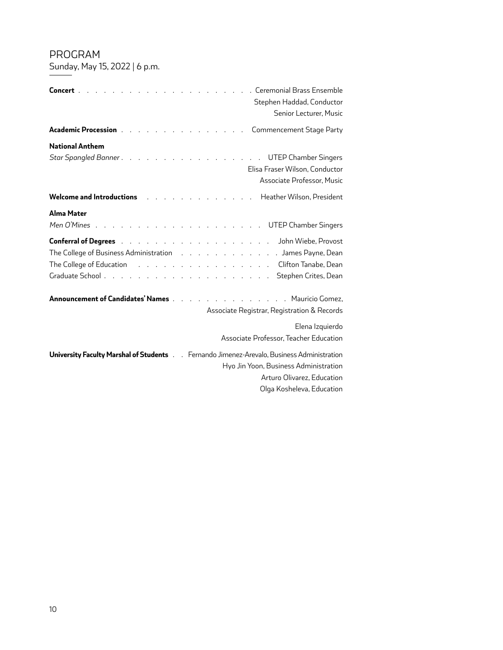# PROGRAM

Sunday, May 15, 2022 | 6 p.m.

| . Ceremonial Brass Ensemble<br>Concert<br>Stephen Haddad, Conductor<br>Senior Lecturer, Music                                                                                                |
|----------------------------------------------------------------------------------------------------------------------------------------------------------------------------------------------|
| Academic Procession<br><b>Commencement Stage Party</b>                                                                                                                                       |
| <b>National Anthem</b>                                                                                                                                                                       |
| Star Spangled Banner.<br><b>UTEP Chamber Singers</b><br>Elisa Fraser Wilson, Conductor<br>Associate Professor, Music                                                                         |
| Welcome and Introductions and a series are a series and introductions and a series of the series of the series<br>Heather Wilson, President                                                  |
| <b>Alma Mater</b>                                                                                                                                                                            |
| <b>Example 2</b> Singers Chamber Singers<br>Men O'Mines                                                                                                                                      |
| John Wiebe, Provost                                                                                                                                                                          |
|                                                                                                                                                                                              |
| The College of Education<br>Clifton Tanabe, Dean                                                                                                                                             |
| Stephen Crites, Dean                                                                                                                                                                         |
| Announcement of Candidates' Names Mauricio Gomez,<br>Associate Registrar, Registration & Records                                                                                             |
| Elena Izquierdo<br>Associate Professor, Teacher Education                                                                                                                                    |
| University Faculty Marshal of Students Fernando Jimenez-Arevalo, Business Administration<br>Hyo Jin Yoon, Business Administration<br>Arturo Olivarez, Education<br>Olga Kosheleva, Education |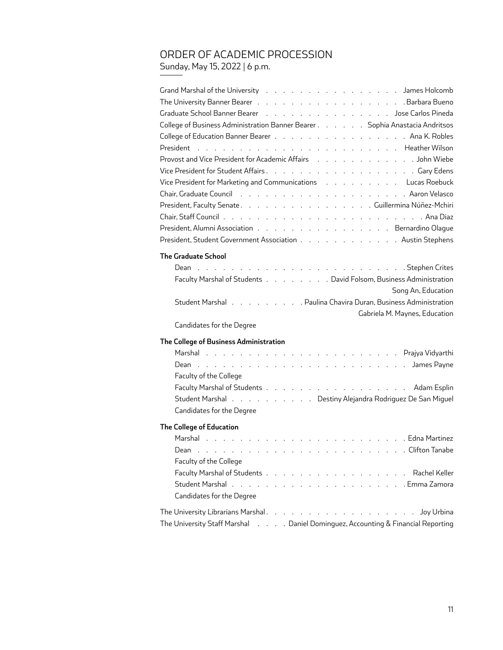# ORDER OF ACADEMIC PROCESSION Sunday, May 15, 2022 | 6 p.m.

| Grand Marshal of the University James Holcomb                                                                                                                                                                                        |
|--------------------------------------------------------------------------------------------------------------------------------------------------------------------------------------------------------------------------------------|
| The University Banner Bearer (Co.C. The Country Countries of the Control of the University Banner Bearer                                                                                                                             |
| Graduate School Banner Bearer (Changel Allen Annument Allen Allen Allen Allen Allen Allen Allen Allen Allen A                                                                                                                        |
| College of Business Administration Banner Bearer Sophia Anastacia Andritsos                                                                                                                                                          |
| College of Education Banner Bearer Ana K. Robles                                                                                                                                                                                     |
| President research research in the control of the control of the control of the control of the control of the control of the control of the control of the control of the control of the control of the control of the control       |
| Provost and Vice President for Academic Affairs (engineerage content of the Viebe                                                                                                                                                    |
|                                                                                                                                                                                                                                      |
| Vice President for Marketing and Communications (encodenciable of the Lucas Roebuck                                                                                                                                                  |
| Chair, Graduate Council (Business Liberty Council (Business Liberty Council Council Council Council Council Co                                                                                                                       |
| President, Faculty Senate. Guillermina Núñez-Mchiri                                                                                                                                                                                  |
|                                                                                                                                                                                                                                      |
| President, Alumni Association Bernardino Olaque                                                                                                                                                                                      |
| President, Student Government Association Austin Stephens                                                                                                                                                                            |
| <b>The Graduate School</b>                                                                                                                                                                                                           |
|                                                                                                                                                                                                                                      |
| Faculty Marshal of Students David Folsom, Business Administration                                                                                                                                                                    |
| Song An, Education                                                                                                                                                                                                                   |
| Student Marshal Paulina Chavira Duran, Business Administration                                                                                                                                                                       |
|                                                                                                                                                                                                                                      |
|                                                                                                                                                                                                                                      |
| Gabriela M. Maynes, Education                                                                                                                                                                                                        |
| Candidates for the Degree                                                                                                                                                                                                            |
| The College of Business Administration                                                                                                                                                                                               |
|                                                                                                                                                                                                                                      |
|                                                                                                                                                                                                                                      |
| Faculty of the College                                                                                                                                                                                                               |
| Faculty Marshal of Students Adam Esplin                                                                                                                                                                                              |
| Student Marshal November 1995 November 2014 November 2014 November 2015 November 2016                                                                                                                                                |
| Candidates for the Degree                                                                                                                                                                                                            |
|                                                                                                                                                                                                                                      |
| The College of Education                                                                                                                                                                                                             |
| Dean                                                                                                                                                                                                                                 |
| <u> 10 million - 10 million - 10 million - 10 million - 10 million - 10 million - 10 million - 10 million - 10 million - 10 million - 10 million - 10 million - 10 million - 10 million - 10 million - 10 million - 10 million -</u> |
| Faculty of the College                                                                                                                                                                                                               |
| Faculty Marshal of Students Rachel Keller                                                                                                                                                                                            |
| Student Marshal (Burnett Libert Alexander Alexander Alexander Alexander Alexander Alexander Alexander Alexander<br>Candidates for the Degree                                                                                         |
|                                                                                                                                                                                                                                      |
| The University Staff Marshal (Fig. 2014). Daniel Dominguez, Accounting & Financial Reporting                                                                                                                                         |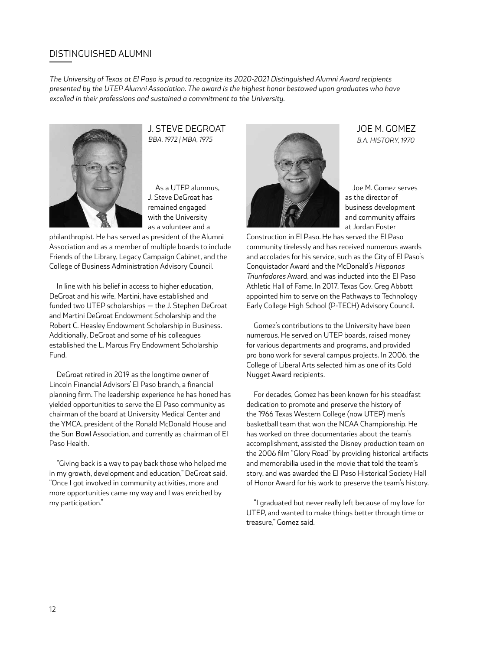#### DISTINGUISHED ALUMNI

*The University of Texas at El Paso is proud to recognize its 2020-2021 Distinguished Alumni Award recipients presented by the UTEP Alumni Association. The award is the highest honor bestowed upon graduates who have excelled in their professions and sustained a commitment to the University.* 



J. STEVE DEGROAT *BBA, 1972 | MBA, 1975*

As a UTEP alumnus, J. Steve DeGroat has remained engaged with the University as a volunteer and a

philanthropist. He has served as president of the Alumni Association and as a member of multiple boards to include Friends of the Library, Legacy Campaign Cabinet, and the College of Business Administration Advisory Council.

In line with his belief in access to higher education, DeGroat and his wife, Martini, have established and funded two UTEP scholarships — the J. Stephen DeGroat and Martini DeGroat Endowment Scholarship and the Robert C. Heasley Endowment Scholarship in Business. Additionally, DeGroat and some of his colleagues established the L. Marcus Fry Endowment Scholarship Fund.

DeGroat retired in 2019 as the longtime owner of Lincoln Financial Advisors' El Paso branch, a financial planning firm. The leadership experience he has honed has yielded opportunities to serve the El Paso community as chairman of the board at University Medical Center and the YMCA, president of the Ronald McDonald House and the Sun Bowl Association, and currently as chairman of El Paso Health.

"Giving back is a way to pay back those who helped me in my growth, development and education," DeGroat said. "Once I got involved in community activities, more and more opportunities came my way and I was enriched by my participation."



JOE M. GOMEZ *B.A. HISTORY, 1970*

Joe M. Gomez serves as the director of business development and community affairs at Jordan Foster

Construction in El Paso. He has served the El Paso community tirelessly and has received numerous awards and accolades for his service, such as the City of El Paso's Conquistador Award and the McDonald's *Hispanos Triunfadores* Award, and was inducted into the El Paso Athletic Hall of Fame. In 2017, Texas Gov. Greg Abbott appointed him to serve on the Pathways to Technology Early College High School (P-TECH) Advisory Council.

Gomez's contributions to the University have been numerous. He served on UTEP boards, raised money for various departments and programs, and provided pro bono work for several campus projects. In 2006, the College of Liberal Arts selected him as one of its Gold Nugget Award recipients.

For decades, Gomez has been known for his steadfast dedication to promote and preserve the history of the 1966 Texas Western College (now UTEP) men's basketball team that won the NCAA Championship. He has worked on three documentaries about the team's accomplishment, assisted the Disney production team on the 2006 film "Glory Road" by providing historical artifacts and memorabilia used in the movie that told the team's story, and was awarded the El Paso Historical Society Hall of Honor Award for his work to preserve the team's history.

"I graduated but never really left because of my love for UTEP, and wanted to make things better through time or treasure," Gomez said.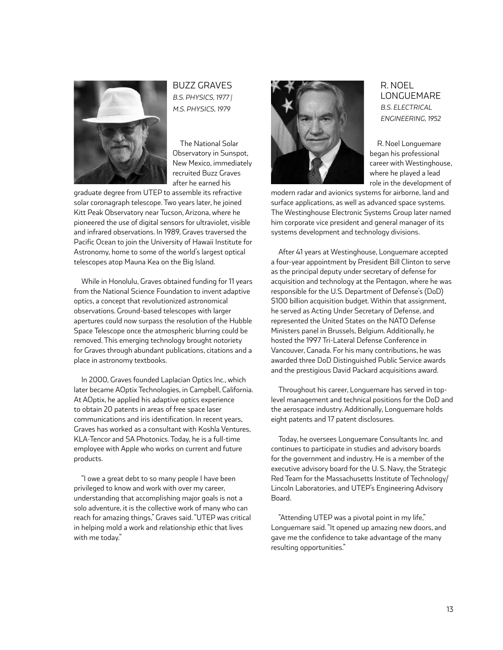

BUZZ GRAVES *B.S. PHYSICS, 1977 | M.S. PHYSICS, 1979*

The National Solar Observatory in Sunspot, New Mexico, immediately recruited Buzz Graves after he earned his

graduate degree from UTEP to assemble its refractive solar coronagraph telescope. Two years later, he joined Kitt Peak Observatory near Tucson, Arizona, where he pioneered the use of digital sensors for ultraviolet, visible and infrared observations. In 1989, Graves traversed the Pacific Ocean to join the University of Hawaii Institute for Astronomy, home to some of the world's largest optical telescopes atop Mauna Kea on the Big Island.

While in Honolulu, Graves obtained funding for 11 years from the National Science Foundation to invent adaptive optics, a concept that revolutionized astronomical observations. Ground-based telescopes with larger apertures could now surpass the resolution of the Hubble Space Telescope once the atmospheric blurring could be removed. This emerging technology brought notoriety for Graves through abundant publications, citations and a place in astronomy textbooks.

In 2000, Graves founded Laplacian Optics Inc., which later became AOptix Technologies, in Campbell, California. At AOptix, he applied his adaptive optics experience to obtain 20 patents in areas of free space laser communications and iris identification. In recent years, Graves has worked as a consultant with Koshla Ventures, KLA-Tencor and SA Photonics. Today, he is a full-time employee with Apple who works on current and future products.

"I owe a great debt to so many people I have been privileged to know and work with over my career, understanding that accomplishing major goals is not a solo adventure, it is the collective work of many who can reach for amazing things," Graves said. "UTEP was critical in helping mold a work and relationship ethic that lives with me today."



R. NOEL LONGUEMARE *B.S. ELECTRICAL ENGINEERING, 1952*

R. Noel Longuemare began his professional career with Westinghouse, where he played a lead role in the development of

modern radar and avionics systems for airborne, land and surface applications, as well as advanced space systems. The Westinghouse Electronic Systems Group later named him corporate vice president and general manager of its systems development and technology divisions.

After 41 years at Westinghouse, Longuemare accepted a four-year appointment by President Bill Clinton to serve as the principal deputy under secretary of defense for acquisition and technology at the Pentagon, where he was responsible for the U.S. Department of Defense's (DoD) \$100 billion acquisition budget. Within that assignment, he served as Acting Under Secretary of Defense, and represented the United States on the NATO Defense Ministers panel in Brussels, Belgium. Additionally, he hosted the 1997 Tri-Lateral Defense Conference in Vancouver, Canada. For his many contributions, he was awarded three DoD Distinguished Public Service awards and the prestigious David Packard acquisitions award.

Throughout his career, Longuemare has served in toplevel management and technical positions for the DoD and the aerospace industry. Additionally, Longuemare holds eight patents and 17 patent disclosures.

Today, he oversees Longuemare Consultants Inc. and continues to participate in studies and advisory boards for the government and industry. He is a member of the executive advisory board for the U. S. Navy, the Strategic Red Team for the Massachusetts Institute of Technology/ Lincoln Laboratories, and UTEP's Engineering Advisory Board.

"Attending UTEP was a pivotal point in my life," Longuemare said. "It opened up amazing new doors, and gave me the confidence to take advantage of the many resulting opportunities."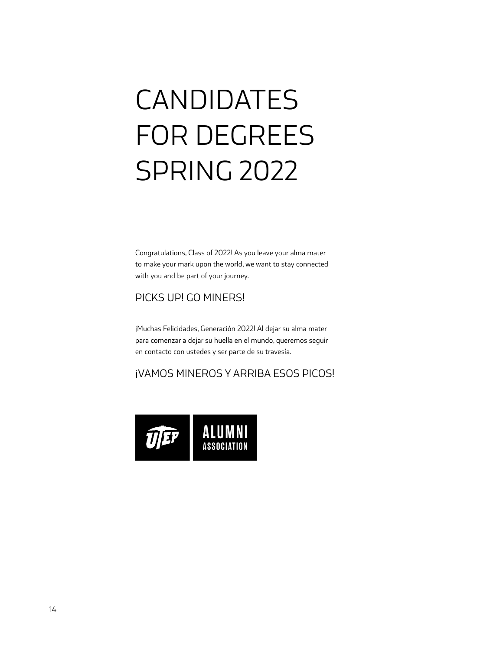# CANDIDATES FOR DEGREES SPRING 2022

Congratulations, Class of 2022! As you leave your alma mater to make your mark upon the world, we want to stay connected with you and be part of your journey.

# PICKS UP! GO MINERS!

¡Muchas Felicidades, Generación 2022! Al dejar su alma mater para comenzar a dejar su huella en el mundo, queremos seguir en contacto con ustedes y ser parte de su travesía.

# ¡VAMOS MINEROS Y ARRIBA ESOS PICOS!

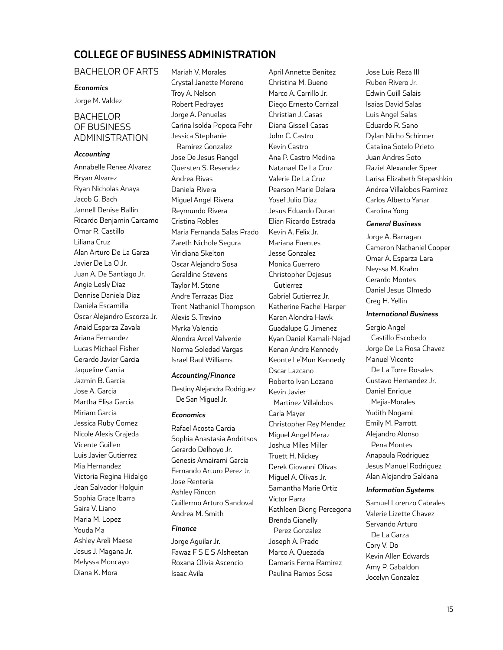# **COLLEGE OF BUSINESS ADMINISTRATION**

#### BACHELOR OF ARTS

#### *Economics*

Jorge M. Valdez

#### BACHELOR OF BUSINESS ADMINISTRATION

#### *Accounting*

Annabelle Renee Alvarez Bryan Alvarez Ryan Nicholas Anaya Jacob G. Bach Jannell Denise Ballin Ricardo Benjamin Carcamo Omar R. Castillo Liliana Cruz Alan Arturo De La Garza Javier De La O Jr. Juan A. De Santiago Jr. Angie Lesly Diaz Dennise Daniela Diaz Daniela Escamilla Oscar Alejandro Escorza Jr. Anaid Esparza Zavala Ariana Fernandez Lucas Michael Fisher Gerardo Javier Garcia Jaqueline Garcia Jazmin B. Garcia Jose A. Garcia Martha Elisa Garcia Miriam Garcia Jessica Ruby Gomez Nicole Alexis Grajeda Vicente Guillen Luis Javier Gutierrez Mia Hernandez Victoria Regina Hidalgo Jean Salvador Holguin Sophia Grace Ibarra Saira V. Liano Maria M. Lopez Youda Ma Ashley Areli Maese Jesus J. Magana Jr. Melyssa Moncayo Diana K. Mora

Mariah V. Morales Crystal Janette Moreno Troy A. Nelson Robert Pedrayes Jorge A. Penuelas Carina Isolda Popoca Fehr Jessica Stephanie Ramirez Gonzalez Jose De Jesus Rangel Quersten S. Resendez Andrea Rivas Daniela Rivera Miguel Angel Rivera Reymundo Rivera Cristina Robles Maria Fernanda Salas Prado Zareth Nichole Segura Viridiana Skelton Oscar Alejandro Sosa Geraldine Stevens Taylor M. Stone Andre Terrazas Diaz Trent Nathaniel Thompson Alexis S. Trevino Myrka Valencia Alondra Arcel Valverde Norma Soledad Vargas Israel Raul Williams

#### *Accounting/Finance*

Destiny Alejandra Rodriguez De San Miguel Jr.

#### *Economics*

Rafael Acosta Garcia Sophia Anastasia Andritsos Gerardo Delhoyo Jr. Genesis Amairami Garcia Fernando Arturo Perez Jr. Jose Renteria Ashley Rincon Guillermo Arturo Sandoval Andrea M. Smith

#### *Finance*

Jorge Aguilar Jr. Fawaz F S E S Alsheetan Roxana Olivia Ascencio Isaac Avila

April Annette Benitez Christina M. Bueno Marco A. Carrillo Jr. Diego Ernesto Carrizal Christian J. Casas Diana Gissell Casas John C. Castro Kevin Castro Ana P. Castro Medina Natanael De La Cruz Valerie De La Cruz Pearson Marie Delara Yosef Julio Diaz Jesus Eduardo Duran Elian Ricardo Estrada Kevin A. Felix Jr. Mariana Fuentes Jesse Gonzalez Monica Guerrero Christopher Dejesus **Gutierrez** Gabriel Gutierrez Jr. Katherine Rachel Harper Karen Alondra Hawk Guadalupe G. Jimenez Kyan Daniel Kamali-Nejad Kenan Andre Kennedy Keonte Le'Mun Kennedy Oscar Lazcano Roberto Ivan Lozano Kevin Javier Martinez Villalobos Carla Mayer Christopher Rey Mendez Miguel Angel Meraz Joshua Miles Miller Truett H. Nickey Derek Giovanni Olivas Miguel A. Olivas Jr. Samantha Marie Ortiz Victor Parra Kathleen Biong Percegona Brenda Gianelly Perez Gonzalez Joseph A. Prado Marco A. Quezada Damaris Ferna Ramirez Paulina Ramos Sosa

Jose Luis Reza III Ruben Rivero Jr. Edwin Guill Salais Isaias David Salas Luis Angel Salas Eduardo R. Sano Dylan Nicho Schirmer Catalina Sotelo Prieto Juan Andres Soto Raziel Alexander Speer Larisa Elizabeth Stepashkin Andrea Villalobos Ramirez Carlos Alberto Yanar Carolina Yong

#### *General Business*

Jorge A. Barragan Cameron Nathaniel Cooper Omar A. Esparza Lara Neyssa M. Krahn Gerardo Montes Daniel Jesus Olmedo Greg H. Yellin

#### *International Business*

Sergio Angel Castillo Escobedo Jorge De La Rosa Chavez Manuel Vicente De La Torre Rosales Gustavo Hernandez Jr. Daniel Enrique Mejia-Morales Yudith Nogami Emily M. Parrott Alejandro Alonso Pena Montes Anapaula Rodriguez Jesus Manuel Rodriguez Alan Alejandro Saldana

#### *Information Systems*

Samuel Lorenzo Cabrales Valerie Lizette Chavez Servando Arturo De La Garza Cory V. Do Kevin Allen Edwards Amy P. Gabaldon Jocelyn Gonzalez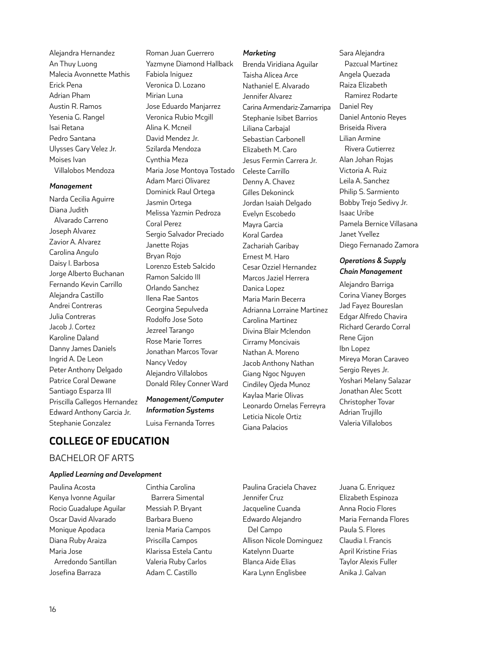Alejandra Hernandez An Thuy Luong Malecia Avonnette Mathis Erick Pena Adrian Pham Austin R. Ramos Yesenia G. Rangel Isai Retana Pedro Santana Ulysses Gary Velez Jr. Moises Ivan Villalobos Mendoza

#### *Management*

Narda Cecilia Aguirre Diana Judith Alvarado Carreno Joseph Alvarez Zavior A. Alvarez Carolina Angulo Daisy I. Barbosa Jorge Alberto Buchanan Fernando Kevin Carrillo Alejandra Castillo Andrei Contreras Julia Contreras Jacob J. Cortez Karoline Daland Danny James Daniels Ingrid A. De Leon Peter Anthony Delgado Patrice Coral Dewane Santiago Esparza III Priscilla Gallegos Hernandez Edward Anthony Garcia Jr. Stephanie Gonzalez

Roman Juan Guerrero Yazmyne Diamond Hallback Fabiola Iniguez Veronica D. Lozano Mirian Luna Jose Eduardo Manjarrez Veronica Rubio Mcgill Alina K. Mcneil David Mendez Jr. Szilarda Mendoza Cynthia Meza Maria Jose Montoya Tostado Adam Marci Olivarez Dominick Raul Ortega Jasmin Ortega Melissa Yazmin Pedroza Coral Perez Sergio Salvador Preciado Janette Rojas Bryan Rojo Lorenzo Esteb Salcido Ramon Salcido III Orlando Sanchez Ilena Rae Santos Georgina Sepulveda Rodolfo Jose Soto Jezreel Tarango Rose Marie Torres Jonathan Marcos Tovar Nancy Vedoy Alejandro Villalobos Donald Riley Conner Ward

*Management/Computer Information Systems* Luisa Fernanda Torres

#### *Marketing*

Brenda Viridiana Aguilar Taisha Alicea Arce Nathaniel E. Alvarado Jennifer Alvarez Carina Armendariz-Zamarripa Stephanie Isibet Barrios Liliana Carbajal Sebastian Carbonell Elizabeth M. Caro Jesus Fermin Carrera Jr. Celeste Carrillo Denny A. Chavez Gilles Dekoninck Jordan Isaiah Delgado Evelyn Escobedo Mayra Garcia Koral Gardea Zachariah Garibay Ernest M. Haro Cesar Ozziel Hernandez Marcos Jaziel Herrera Danica Lopez Maria Marin Becerra Adrianna Lorraine Martinez Carolina Martinez Divina Blair Mclendon Cirramy Moncivais Nathan A. Moreno Jacob Anthony Nathan Giang Ngoc Nguyen Cindiley Ojeda Munoz Kaylaa Marie Olivas Leonardo Ornelas Ferreyra Leticia Nicole Ortiz Giana Palacios

Sara Alejandra Pazcual Martinez Angela Quezada Raiza Elizabeth Ramirez Rodarte Daniel Rey Daniel Antonio Reyes Briseida Rivera Lilian Armine Rivera Gutierrez Alan Johan Rojas Victoria A. Ruiz Leila A. Sanchez Philip S. Sarmiento Bobby Trejo Sedivy Jr. Isaac Uribe Pamela Bernice Villasana Janet Yvellez Diego Fernanado Zamora

#### *Operations & Supply Chain Management*

Alejandro Barriga Corina Vianey Borges Jad Fayez Boureslan Edgar Alfredo Chavira Richard Gerardo Corral Rene Gijon Ibn Lopez Mireya Moran Caraveo Sergio Reyes Jr. Yoshari Melany Salazar Jonathan Alec Scott Christopher Tovar Adrian Trujillo Valeria Villalobos

# **COLLEGE OF EDUCATION**

#### BACHELOR OF ARTS

#### *Applied Learning and Development*

Paulina Acosta Kenya Ivonne Aguilar Rocio Guadalupe Aguilar Oscar David Alvarado Monique Apodaca Diana Ruby Araiza Maria Jose Arredondo Santillan Josefina Barraza

Cinthia Carolina Barrera Simental Messiah P. Bryant Barbara Bueno Izenia Maria Campos Priscilla Campos Klarissa Estela Cantu Valeria Ruby Carlos Adam C. Castillo

Paulina Graciela Chavez Jennifer Cruz Jacqueline Cuanda Edwardo Alejandro Del Campo Allison Nicole Dominguez Katelynn Duarte Blanca Aide Elias Kara Lynn Englisbee

Juana G. Enriquez Elizabeth Espinoza Anna Rocio Flores Maria Fernanda Flores Paula S. Flores Claudia I. Francis April Kristine Frias Taylor Alexis Fuller Anika J. Galvan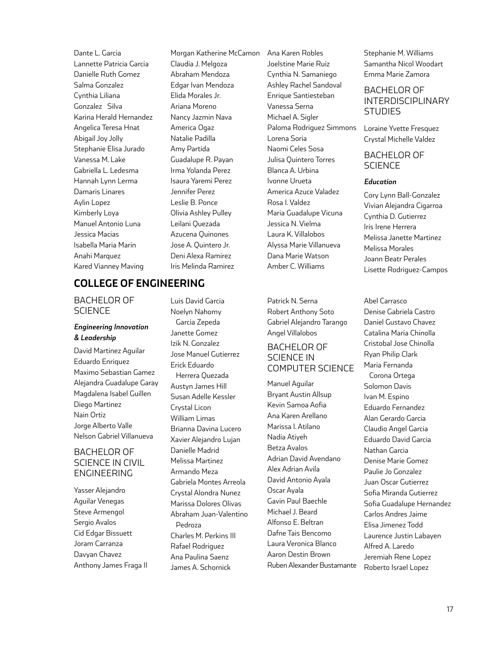Dante L. Garcia Lannette Patricia Garcia Danielle Ruth Gomez Salma Gonzalez Cynthia Liliana Gonzalez Silva Karina Herald Hernandez Angelica Teresa Hnat Abigail Joy Jolly Stephanie Elisa Jurado Vanessa M. Lake Gabriella L. Ledesma Hannah Lynn Lerma Damaris Linares Aylin Lopez Kimberly Loya Manuel Antonio Luna Jessica Macias Isabella Maria Marin Anahi Marquez Kared Vianney Maving

Morgan Katherine McCamon Claudia J. Melgoza Abraham Mendoza Edgar Ivan Mendoza Elida Morales Jr. Ariana Moreno Nancy Jazmin Nava America Ogaz Natalie Padilla Amy Partida Guadalupe R. Payan Irma Yolanda Perez Isaura Yaremi Perez Jennifer Perez Leslie B. Ponce Olivia Ashley Pulley Leilani Quezada Azucena Quinones Jose A. Quintero Jr. Deni Alexa Ramirez Iris Melinda Ramirez

# **COLLEGE OF ENGINEERING**

#### BACHELOR OF **SCIENCE**

#### *Engineering Innovation & Leadership*

David Martinez Aguilar Eduardo Enriquez Maximo Sebastian Gamez Alejandra Guadalupe Garay Magdalena Isabel Guillen Diego Martinez Nain Ortiz Jorge Alberto Valle Nelson Gabriel Villanueva

#### BACHELOR OF SCIENCE IN CIVIL ENGINEERING

Yasser Alejandro Aguilar Venegas Steve Armengol Sergio Avalos Cid Edgar Bissuett Joram Carranza Davyan Chavez Anthony James Fraga II Luis David Garcia Noelyn Nahomy Garcia Zepeda Janette Gomez Izik N. Gonzalez Jose Manuel Gutierrez Erick Eduardo Herrera Quezada Austyn James Hill Susan Adelle Kessler Crystal Licon William Limas Brianna Davina Lucero Xavier Alejandro Lujan Danielle Madrid Melissa Martinez Armando Meza Gabriela Montes Arreola Crystal Alondra Nunez Marissa Dolores Olivas Abraham Juan-Valentino Pedroza Charles M. Perkins III Rafael Rodriguez Ana Paulina Saenz James A. Schornick

Ana Karen Robles Joelstine Marie Ruiz Cynthia N. Samaniego Ashley Rachel Sandoval Enrique Santiesteban Vanessa Serna Michael A. Sigler Paloma Rodriguez Simmons Lorena Soria Naomi Celes Sosa Julisa Quintero Torres Blanca A. Urbina Ivonne Urueta America Azuce Valadez Rosa I. Valdez Maria Guadalupe Vicuna Jessica N. Vielma Laura K. Villalobos Alyssa Marie Villanueva Dana Marie Watson Amber C. Williams

Patrick N. Serna Robert Anthony Soto Gabriel Alejandro Tarango Angel Villalobos

#### BACHELOR OF SCIENCE IN COMPUTER SCIENCE

Manuel Aguilar Bryant Austin Allsup Kevin Samoa Aofia Ana Karen Arellano Marissa I. Atilano Nadia Atiyeh Betza Avalos Adrian David Avendano Alex Adrian Avila David Antonio Ayala Oscar Ayala Gavin Paul Baechle Michael J. Beard Alfonso E. Beltran Dafne Tais Bencomo Laura Veronica Blanco Aaron Destin Brown Ruben Alexander Bustamante Stephanie M. Williams Samantha Nicol Woodart Emma Marie Zamora

#### BACHELOR OF INTERDISCIPLINARY **STUDIES**

Loraine Yvette Fresquez Crystal Michelle Valdez

#### BACHELOR OF **SCIENCE**

#### *Education*

Cory Lynn Ball-Gonzalez Vivian Alejandra Cigarroa Cynthia D. Gutierrez Iris Irene Herrera Melissa Janette Martinez Melissa Morales Joann Beatr Perales Lisette Rodriguez-Campos

Abel Carrasco Denise Gabriela Castro Daniel Gustavo Chavez Catalina Maria Chinolla Cristobal Jose Chinolla Ryan Philip Clark Maria Fernanda Corona Ortega Solomon Davis Ivan M. Espino Eduardo Fernandez Alan Gerardo Garcia Claudio Angel Garcia Eduardo David Garcia Nathan Garcia Denise Marie Gomez Paulie Jo Gonzalez Juan Oscar Gutierrez Sofia Miranda Gutierrez Sofia Guadalupe Hernandez Carlos Andres Jaime Elisa Jimenez Todd Laurence Justin Labayen Alfred A. Laredo Jeremiah Rene Lopez Roberto Israel Lopez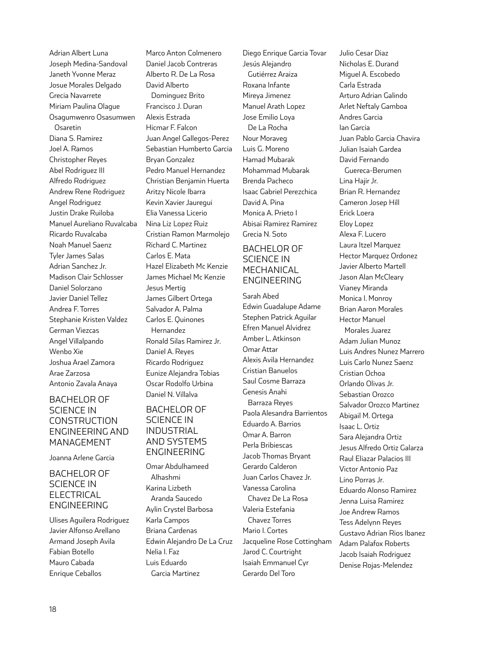Adrian Albert Luna Joseph Medina-Sandoval Janeth Yvonne Meraz Josue Morales Delgado Grecia Navarrete Miriam Paulina Olague Osagumwenro Osasumwen Osaretin Diana S. Ramirez Joel A. Ramos Christopher Reyes Abel Rodriguez III Alfredo Rodriguez Andrew Rene Rodriguez Angel Rodriguez Justin Drake Ruiloba Manuel Aureliano Ruvalcaba Ricardo Ruvalcaba Noah Manuel Saenz Tyler James Salas Adrian Sanchez Jr. Madison Clair Schlosser Daniel Solorzano Javier Daniel Tellez Andrea F. Torres Stephanie Kristen Valdez German Viezcas Angel Villalpando Wenbo Xie Joshua Arael Zamora Arae Zarzosa Antonio Zavala Anaya

#### BACHELOR OF SCIENCE IN **CONSTRUCTION** ENGINEERING AND MANAGEMENT

Joanna Arlene Garcia

#### BACHELOR OF SCIENCE IN ELECTRICAL ENGINEERING

Ulises Aguilera Rodriguez Javier Alfonso Arellano Armand Joseph Avila Fabian Botello Mauro Cabada Enrique Ceballos

Marco Anton Colmenero Daniel Jacob Contreras Alberto R. De La Rosa David Alberto Dominguez Brito Francisco J. Duran Alexis Estrada Hicmar F. Falcon Juan Angel Gallegos-Perez Sebastian Humberto Garcia Bryan Gonzalez Pedro Manuel Hernandez Christian Benjamin Huerta Aritzy Nicole Ibarra Kevin Xavier Jauregui Elia Vanessa Licerio Nina Liz Lopez Ruiz Cristian Ramon Marmolejo Richard C. Martinez Carlos E. Mata Hazel Elizabeth Mc Kenzie James Michael Mc Kenzie Jesus Mertig James Gilbert Ortega Salvador A. Palma Carlos E. Quinones Hernandez Ronald Silas Ramirez Jr. Daniel A. Reyes Ricardo Rodriguez Eunize Alejandra Tobias Oscar Rodolfo Urbina Daniel N. Villalva BACHELOR OF

# SCIENCE IN **INDUSTRIAL** AND SYSTEMS ENGINEERING

Omar Abdulhameed Alhashmi Karina Lizbeth Aranda Saucedo Aylin Crystel Barbosa Karla Campos Briana Cardenas Edwin Alejandro De La Cruz Nelia I. Faz Luis Eduardo Garcia Martinez

Diego Enrique Garcia Tovar Jesús Alejandro Gutiérrez Araiza Roxana Infante

Mireya Jimenez Manuel Arath Lopez Jose Emilio Loya De La Rocha Nour Moraveg

Luis G. Moreno Hamad Mubarak Mohammad Mubarak Brenda Pacheco Isaac Gabriel Perezchica David A. Pina Monica A. Prieto I Abisai Ramirez Ramirez Grecia N. Soto

#### BACHELOR OF SCIENCE IN MECHANICAL ENGINEERING

Sarah Abed Edwin Guadalupe Adame Stephen Patrick Aguilar Efren Manuel Alvidrez Amber L. Atkinson Omar Attar Alexis Avila Hernandez Cristian Banuelos Saul Cosme Barraza Genesis Anahi Barraza Reyes Paola Alesandra Barrientos Eduardo A. Barrios Omar A. Barron Perla Bribiescas Jacob Thomas Bryant Gerardo Calderon Juan Carlos Chavez Jr. Vanessa Carolina Chavez De La Rosa Valeria Estefania Chavez Torres Mario I. Cortes Jacqueline Rose Cottingham Jarod C. Courtright Isaiah Emmanuel Cyr Gerardo Del Toro

Julio Cesar Diaz Nicholas E. Durand Miguel A. Escobedo Carla Estrada Arturo Adrian Galindo Arlet Neftaly Gamboa Andres Garcia Ian Garcia Juan Pablo Garcia Chavira Julian Isaiah Gardea David Fernando Guereca-Berumen Lina Hajir Jr. Brian R. Hernandez Cameron Josep Hill Erick Loera Eloy Lopez Alexa F. Lucero Laura Itzel Marquez Hector Marquez Ordonez Javier Alberto Martell Jason Alan McCleary Vianey Miranda Monica I. Monroy Brian Aaron Morales Hector Manuel Morales Juarez Adam Julian Munoz Luis Andres Nunez Marrero Luis Carlo Nunez Saenz Cristian Ochoa Orlando Olivas Jr. Sebastian Orozco Salvador Orozco Martinez Abigail M. Ortega Isaac L. Ortiz Sara Alejandra Ortiz Jesus Alfredo Ortiz Galarza Raul Eliazar Palacios III Victor Antonio Paz Lino Porras Jr. Eduardo Alonso Ramirez Jenna Luisa Ramirez Joe Andrew Ramos Tess Adelynn Reyes Gustavo Adrian Rios Ibanez Adam Palafox Roberts Jacob Isaiah Rodriguez Denise Rojas-Melendez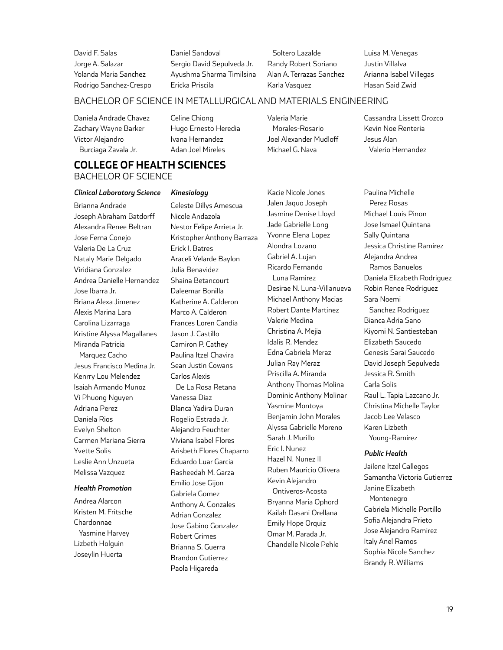David F. Salas Jorge A. Salazar Yolanda Maria Sanchez Rodrigo Sanchez-Crespo Daniel Sandoval Sergio David Sepulveda Jr. Ayushma Sharma Timilsina Ericka Priscila

 Soltero Lazalde Randy Robert Soriano Alan A. Terrazas Sanchez Karla Vasquez

Luisa M. Venegas Justin Villalva Arianna Isabel Villegas Hasan Said Zwid

#### BACHELOR OF SCIENCE IN METALLURGICAL AND MATERIALS ENGINEERING

Daniela Andrade Chavez Zachary Wayne Barker Victor Alejandro Burciaga Zavala Jr.

Celine Chiong Hugo Ernesto Heredia Ivana Hernandez Adan Joel Mireles

Valeria Marie Morales-Rosario Joel Alexander Mudloff Michael G. Nava

Cassandra Lissett Orozco Kevin Noe Renteria Jesus Alan Valerio Hernandez

# **COLLEGE OF HEALTH SCIENCES** BACHELOR OF SCIENCE

#### *Clinical Laboratory Science*

Brianna Andrade Joseph Abraham Batdorff Alexandra Renee Beltran Jose Ferna Conejo Valeria De La Cruz Nataly Marie Delgado Viridiana Gonzalez Andrea Danielle Hernandez Jose Ibarra Jr. Briana Alexa Jimenez Alexis Marina Lara Carolina Lizarraga Kristine Alyssa Magallanes Miranda Patricia Marquez Cacho Jesus Francisco Medina Jr. Kenrry Lou Melendez Isaiah Armando Munoz Vi Phuong Nguyen Adriana Perez Daniela Rios Evelyn Shelton Carmen Mariana Sierra Yvette Solis Leslie Ann Unzueta Melissa Vazquez

#### *Health Promotion*

Andrea Alarcon Kristen M. Fritsche Chardonnae Yasmine Harvey Lizbeth Holguin Joseylin Huerta

#### *Kinesiology*

Celeste Dillys Amescua Nicole Andazola Nestor Felipe Arrieta Jr. Kristopher Anthony Barraza Erick I. Batres Araceli Velarde Baylon Julia Benavidez Shaina Betancourt Daleemar Bonilla Katherine A. Calderon Marco A. Calderon Frances Loren Candia Jason J. Castillo Camiron P. Cathey Paulina Itzel Chavira Sean Justin Cowans Carlos Alexis De La Rosa Retana Vanessa Diaz Blanca Yadira Duran Rogelio Estrada Jr. Alejandro Feuchter Viviana Isabel Flores Arisbeth Flores Chaparro Eduardo Luar Garcia Rasheedah M. Garza Emilio Jose Gijon Gabriela Gomez Anthony A. Gonzales Adrian Gonzalez Jose Gabino Gonzalez Robert Grimes Brianna S. Guerra Brandon Gutierrez Paola Higareda

Kacie Nicole Jones Jalen Jaquo Joseph Jasmine Denise Lloyd Jade Gabrielle Long Yvonne Elena Lopez Alondra Lozano Gabriel A. Lujan Ricardo Fernando Luna Ramirez Desirae N. Luna-Villanueva Michael Anthony Macias Robert Dante Martinez Valerie Medina Christina A. Mejia Idalis R. Mendez Edna Gabriela Meraz Julian Ray Meraz Priscilla A. Miranda Anthony Thomas Molina Dominic Anthony Molinar Yasmine Montoya Benjamin John Morales Alyssa Gabrielle Moreno Sarah J. Murillo Eric I. Nunez Hazel N. Nunez II Ruben Mauricio Olivera Kevin Alejandro Ontiveros-Acosta Bryanna Maria Ophord Kailah Dasani Orellana Emily Hope Orquiz Omar M. Parada Jr. Chandelle Nicole Pehle

Paulina Michelle Perez Rosas Michael Louis Pinon Jose Ismael Quintana Sally Quintana Jessica Christine Ramirez Alejandra Andrea Ramos Banuelos Daniela Elizabeth Rodriguez Robin Renee Rodriguez Sara Noemi Sanchez Rodriguez Bianca Adria Sano Kiyomi N. Santiesteban Elizabeth Saucedo Genesis Sarai Saucedo David Joseph Sepulveda Jessica R. Smith Carla Solis Raul L. Tapia Lazcano Jr. Christina Michelle Taylor Jacob Lee Velasco Karen Lizbeth Young-Ramirez

#### *Public Health*

Jailene Itzel Gallegos Samantha Victoria Gutierrez Janine Elizabeth Montenegro Gabriela Michelle Portillo Sofia Alejandra Prieto Jose Alejandro Ramirez Italy Anel Ramos Sophia Nicole Sanchez Brandy R. Williams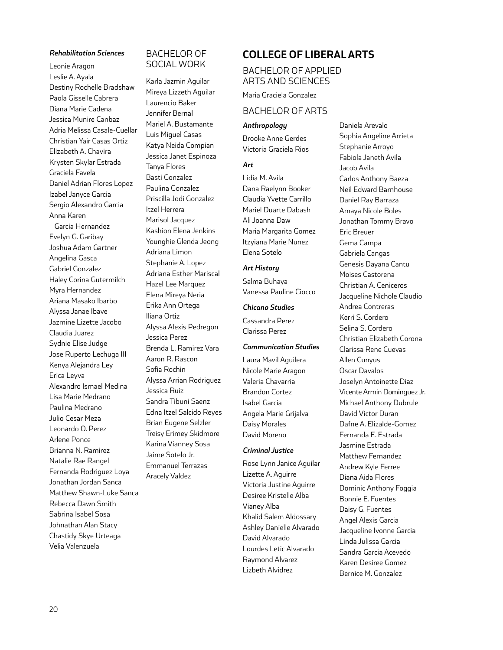#### *Rehabilitation Sciences*

Leonie Aragon Leslie A. Ayala Destiny Rochelle Bradshaw Paola Gisselle Cabrera Diana Marie Cadena Jessica Munire Canbaz Adria Melissa Casale-Cuellar Christian Yair Casas Ortiz Elizabeth A. Chavira Krysten Skylar Estrada Graciela Favela Daniel Adrian Flores Lopez Izabel Janyce Garcia Sergio Alexandro Garcia Anna Karen

 Garcia Hernandez Evelyn G. Garibay Joshua Adam Gartner Angelina Gasca Gabriel Gonzalez Haley Corina Gutermilch Myra Hernandez Ariana Masako Ibarbo Alyssa Janae Ibave Jazmine Lizette Jacobo Claudia Juarez Sydnie Elise Judge Jose Ruperto Lechuga III Kenya Alejandra Ley Erica Leyva Alexandro Ismael Medina Lisa Marie Medrano Paulina Medrano Julio Cesar Meza Leonardo O. Perez Arlene Ponce Brianna N. Ramirez Natalie Rae Rangel Fernanda Rodriguez Loya Jonathan Jordan Sanca Matthew Shawn-Luke Sanca Rebecca Dawn Smith Sabrina Isabel Sosa Johnathan Alan Stacy Chastidy Skye Urteaga Velia Valenzuela

#### BACHELOR OF SOCIAL WORK

Karla Jazmin Aguilar Mireya Lizzeth Aguilar Laurencio Baker Jennifer Bernal Mariel A. Bustamante Luis Miguel Casas Katya Neida Compian Jessica Janet Espinoza Tanya Flores Basti Gonzalez Paulina Gonzalez Priscilla Jodi Gonzalez Itzel Herrera Marisol Jacquez Kashion Elena Jenkins Younghie Glenda Jeong Adriana Limon Stephanie A. Lopez Adriana Esther Mariscal Hazel Lee Marquez Elena Mireya Neria Erika Ann Ortega Iliana Ortiz Alyssa Alexis Pedregon Jessica Perez Brenda L. Ramirez Vara Aaron R. Rascon Sofia Rochin Alyssa Arrian Rodriguez Jessica Ruiz Sandra Tibuni Saenz Edna Itzel Salcido Reyes Brian Eugene Selzler Treisy Erimey Skidmore Karina Vianney Sosa Jaime Sotelo Jr. Emmanuel Terrazas Aracely Valdez

#### BACHELOR OF APPLIED ARTS AND SCIENCES

Maria Graciela Gonzalez

#### BACHELOR OF ARTS

#### *Anthropology*

Brooke Anne Gerdes Victoria Graciela Rios

#### *Art*

Lidia M. Avila Dana Raelynn Booker Claudia Yvette Carrillo Mariel Duarte Dabash Ali Joanna Daw Maria Margarita Gomez Itzyiana Marie Nunez Elena Sotelo

#### *Art History*

Salma Buhaya Vanessa Pauline Ciocco

#### *Chicano Studies*

Cassandra Perez Clarissa Perez

#### *Communication Studies*

Laura Mavil Aguilera Nicole Marie Aragon Valeria Chavarria Brandon Cortez Isabel Garcia Angela Marie Grijalva Daisy Morales David Moreno

#### *Criminal Justice*

Rose Lynn Janice Aguilar Lizette A. Aguirre Victoria Justine Aguirre Desiree Kristelle Alba Vianey Alba Khalid Salem Aldossary Ashley Danielle Alvarado David Alvarado Lourdes Letic Alvarado Raymond Alvarez Lizbeth Alvidrez

Daniela Arevalo Sophia Angeline Arrieta Stephanie Arroyo Fabiola Janeth Avila Jacob Avila Carlos Anthony Baeza Neil Edward Barnhouse Daniel Ray Barraza Amaya Nicole Boles Jonathan Tommy Bravo Eric Breuer Gema Campa Gabriela Cangas Genesis Dayana Cantu Moises Castorena Christian A. Ceniceros Jacqueline Nichole Claudio Andrea Contreras Kerri S. Cordero Selina S. Cordero Christian Elizabeth Corona Clarissa Rene Cuevas Allen Cunyus Oscar Davalos Joselyn Antoinette Diaz Vicente Armin Dominguez Jr. Michael Anthony Dubrule David Victor Duran Dafne A. Elizalde-Gomez Fernanda E. Estrada Jasmine Estrada Matthew Fernandez Andrew Kyle Ferree Diana Aida Flores Dominic Anthony Foggia Bonnie E. Fuentes Daisy G. Fuentes Angel Alexis Garcia Jacqueline Ivonne Garcia Linda Julissa Garcia Sandra Garcia Acevedo Karen Desiree Gomez Bernice M. Gonzalez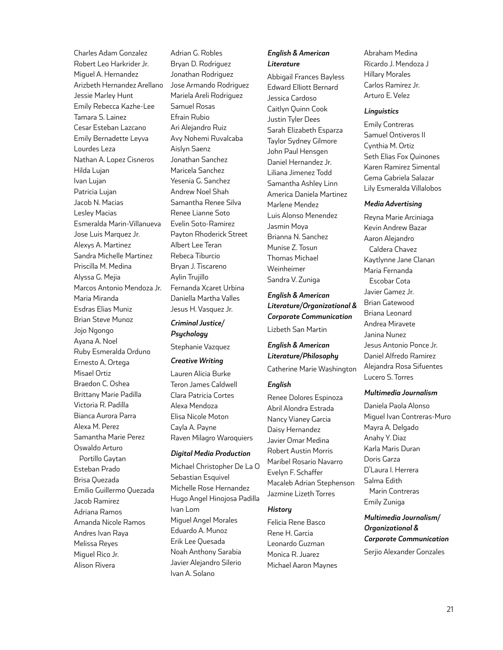Charles Adam Gonzalez Robert Leo Harkrider Jr. Miguel A. Hernandez Arizbeth Hernandez Arellano Jessie Marley Hunt Emily Rebecca Kazhe-Lee Tamara S. Lainez Cesar Esteban Lazcano Emily Bernadette Leyva Lourdes Leza Nathan A. Lopez Cisneros Hilda Lujan Ivan Lujan Patricia Lujan Jacob N. Macias Lesley Macias Esmeralda Marin-Villanueva Jose Luis Marquez Jr. Alexys A. Martinez Sandra Michelle Martinez Priscilla M. Medina Alyssa G. Mejia Marcos Antonio Mendoza Jr. Maria Miranda Esdras Elias Muniz Brian Steve Munoz Jojo Ngongo Ayana A. Noel Ruby Esmeralda Orduno Ernesto A. Ortega Misael Ortiz Braedon C. Oshea Brittany Marie Padilla Victoria R. Padilla Bianca Aurora Parra Alexa M. Perez Samantha Marie Perez Oswaldo Arturo Portillo Gaytan Esteban Prado Brisa Quezada Emilio Guillermo Quezada Jacob Ramirez Adriana Ramos Amanda Nicole Ramos Andres Ivan Raya Melissa Reyes Miguel Rico Jr. Alison Rivera

Adrian G. Robles Bryan D. Rodriguez Jonathan Rodriguez Jose Armando Rodriguez Mariela Areli Rodriguez Samuel Rosas Efrain Rubio Ari Alejandro Ruiz Avy Nohemi Ruvalcaba Aislyn Saenz Jonathan Sanchez Maricela Sanchez Yesenia G. Sanchez Andrew Noel Shah Samantha Renee Silva Renee Lianne Soto Evelin Soto-Ramirez Payton Rhoderick Street Albert Lee Teran Rebeca Tiburcio Bryan J. Tiscareno Aylin Trujillo Fernanda Xcaret Urbina Daniella Martha Valles Jesus H. Vasquez Jr.

#### *Criminal Justice/ Psychology*

Stephanie Vazquez

#### *Creative Writing*

Lauren Alicia Burke Teron James Caldwell Clara Patricia Cortes Alexa Mendoza Elisa Nicole Moton Cayla A. Payne Raven Milagro Waroquiers

#### *Digital Media Production*

Michael Christopher De La O Sebastian Esquivel Michelle Rose Hernandez Hugo Angel Hinojosa Padilla Ivan Lom Miguel Angel Morales Eduardo A. Munoz Erik Lee Quesada Noah Anthony Sarabia Javier Alejandro Silerio Ivan A. Solano

#### *English & American Literature*

Abbigail Frances Bayless Edward Elliott Bernard Jessica Cardoso Caitlyn Quinn Cook Justin Tyler Dees Sarah Elizabeth Esparza Taylor Sydney Gilmore John Paul Hensgen Daniel Hernandez Jr. Liliana Jimenez Todd Samantha Ashley Linn America Daniela Martinez Marlene Mendez Luis Alonso Menendez Jasmin Moya Brianna N. Sanchez Munise Z. Tosun Thomas Michael Weinheimer Sandra V. Zuniga

# *English & American Literature/Organizational & Corporate Communication*

Lizbeth San Martin

#### *English & American Literature/Philosophy*

Catherine Marie Washington

#### *English*

Renee Dolores Espinoza Abril Alondra Estrada Nancy Vianey Garcia Daisy Hernandez Javier Omar Medina Robert Austin Morris Maribel Rosario Navarro Evelyn F. Schaffer Macaleb Adrian Stephenson Jazmine Lizeth Torres

#### *History*

Felicia Rene Basco Rene H. Garcia Leonardo Guzman Monica R. Juarez Michael Aaron Maynes

Abraham Medina Ricardo J. Mendoza J Hillary Morales Carlos Ramirez Jr. Arturo E. Velez

#### *Linguistics*

Emily Contreras Samuel Ontiveros II Cynthia M. Ortiz Seth Elias Fox Quinones Karen Ramirez Simental Gema Gabriela Salazar Lily Esmeralda Villalobos

#### *Media Advertising*

Reyna Marie Arciniaga Kevin Andrew Bazar Aaron Alejandro Caldera Chavez Kaytlynne Jane Clanan Maria Fernanda Escobar Cota Javier Gamez Jr. Brian Gatewood Briana Leonard Andrea Miravete Janina Nunez Jesus Antonio Ponce Jr. Daniel Alfredo Ramirez Alejandra Rosa Sifuentes Lucero S. Torres

#### *Multimedia Journalism*

Daniela Paola Alonso Miguel Ivan Contreras-Muro Mayra A. Delgado Anahy Y. Diaz Karla Maris Duran Doris Garza D'Laura I. Herrera Salma Edith Marin Contreras Emily Zuniga

# *Multimedia Journalism/ Organizational & Corporate Communication*

Serjio Alexander Gonzales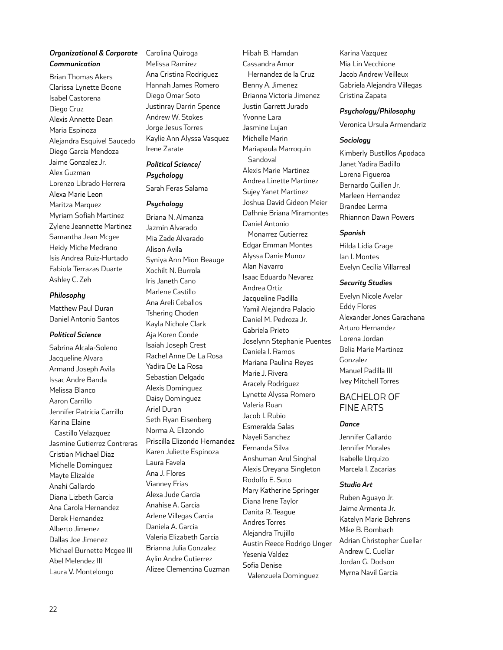#### *Organizational & Corporate Communication*

Brian Thomas Akers Clarissa Lynette Boone Isabel Castorena Diego Cruz Alexis Annette Dean Maria Espinoza Alejandra Esquivel Saucedo Diego Garcia Mendoza Jaime Gonzalez Jr. Alex Guzman Lorenzo Librado Herrera Alexa Marie Leon Maritza Marquez Myriam Sofiah Martinez Zylene Jeannette Martinez Samantha Jean Mcgee Heidy Miche Medrano Isis Andrea Ruiz-Hurtado Fabiola Terrazas Duarte Ashley C. Zeh

#### *Philosophy*

Matthew Paul Duran Daniel Antonio Santos

#### *Political Science*

Sabrina Alcala-Soleno Jacqueline Alvara Armand Joseph Avila Issac Andre Banda Melissa Blanco Aaron Carrillo Jennifer Patricia Carrillo Karina Elaine Castillo Velazquez Jasmine Gutierrez Contreras Cristian Michael Diaz Michelle Dominguez Mayte Elizalde Anahi Gallardo Diana Lizbeth Garcia Ana Carola Hernandez Derek Hernandez Alberto Jimenez Dallas Joe Jimenez Michael Burnette Mcgee III Abel Melendez III Laura V. Montelongo

Carolina Quiroga Melissa Ramirez Ana Cristina Rodriguez Hannah James Romero Diego Omar Soto Justinray Darrin Spence Andrew W. Stokes Jorge Jesus Torres Kaylie Ann Alyssa Vasquez Irene Zarate

# *Political Science/ Psychology*

Sarah Feras Salama

#### *Psychology*

Briana N. Almanza Jazmin Alvarado Mia Zade Alvarado Alison Avila Syniya Ann Mion Beauge Xochilt N. Burrola Iris Janeth Cano Marlene Castillo Ana Areli Ceballos Tshering Choden Kayla Nichole Clark Aja Koren Conde Isaiah Joseph Crest Rachel Anne De La Rosa Yadira De La Rosa Sebastian Delgado Alexis Dominguez Daisy Dominguez Ariel Duran Seth Ryan Eisenberg Norma A. Elizondo Priscilla Elizondo Hernandez Karen Juliette Espinoza Laura Favela Ana J. Flores Vianney Frias Alexa Jude Garcia Anahise A. Garcia Arlene Villegas Garcia Daniela A. Garcia Valeria Elizabeth Garcia Brianna Julia Gonzalez Aylin Andre Gutierrez Alizee Clementina Guzman

Hibah B. Hamdan Cassandra Amor Hernandez de la Cruz Benny A. Jimenez Brianna Victoria Jimenez Justin Garrett Jurado Yvonne Lara Jasmine Lujan Michelle Marin Mariapaula Marroquin **Sandoval** Alexis Marie Martinez Andrea Linette Martinez Sujey Yanet Martinez Joshua David Gideon Meier Dafhnie Briana Miramontes Daniel Antonio Monarrez Gutierrez Edgar Emman Montes Alyssa Danie Munoz Alan Navarro Isaac Eduardo Nevarez Andrea Ortiz Jacqueline Padilla Yamil Alejandra Palacio Daniel M. Pedroza Jr. Gabriela Prieto Joselynn Stephanie Puentes Daniela I. Ramos Mariana Paulina Reyes Marie J. Rivera Aracely Rodriguez Lynette Alyssa Romero Valeria Ruan Jacob I. Rubio Esmeralda Salas Nayeli Sanchez Fernanda Silva Anshuman Arul Singhal Alexis Dreyana Singleton Rodolfo E. Soto Mary Katherine Springer Diana Irene Taylor Danita R. Teague Andres Torres Alejandra Trujillo Austin Reece Rodrigo Unger Yesenia Valdez Sofia Denise Valenzuela Dominguez

Karina Vazquez Mia Lin Vecchione Jacob Andrew Veilleux Gabriela Alejandra Villegas Cristina Zapata

#### *Psychology/Philosophy*

Veronica Ursula Armendariz

#### *Sociology*

Kimberly Bustillos Apodaca Janet Yadira Badillo Lorena Figueroa Bernardo Guillen Jr. Marleen Hernandez Brandee Lerma Rhiannon Dawn Powers

#### *Spanish*

Hilda Lidia Grage Ian I. Montes Evelyn Cecilia Villarreal

#### *Security Studies*

Evelyn Nicole Avelar Eddy Flores Alexander Jones Garachana Arturo Hernandez Lorena Jordan Belia Marie Martinez Gonzalez Manuel Padilla III Ivey Mitchell Torres

#### BACHELOR OF FINE ARTS

#### *Dance*

Jennifer Gallardo Jennifer Morales Isabelle Urquizo Marcela I. Zacarias

#### *Studio Art*

Ruben Aguayo Jr. Jaime Armenta Jr. Katelyn Marie Behrens Mike B. Bombach Adrian Christopher Cuellar Andrew C. Cuellar Jordan G. Dodson Myrna Navil Garcia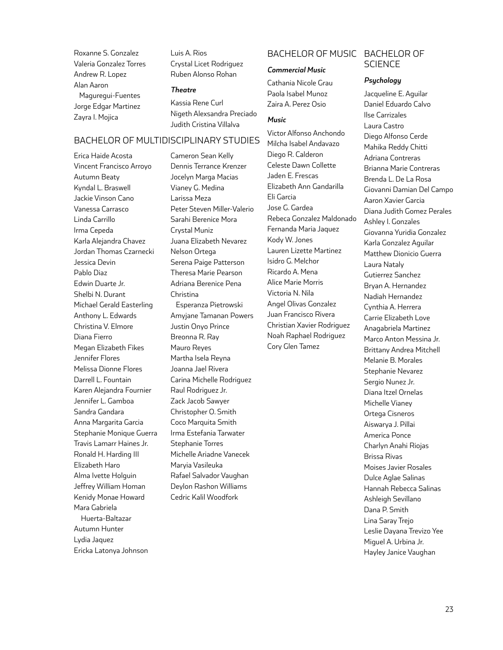Roxanne S. Gonzalez Valeria Gonzalez Torres Andrew R. Lopez Alan Aaron Maguregui-Fuentes Jorge Edgar Martinez Zayra I. Mojica

Luis A. Rios Crystal Licet Rodriguez Ruben Alonso Rohan

#### *Theatre*

Kassia Rene Curl Nigeth Alexsandra Preciado Judith Cristina Villalva

#### BACHELOR OF MULTIDISCIPLINARY STUDIES

Erica Haide Acosta Vincent Francisco Arroyo Autumn Beaty Kyndal L. Braswell Jackie Vinson Cano Vanessa Carrasco Linda Carrillo Irma Cepeda Karla Alejandra Chavez Jordan Thomas Czarnecki Jessica Devin Pablo Diaz Edwin Duarte Jr. Shelbi N. Durant Michael Gerald Easterling Anthony L. Edwards Christina V. Elmore Diana Fierro Megan Elizabeth Fikes Jennifer Flores Melissa Dionne Flores Darrell L. Fountain Karen Alejandra Fournier Jennifer L. Gamboa Sandra Gandara Anna Margarita Garcia Stephanie Monique Guerra Travis Lamarr Haines Jr. Ronald H. Harding III Elizabeth Haro Alma Ivette Holguin Jeffrey William Homan Kenidy Monae Howard Mara Gabriela Huerta-Baltazar Autumn Hunter Lydia Jaquez Ericka Latonya Johnson

Cameron Sean Kelly Dennis Terrance Krenzer Jocelyn Marga Macias Vianey G. Medina Larissa Meza Peter Steven Miller-Valerio Sarahi Berenice Mora Crystal Muniz Juana Elizabeth Nevarez Nelson Ortega Serena Paige Patterson Theresa Marie Pearson Adriana Berenice Pena Christina Esperanza Pietrowski Amyjane Tamanan Powers Justin Onyo Prince Breonna R. Ray Mauro Reyes Martha Isela Reyna Joanna Jael Rivera Carina Michelle Rodriguez Raul Rodriguez Jr. Zack Jacob Sawyer Christopher O. Smith Coco Marquita Smith Irma Estefania Tarwater Stephanie Torres Michelle Ariadne Vanecek Maryia Vasileuka Rafael Salvador Vaughan Deylon Rashon Williams Cedric Kalil Woodfork

#### BACHELOR OF MUSIC BACHELOR OF

#### *Commercial Music*

Cathania Nicole Grau Paola Isabel Munoz Zaira A. Perez Osio

#### *Music*

Victor Alfonso Anchondo Milcha Isabel Andavazo Diego R. Calderon Celeste Dawn Collette Jaden E. Frescas Elizabeth Ann Gandarilla Eli Garcia Jose G. Gardea Rebeca Gonzalez Maldonado Fernanda Maria Jaquez Kody W. Jones Lauren Lizette Martinez Isidro G. Melchor Ricardo A. Mena Alice Marie Morris Victoria N. Nila Angel Olivas Gonzalez Juan Francisco Rivera Christian Xavier Rodriguez Noah Raphael Rodriguez Cory Glen Tamez

# **SCIENCE**

#### *Psychology*

Jacqueline E. Aguilar Daniel Eduardo Calvo Ilse Carrizales Laura Castro Diego Alfonso Cerde Mahika Reddy Chitti Adriana Contreras Brianna Marie Contreras Brenda L. De La Rosa Giovanni Damian Del Campo Aaron Xavier Garcia Diana Judith Gomez Perales Ashley I. Gonzales Giovanna Yuridia Gonzalez Karla Gonzalez Aguilar Matthew Dionicio Guerra Laura Nataly Gutierrez Sanchez Bryan A. Hernandez Nadiah Hernandez Cynthia A. Herrera Carrie Elizabeth Love Anagabriela Martinez Marco Anton Messina Jr. Brittany Andrea Mitchell Melanie B. Morales Stephanie Nevarez Sergio Nunez Jr. Diana Itzel Ornelas Michelle Vianey Ortega Cisneros Aiswarya J. Pillai America Ponce Charlyn Anahi Riojas Brissa Rivas Moises Javier Rosales Dulce Aglae Salinas Hannah Rebecca Salinas Ashleigh Sevillano Dana P. Smith Lina Saray Trejo Leslie Dayana Trevizo Yee Miguel A. Urbina Jr. Hayley Janice Vaughan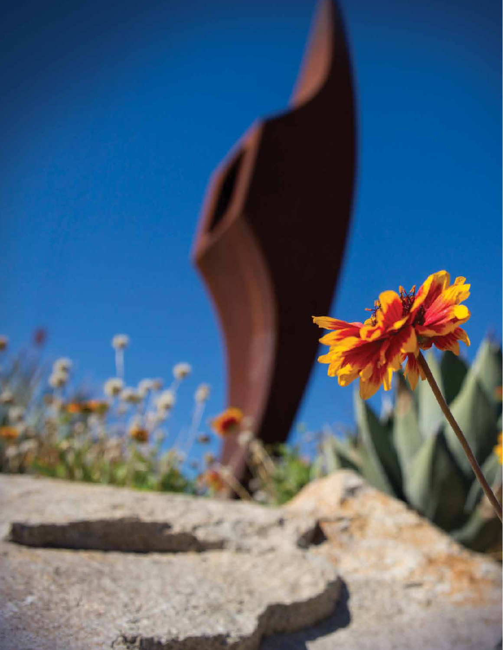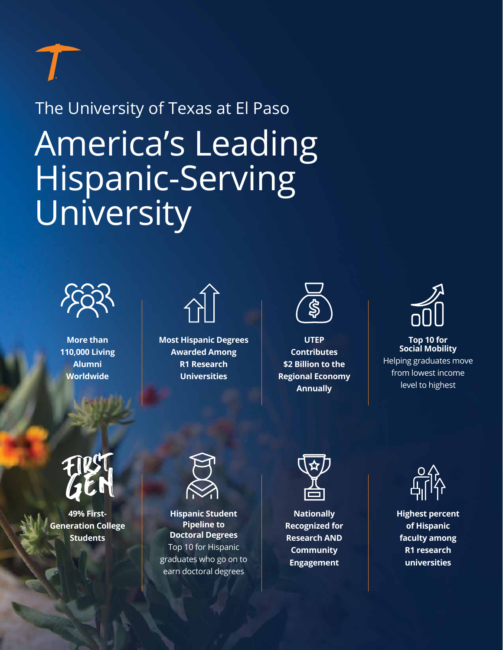

# The University of Texas at El Paso America's Leading Hispanic-Serving University



**More than 110,000 Living Alumni Worldwide**



**Most Hispanic Degrees Awarded Among R1 Research Universities**



**UTEP Contributes \$2 Billion to the Regional Economy Annually**



**Top 10 for Social Mobility** Helping graduates move from lowest income level to highest



**49% First-Generation College Students** 



**Hispanic Student Pipeline to Doctoral Degrees** Top 10 for Hispanic graduates who go on to earn doctoral degrees



**Nationally Recognized for Research AND Community Engagement**



**Highest percent of Hispanic faculty among R1 research universities**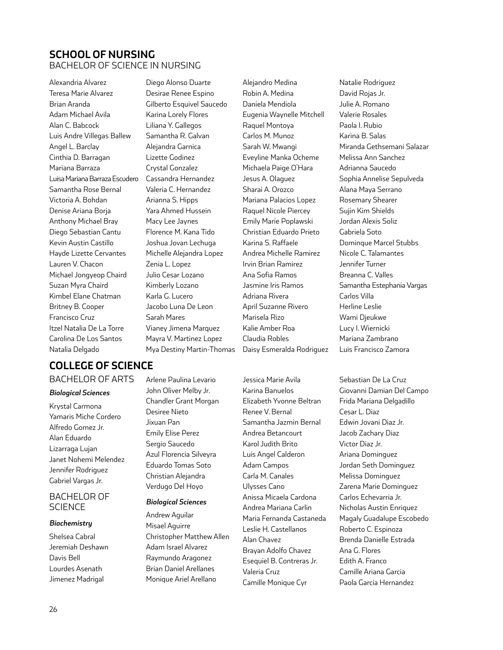# **SCHOOL OF NURSING** BACHELOR OF SCIENCE IN NURSING

Alexandria Alvarez Teresa Marie Alvarez Brian Aranda Adam Michael Avila Alan C. Babcock Luis Andre Villegas Ballew Angel L. Barclay Cinthia D. Barragan Mariana Barraza Luisa Mariana Barraza Escudero Samantha Rose Bernal Victoria A. Bohdan Denise Ariana Borja Anthony Michael Bray Diego Sebastian Cantu Kevin Austin Castillo Hayde Lizette Cervantes Lauren V. Chacon Michael Jongyeop Chaird Suzan Myra Chaird Kimbel Elane Chatman Britney B. Cooper Francisco Cruz Itzel Natalia De La Torre Carolina De Los Santos Natalia Delgado

Desirae Renee Espino Gilberto Esquivel Saucedo Karina Lorely Flores Liliana Y. Gallegos Samantha R. Galvan Alejandra Garnica Lizette Godinez Crystal Gonzalez Cassandra Hernandez Valeria C. Hernandez Arianna S. Hipps Yara Ahmed Hussein Macy Lee Jaynes Florence M. Kana Tido Joshua Jovan Lechuga Michelle Alejandra Lopez Zenia L. Lopez Julio Cesar Lozano Kimberly Lozano Karla G. Lucero Jacobo Luna De Leon Sarah Mares Vianey Jimena Marquez Mayra V. Martinez Lopez Mya Destiny Martin-Thomas

Diego Alonso Duarte

Alejandro Medina Robin A. Medina Daniela Mendiola Eugenia Waynelle Mitchell Raquel Montoya Carlos M. Munoz Sarah W. Mwangi Eveyline Manka Ocheme Michaela Paige O'Hara Jesus A. Olaguez Sharai A. Orozco Mariana Palacios Lopez Raquel Nicole Piercey Emily Marie Poplawski Christian Eduardo Prieto Karina S. Raffaele Andrea Michelle Ramirez Irvin Brian Ramirez Ana Sofia Ramos Jasmine Iris Ramos Adriana Rivera April Suzanne Rivero Marisela Rizo Kalie Amber Roa Claudia Robles Daisy Esmeralda Rodriguez

David Rojas Jr. Julie A. Romano Valerie Rosales Paola I. Rubio Karina B. Salas Miranda Gethsemani Salazar Melissa Ann Sanchez Adrianna Saucedo Sophia Annelise Sepulveda Alana Maya Serrano Rosemary Shearer Sujin Kim Shields Jordan Alexis Soliz Gabriela Soto Dominque Marcel Stubbs Nicole C. Talamantes Jennifer Turner Breanna C. Valles Samantha Estephania Vargas Carlos Villa Herline Leslie Wami Djeukwe Lucy I. Wiernicki Mariana Zambrano Luis Francisco Zamora

Natalie Rodriguez

Sebastian De La Cruz Giovanni Damian Del Campo Frida Mariana Delgadillo Cesar L. Diaz Edwin Jovani Diaz Jr. Jacob Zachary Diaz Victor Diaz Jr. Ariana Dominguez Jordan Seth Dominguez Melissa Dominguez Zarena Marie Dominguez Carlos Echevarria Jr. Nicholas Austin Enriquez Magaly Guadalupe Escobedo Roberto C. Espinoza Brenda Danielle Estrada Ana G. Flores Edith A. Franco Camille Ariana Garcia Paola Garcia Hernandez

# **COLLEGE OF SCIENCE**

#### BACHELOR OF ARTS

#### *Biological Sciences*

Krystal Carmona Yamaris Miche Cordero Alfredo Gomez Jr. Alan Eduardo Lizarraga Lujan Janet Nohemi Melendez Jennifer Rodriguez Gabriel Vargas Jr.

#### BACHELOR OF **SCIENCE**

#### *Biochemistry*

Shelsea Cabral Jeremiah Deshawn Davis Bell Lourdes Asenath Jimenez Madrigal

Arlene Paulina Levario John Oliver Melby Jr. Chandler Grant Morgan Desiree Nieto Jixuan Pan Emily Elise Perez Sergio Saucedo Azul Florencia Silveyra Eduardo Tomas Soto Christian Alejandra Verdugo Del Hoyo

#### *Biological Sciences*

Andrew Aguilar Misael Aguirre Christopher Matthew Allen Adam Israel Alvarez Raymundo Aragonez Brian Daniel Arellanes Monique Ariel Arellano

Karina Banuelos Elizabeth Yvonne Beltran Renee V. Bernal Samantha Jazmin Bernal Andrea Betancourt Karol Judith Brito Luis Angel Calderon Adam Campos Carla M. Canales Ulysses Cano Anissa Micaela Cardona Andrea Mariana Carlin Maria Fernanda Castaneda Leslie H. Castellanos Alan Chavez Brayan Adolfo Chavez Esequiel B. Contreras Jr. Valeria Cruz Camille Monique Cyr

Jessica Marie Avila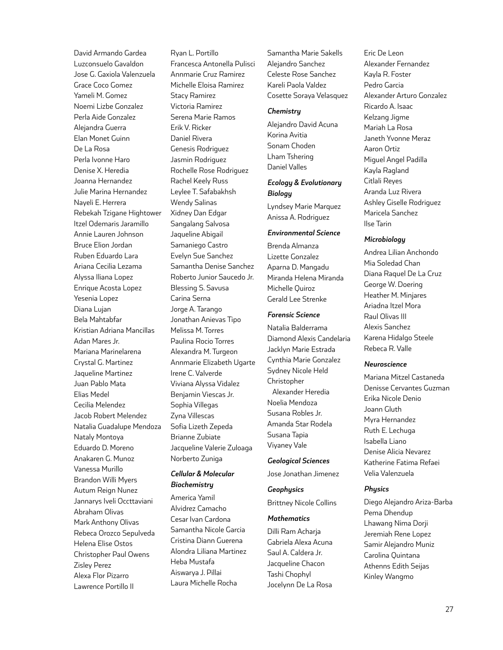David Armando Gardea Luzconsuelo Gavaldon Jose G. Gaxiola Valenzuela Grace Coco Gomez Yameli M. Gomez Noemi Lizbe Gonzalez Perla Aide Gonzalez Alejandra Guerra Elan Monet Guinn De La Rosa Perla Ivonne Haro Denise X. Heredia Joanna Hernandez Julie Marina Hernandez Nayeli E. Herrera Rebekah Tzigane Hightower Itzel Odemaris Jaramillo Annie Lauren Johnson Bruce Elion Jordan Ruben Eduardo Lara Ariana Cecilia Lezama Alyssa Iliana Lopez Enrique Acosta Lopez Yesenia Lopez Diana Lujan Bela Mahtabfar Kristian Adriana Mancillas Adan Mares Jr. Mariana Marinelarena Crystal G. Martinez Jaqueline Martinez Juan Pablo Mata Elias Medel Cecilia Melendez Jacob Robert Melendez Natalia Guadalupe Mendoza Nataly Montoya Eduardo D. Moreno Anakaren G. Munoz Vanessa Murillo Brandon Willi Myers Autum Reign Nunez Jannarys Iveli Occttaviani Abraham Olivas Mark Anthony Olivas Rebeca Orozco Sepulveda Helena Elise Ostos Christopher Paul Owens Zisley Perez Alexa Flor Pizarro Lawrence Portillo II

Ryan L. Portillo Francesca Antonella Pulisci Annmarie Cruz Ramirez Michelle Eloisa Ramirez Stacy Ramirez Victoria Ramirez Serena Marie Ramos Erik V. Ricker Daniel Rivera Genesis Rodriguez Jasmin Rodriguez Rochelle Rose Rodriguez Rachel Keely Russ Leylee T. Safabakhsh Wendy Salinas Xidney Dan Edgar Sangalang Salvosa Jaqueline Abigail Samaniego Castro Evelyn Sue Sanchez Samantha Denise Sanchez Roberto Junior Saucedo Jr. Blessing S. Savusa Carina Serna Jorge A. Tarango Jonathan Anievas Tipo Melissa M. Torres Paulina Rocio Torres Alexandra M. Turgeon Annmarie Elizabeth Ugarte Irene C. Valverde Viviana Alyssa Vidalez Benjamin Viescas Jr. Sophia Villegas Zyna Villescas Sofia Lizeth Zepeda Brianne Zubiate Jacqueline Valerie Zuloaga Norberto Zuniga

#### *Cellular & Molecular Biochemistry*

America Yamil Alvidrez Camacho Cesar Ivan Cardona Samantha Nicole Garcia Cristina Diann Guerena Alondra Liliana Martinez Heba Mustafa Aiswarya J. Pillai Laura Michelle Rocha

Samantha Marie Sakells Alejandro Sanchez Celeste Rose Sanchez Kareli Paola Valdez Cosette Soraya Velasquez

#### *Chemistry*

Alejandro David Acuna Korina Avitia Sonam Choden Lham Tshering Daniel Valles

#### *Ecology & Evolutionary Biology*

Lyndsey Marie Marquez Anissa A. Rodriguez

#### *Environmental Science*

Brenda Almanza Lizette Gonzalez Aparna D. Mangadu Miranda Helena Miranda Michelle Quiroz Gerald Lee Strenke

#### *Forensic Science*

Natalia Balderrama Diamond Alexis Candelaria Jacklyn Marie Estrada Cynthia Marie Gonzalez Sydney Nicole Held Christopher Alexander Heredia Noelia Mendoza Susana Robles Jr. Amanda Star Rodela Susana Tapia Viyaney Vale

#### *Geological Sciences*

Jose Jonathan Jimenez

# *Geophysics*

#### Brittney Nicole Collins

#### *Mathematics*

Dilli Ram Acharja Gabriela Alexa Acuna Saul A. Caldera Jr. Jacqueline Chacon Tashi Chophyl Jocelynn De La Rosa

Eric De Leon Alexander Fernandez Kayla R. Foster Pedro Garcia Alexander Arturo Gonzalez Ricardo A. Isaac Kelzang Jigme Mariah La Rosa Janeth Yvonne Meraz Aaron Ortiz Miguel Angel Padilla Kayla Ragland Citlali Reyes Aranda Luz Rivera Ashley Giselle Rodriguez Maricela Sanchez Ilse Tarin

#### *Microbiology*

Andrea Lilian Anchondo Mia Soledad Chan Diana Raquel De La Cruz George W. Doering Heather M. Minjares Ariadna Itzel Mora Raul Olivas III Alexis Sanchez Karena Hidalgo Steele Rebeca R. Valle

#### *Neuroscience*

Mariana Mitzel Castaneda Denisse Cervantes Guzman Erika Nicole Denio Joann Gluth Myra Hernandez Ruth E. Lechuga Isabella Liano Denise Alicia Nevarez Katherine Fatima Refaei Velia Valenzuela

#### *Physics*

Diego Alejandro Ariza-Barba Pema Dhendup Lhawang Nima Dorji Jeremiah Rene Lopez Samir Alejandro Muniz Carolina Quintana Athenns Edith Seijas Kinley Wangmo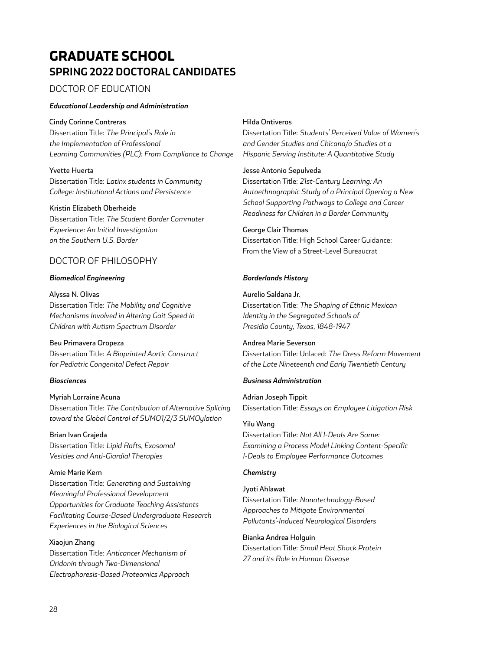# GRADUATE SCHOOL **SPRING 2022 DOCTORAL CANDIDATES**

# DOCTOR OF EDUCATION

#### *Educational Leadership and Administration*

Cindy Corinne Contreras Dissertation Title: *The Principal's Role in* 

*the Implementation of Professional Learning Communities (PLC): From Compliance to Change*

Yvette Huerta

Dissertation Title: *Latinx students in Community College: Institutional Actions and Persistence*

Kristin Elizabeth Oberheide

Dissertation Title: *The Student Border Commuter Experience: An Initial Investigation on the Southern U.S. Border*

# DOCTOR OF PHILOSOPHY

#### *Biomedical Engineering*

Alyssa N. Olivas Dissertation Title: *The Mobility and Cognitive Mechanisms Involved in Altering Gait Speed in Children with Autism Spectrum Disorder*

Beu Primavera Oropeza Dissertation Title: *A Bioprinted Aortic Construct for Pediatric Congenital Defect Repair*

#### *Biosciences*

Myriah Lorraine Acuna Dissertation Title: *The Contribution of Alternative Splicing toward the Global Control of SUMO1/2/3 SUMOylation*

#### Brian Ivan Grajeda

Dissertation Title: *Lipid Rafts, Exosomal Vesicles and Anti-Giardial Therapies*

Amie Marie Kern

Dissertation Title: *Generating and Sustaining Meaningful Professional Development Opportunities for Graduate Teaching Assistants Facilitating Course-Based Undergraduate Research Experiences in the Biological Sciences*

#### Xiaojun Zhang

Dissertation Title: *Anticancer Mechanism of Oridonin through Two-Dimensional Electrophoresis-Based Proteomics Approach*

#### Hilda Ontiveros

Dissertation Title: *Students' Perceived Value of Women's and Gender Studies and Chicana/o Studies at a Hispanic Serving Institute: A Quantitative Study*

#### Jesse Antonio Sepulveda

Dissertation Title: *21st-Century Learning: An Autoethnographic Study of a Principal Opening a New School Supporting Pathways to College and Career Readiness for Children in a Border Community*

#### George Clair Thomas

Dissertation Title: High School Career Guidance: From the View of a Street-Level Bureaucrat

#### *Borderlands History*

Aurelio Saldana Jr. Dissertation Title: *The Shaping of Ethnic Mexican Identity in the Segregated Schools of Presidio County, Texas, 1848-1947*

Andrea Marie Severson Dissertation Title: Unlaced: *The Dress Reform Movement of the Late Nineteenth and Early Twentieth Century*

#### *Business Administration*

Adrian Joseph Tippit Dissertation Title: *Essays on Employee Litigation Risk*

#### Yilu Wang

Dissertation Title: *Not All I-Deals Are Same: Examining a Process Model Linking Content-Specific I-Deals to Employee Performance Outcomes*

#### *Chemistry*

Jyoti Ahlawat

Dissertation Title: *Nanotechnology-Based Approaches to Mitigate Environmental Pollutants'-Induced Neurological Disorders*

#### Bianka Andrea Holguin

Dissertation Title: *Small Heat Shock Protein 27 and its Role in Human Disease*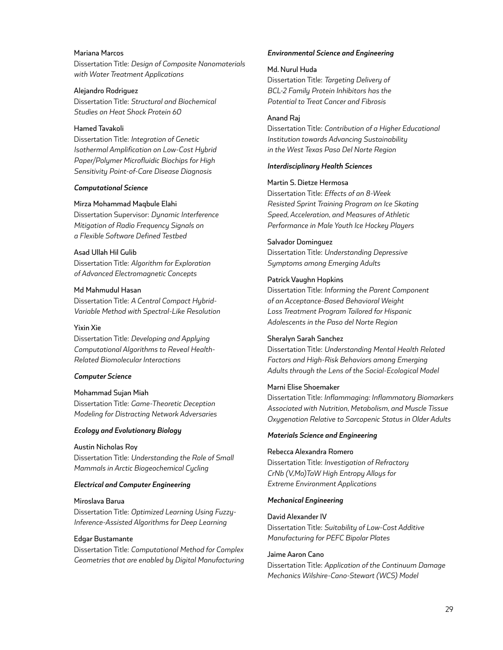#### Mariana Marcos

Dissertation Title: *Design of Composite Nanomaterials with Water Treatment Applications*

#### Alejandro Rodriguez

Dissertation Title: *Structural and Biochemical Studies on Heat Shock Protein 60*

#### Hamed Tavakoli

Dissertation Title: *Integration of Genetic Isothermal Amplification on Low-Cost Hybrid Paper/Polymer Microfluidic Biochips for High Sensitivity Point-of-Care Disease Diagnosis*

#### *Computational Science*

#### Mirza Mohammad Maqbule Elahi

Dissertation Supervisor: *Dynamic Interference Mitigation of Radio Frequency Signals on a Flexible Software Defined Testbed*

#### Asad Ullah Hil Gulib

Dissertation Title: *Algorithm for Exploration of Advanced Electromagnetic Concepts*

#### Md Mahmudul Hasan

Dissertation Title: *A Central Compact Hybrid-Variable Method with Spectral-Like Resolution*

#### Yixin Xie

Dissertation Title: *Developing and Applying Computational Algorithms to Reveal Health-Related Biomolecular Interactions*

#### *Computer Science*

Mohammad Sujan Miah Dissertation Title: *Game-Theoretic Deception Modeling for Distracting Network Adversaries*

#### *Ecology and Evolutionary Biology*

#### Austin Nicholas Roy

Dissertation Title: *Understanding the Role of Small Mammals in Arctic Biogeochemical Cycling*

#### *Electrical and Computer Engineering*

#### Miroslava Barua

Dissertation Title: *Optimized Learning Using Fuzzy-Inference-Assisted Algorithms for Deep Learning*

#### Edgar Bustamante

Dissertation Title: *Computational Method for Complex Geometries that are enabled by Digital Manufacturing*

#### *Environmental Science and Engineering*

#### Md. Nurul Huda

Dissertation Title: *Targeting Delivery of BCL-2 Family Protein Inhibitors has the Potential to Treat Cancer and Fibrosis*

#### Anand Raj

Dissertation Title: *Contribution of a Higher Educational Institution towards Advancing Sustainability in the West Texas Paso Del Norte Region*

#### *Interdisciplinary Health Sciences*

#### Martin S. Dietze Hermosa

Dissertation Title: *Effects of an 8-Week Resisted Sprint Training Program on Ice Skating Speed, Acceleration, and Measures of Athletic Performance in Male Youth Ice Hockey Players*

#### Salvador Dominguez

Dissertation Title: *Understanding Depressive Symptoms among Emerging Adults*

#### Patrick Vaughn Hopkins

Dissertation Title: *Informing the Parent Component of an Acceptance-Based Behavioral Weight Loss Treatment Program Tailored for Hispanic Adolescents in the Paso del Norte Region*

#### Sheralyn Sarah Sanchez

Dissertation Title: *Understanding Mental Health Related Factors and High-Risk Behaviors among Emerging Adults through the Lens of the Social-Ecological Model*

#### Marni Elise Shoemaker

Dissertation Title: *Inflammaging: Inflammatory Biomarkers Associated with Nutrition, Metabolism, and Muscle Tissue Oxygenation Relative to Sarcopenic Status in Older Adults*

#### *Materials Science and Engineering*

#### Rebecca Alexandra Romero

Dissertation Title: *Investigation of Refractory CrNb (V,Mo)TaW High Entropy Alloys for Extreme Environment Applications* 

#### *Mechanical Engineering*

#### David Alexander IV

Dissertation Title: *Suitability of Low-Cost Additive Manufacturing for PEFC Bipolar Plates* 

#### Jaime Aaron Cano

Dissertation Title: *Application of the Continuum Damage Mechanics Wilshire-Cano-Stewart (WCS) Model*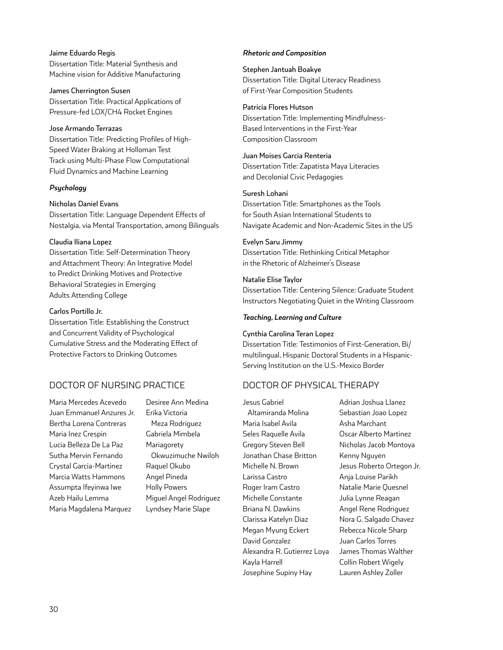Jaime Eduardo Regis Dissertation Title: Material Synthesis and Machine vision for Additive Manufacturing

James Cherrington Susen Dissertation Title: Practical Applications of Pressure-fed LOX/CH4 Rocket Engines

#### Jose Armando Terrazas

Dissertation Title: Predicting Profiles of High-Speed Water Braking at Holloman Test Track using Multi-Phase Flow Computational Fluid Dynamics and Machine Learning

#### *Psychology*

#### Nicholas Daniel Evans

Dissertation Title: Language Dependent Effects of Nostalgia, via Mental Transportation, among Bilinguals

#### Claudia Iliana Lopez

Dissertation Title: Self-Determination Theory and Attachment Theory: An Integrative Model to Predict Drinking Motives and Protective Behavioral Strategies in Emerging Adults Attending College

#### Carlos Portillo Jr.

Dissertation Title: Establishing the Construct and Concurrent Validity of Psychological Cumulative Stress and the Moderating Effect of Protective Factors to Drinking Outcomes

## DOCTOR OF NURSING PRACTICE

Maria Mercedes Acevedo Juan Emmanuel Anzures Jr. Bertha Lorena Contreras Maria Inez Crespin Lucia Belleza De La Paz Sutha Mervin Fernando Crystal Garcia-Martinez Marcia Watts Hammons Assumpta Ifeyinwa Iwe Azeb Hailu Lemma Maria Magdalena Marquez

Desiree Ann Medina Erika Victoria Meza Rodriguez Gabriela Mimbela Mariagorety Okwuzimuche Nwiloh Raquel Okubo Angel Pineda Holly Powers Miguel Angel Rodriguez Lyndsey Marie Slape

#### *Rhetoric and Composition*

Stephen Jantuah Boakye Dissertation Title: Digital Literacy Readiness of First-Year Composition Students

#### Patricia Flores Hutson

Dissertation Title: Implementing Mindfulness-Based Interventions in the First-Year Composition Classroom

#### Juan Moises Garcia Renteria

Dissertation Title: Zapatista Maya Literacies and Decolonial Civic Pedagogies

#### Suresh Lohani

Dissertation Title: Smartphones as the Tools for South Asian International Students to Navigate Academic and Non-Academic Sites in the US

#### Evelyn Saru Jimmy

Dissertation Title: Rethinking Critical Metaphor in the Rhetoric of Alzheimer's Disease

#### Natalie Elise Taylor

Dissertation Title: Centering Silence: Graduate Student Instructors Negotiating Quiet in the Writing Classroom

#### *Teaching, Learning and Culture*

#### Cynthia Carolina Teran Lopez

Dissertation Title: Testimonios of First-Generation, Bi/ multilingual, Hispanic Doctoral Students in a Hispanic-Serving Institution on the U.S.-Mexico Border

## DOCTOR OF PHYSICAL THERAPY

Jesus Gabriel Altamiranda Molina Maria Isabel Avila Seles Raquelle Avila Gregory Steven Bell Jonathan Chase Britton Michelle N. Brown Larissa Castro Roger Iram Castro Michelle Constante Briana N. Dawkins Clarissa Katelyn Diaz Megan Myung Eckert David Gonzalez Alexandra R. Gutierrez Loya Kayla Harrell Josephine Supiny Hay

Adrian Joshua Llanez Sebastian Joao Lopez Asha Marchant Oscar Alberto Martinez Nicholas Jacob Montoya Kenny Nguyen Jesus Roberto Ortegon Jr. Anja Louise Parikh Natalie Marie Quesnel Julia Lynne Reagan Angel Rene Rodriguez Nora G. Salgado Chavez Rebecca Nicole Sharp Juan Carlos Torres James Thomas Walther Collin Robert Wigely Lauren Ashley Zoller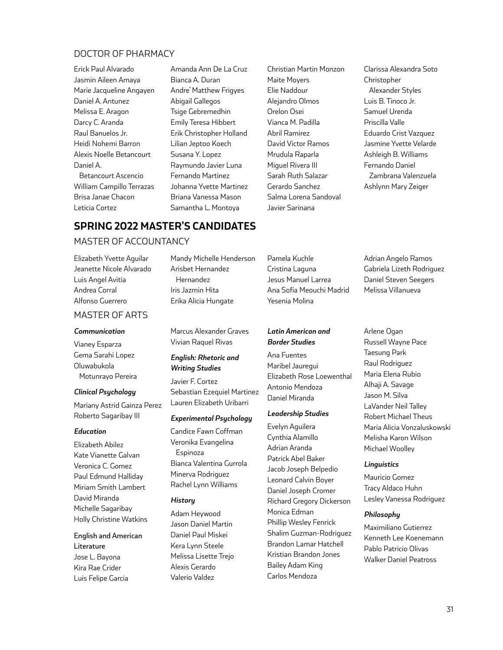#### DOCTOR OF PHARMACY

Erick Paul Alvarado Jasmin Aileen Amaya Marie Jacqueline Angayen Daniel A. Antunez Melissa E. Aragon Darcy C. Aranda Raul Banuelos Jr. Heidi Nohemi Barron Alexis Noelle Betancourt Daniel A. Betancourt Ascencio

William Campillo Terrazas Brisa Janae Chacon Leticia Cortez

Amanda Ann De La Cruz Bianca A. Duran Andre' Matthew Frigyes Abigail Gallegos Tsige Gebremedhin Emily Teresa Hibbert Erik Christopher Holland Lilian Jeptoo Koech Susana Y. Lopez Raymundo Javier Luna Fernando Martinez Johanna Yvette Martinez Briana Vanessa Mason Samantha L. Montoya

Christian Martin Monzon Maite Moyers Elie Naddour Alejandro Olmos Orelon Osei Vianca M. Padilla Abril Ramirez David Victor Ramos Mrudula Raparla Miguel Rivera III Sarah Ruth Salazar Gerardo Sanchez Salma Lorena Sandoval Javier Sarinana

Clarissa Alexandra Soto Christopher Alexander Styles Luis B. Tinoco Jr. Samuel Urenda Priscilla Valle Eduardo Crist Vazquez Jasmine Yvette Velarde Ashleigh B. Williams Fernando Daniel Zambrana Valenzuela Ashlynn Mary Zeiger

# **SPRING 2022 MASTER'S CANDIDATES**

#### MASTER OF ACCOUNTANCY

Elizabeth Yvette Aguilar Jeanette Nicole Alvarado Luis Angel Avitia Andrea Corral Alfonso Guerrero

#### MASTER OF ARTS

#### *Communication*

Vianey Esparza Gema Sarahi Lopez Oluwabukola Motunrayo Pereira

#### *Clinical Psychology*

Mariany Astrid Gainza Perez Roberto Sagaribay III

#### *Education*

Elizabeth Abilez Kate Vianette Galvan Veronica C. Gomez Paul Edmund Halliday Miriam Smith Lambert David Miranda Michelle Sagaribay Holly Christine Watkins

English and American Literature Jose L. Bayona Kira Rae Crider Luis Felipe Garcia

Mandy Michelle Henderson Arisbet Hernandez Hernandez Iris Jazmin Hita Erika Alicia Hungate

Marcus Alexander Graves Vivian Raquel Rivas

#### *English: Rhetoric and Writing Studies*

Javier F. Cortez Sebastian Ezequiel Martinez Lauren Elizabeth Uribarri

#### *Experimental Psychology*

Candice Fawn Coffman Veronika Evangelina Espinoza Bianca Valentina Gurrola Minerva Rodriguez Rachel Lynn Williams

#### *History*

Adam Heywood Jason Daniel Martin Daniel Paul Miskei Kera Lynn Steele Melissa Lisette Trejo Alexis Gerardo Valerio Valdez

Pamela Kuchle Cristina Laguna Jesus Manuel Larrea Ana Sofia Meouchi Madrid Yesenia Molina

#### *Latin American and Border Studies*

Ana Fuentes Maribel Jauregui Elizabeth Rose Loewenthal Antonio Mendoza Daniel Miranda

#### *Leadership Studies*

Evelyn Aguilera Cynthia Alamillo Adrian Aranda Patrick Abel Baker Jacob Joseph Belpedio Leonard Calvin Boyer Daniel Joseph Cromer Richard Gregory Dickerson Monica Edman Phillip Wesley Fenrick Shalim Guzman-Rodriguez Brandon Lamar Hatchell Kristian Brandon Jones Bailey Adam King Carlos Mendoza

Adrian Angelo Ramos Gabriela Lizeth Rodriguez Daniel Steven Seegers Melissa Villanueva

Arlene Ogan Russell Wayne Pace Taesung Park Raul Rodriguez Maria Elena Rubio Alhaji A. Savage Jason M. Silva LaVander Neil Talley Robert Michael Theus Maria Alicia Vonzaluskowski Melisha Karon Wilson Michael Woolley

#### *Linguistics*

Mauricio Gomez Tracy Aldaco Huhn Lesley Vanessa Rodriguez

#### *Philosophy*

Maximiliano Gutierrez Kenneth Lee Koenemann Pablo Patricio Olivas Walker Daniel Peatross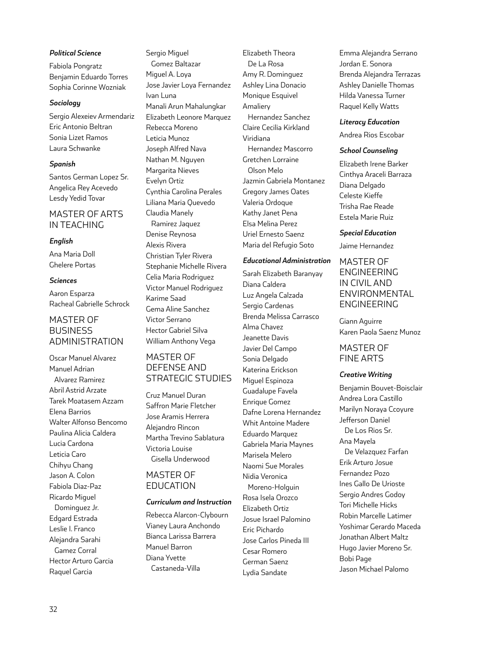#### *Political Science*

Fabiola Pongratz Benjamin Eduardo Torres Sophia Corinne Wozniak

#### *Sociology*

Sergio Alexeiev Armendariz Eric Antonio Beltran Sonia Lizet Ramos Laura Schwanke

#### *Spanish*

Santos German Lopez Sr. Angelica Rey Acevedo Lesdy Yedid Tovar

#### MASTER OF ARTS IN TEACHING

#### *English*

Ana Maria Doll Ghelere Portas

#### *Sciences*

Aaron Esparza Racheal Gabrielle Schrock

#### MASTER OF **BUSINESS** ADMINISTRATION

Oscar Manuel Alvarez Manuel Adrian Alvarez Ramirez Abril Astrid Arzate Tarek Moatasem Azzam Elena Barrios Walter Alfonso Bencomo Paulina Alicia Caldera Lucia Cardona Leticia Caro Chihyu Chang Jason A. Colon Fabiola Diaz-Paz Ricardo Miguel Dominguez Jr. Edgard Estrada Leslie I. Franco Alejandra Sarahi Gamez Corral Hector Arturo Garcia Raquel Garcia

Sergio Miguel Gomez Baltazar Miguel A. Loya Jose Javier Loya Fernandez Ivan Luna Manali Arun Mahalungkar Elizabeth Leonore Marquez Rebecca Moreno Leticia Munoz Joseph Alfred Nava Nathan M. Nguyen Margarita Nieves Evelyn Ortiz Cynthia Carolina Perales Liliana Maria Quevedo Claudia Manely Ramirez Jaquez Denise Reynosa Alexis Rivera Christian Tyler Rivera Stephanie Michelle Rivera Celia Maria Rodriguez Victor Manuel Rodriguez Karime Saad Gema Aline Sanchez Victor Serrano Hector Gabriel Silva William Anthony Vega

#### MASTER OF DEFENSE AND STRATEGIC STUDIES

Cruz Manuel Duran Saffron Marie Fletcher Jose Aramis Herrera Alejandro Rincon Martha Trevino Sablatura Victoria Louise Gisella Underwood

#### MASTER OF EDUCATION

#### *Curriculum and Instruction*

Rebecca Alarcon-Clybourn Vianey Laura Anchondo Bianca Larissa Barrera Manuel Barron Diana Yvette Castaneda-Villa

Elizabeth Theora De La Rosa Amy R. Dominguez Ashley Lina Donacio Monique Esquivel Amaliery Hernandez Sanchez Claire Cecilia Kirkland Viridiana Hernandez Mascorro Gretchen Lorraine Olson Melo Jazmin Gabriela Montanez Gregory James Oates Valeria Ordoque Kathy Janet Pena Elsa Melina Perez Uriel Ernesto Saenz Maria del Refugio Soto

#### *Educational Administration*

Sarah Elizabeth Baranyay Diana Caldera Luz Angela Calzada Sergio Cardenas Brenda Melissa Carrasco Alma Chavez Jeanette Davis Javier Del Campo Sonia Delgado Katerina Erickson Miguel Espinoza Guadalupe Favela Enrique Gomez Dafne Lorena Hernandez Whit Antoine Madere Eduardo Marquez Gabriela Maria Maynes Marisela Melero Naomi Sue Morales Nidia Veronica Moreno-Holguin Rosa Isela Orozco Elizabeth Ortiz Josue Israel Palomino Eric Pichardo Jose Carlos Pineda III Cesar Romero

German Saenz Lydia Sandate

Emma Alejandra Serrano Jordan E. Sonora Brenda Alejandra Terrazas Ashley Danielle Thomas Hilda Vanessa Turner Raquel Kelly Watts

#### *Literacy Education*

Andrea Rios Escobar

#### *School Counseling*

Elizabeth Irene Barker Cinthya Araceli Barraza Diana Delgado Celeste Kieffe Trisha Rae Reade Estela Marie Ruiz

#### *Special Education*

Jaime Hernandez

#### MASTER OF ENGINEERING IN CIVIL AND ENVIRONMENTAL ENGINEERING

Giann Aguirre Karen Paola Saenz Munoz

#### MASTER OF FINE ARTS

#### *Creative Writing*

Benjamin Bouvet-Boisclair Andrea Lora Castillo Marilyn Noraya Ccoyure Jefferson Daniel De Los Rios Sr. Ana Mayela De Velazquez Farfan Erik Arturo Josue Fernandez Pozo Ines Gallo De Urioste Sergio Andres Godoy Tori Michelle Hicks Robin Marcelle Latimer Yoshimar Gerardo Maceda Jonathan Albert Maltz Hugo Javier Moreno Sr. Bobi Page Jason Michael Palomo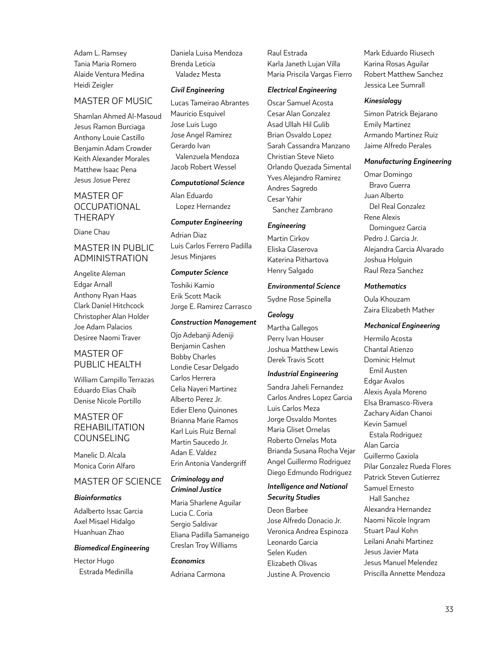Adam L. Ramsey Tania Maria Romero Alaide Ventura Medina Heidi Zeigler

#### MASTER OF MUSIC

Shamlan Ahmed Al-Masoud Jesus Ramon Burciaga Anthony Louie Castillo Benjamin Adam Crowder Keith Alexander Morales Matthew Isaac Pena Jesus Josue Perez

#### MASTER OF **OCCUPATIONAL THFRAPY**

Diane Chau

#### MASTER IN PUBLIC ADMINISTRATION

Angelite Aleman Edgar Arnall Anthony Ryan Haas Clark Daniel Hitchcock Christopher Alan Holder Joe Adam Palacios Desiree Naomi Traver

#### MASTER OF PUBLIC HEALTH

William Campillo Terrazas Eduardo Elias Chaib Denise Nicole Portillo

#### MASTER OF REHABILITATION COUNSELING

Manelic D. Alcala Monica Corin Alfaro

#### MASTER OF SCIENCE

#### *Bioinformatics*

Adalberto Issac Garcia Axel Misael Hidalgo Huanhuan Zhao

#### *Biomedical Engineering*

Hector Hugo Estrada Medinilla Daniela Luisa Mendoza Brenda Leticia Valadez Mesta

#### *Civil Engineering*

Lucas Tameirao Abrantes Mauricio Esquivel Jose Luis Lugo Jose Angel Ramirez Gerardo Ivan Valenzuela Mendoza Jacob Robert Wessel

#### *Computational Science*

Alan Eduardo Lopez Hernandez

#### *Computer Engineering*

Adrian Diaz Luis Carlos Ferrero Padilla Jesus Minjares

#### *Computer Science*

Toshiki Kamio Erik Scott Macik Jorge E. Ramirez Carrasco

#### *Construction Management*

Ojo Adebanji Adeniji Benjamin Cashen Bobby Charles Londie Cesar Delgado Carlos Herrera Celia Nayeri Martinez Alberto Perez Jr. Edier Eleno Quinones Brianna Marie Ramos Karl Luis Ruiz Bernal Martin Saucedo Jr. Adan E. Valdez Erin Antonia Vandergriff

#### *Criminology and Criminal Justice*

Maria Sharlene Aguilar Lucia C. Coria Sergio Saldivar Eliana Padilla Samaneigo Creslan Troy Williams

#### *Economics*

Adriana Carmona

Raul Estrada Karla Janeth Lujan Villa Maria Priscila Vargas Fierro

#### *Electrical Engineering*

Oscar Samuel Acosta Cesar Alan Gonzalez Asad Ullah Hil Gulib Brian Osvaldo Lopez Sarah Cassandra Manzano Christian Steve Nieto Orlando Quezada Simental Yves Alejandro Ramirez Andres Sagredo Cesar Yahir Sanchez Zambrano

#### *Engineering*

Martin Cirkov Eliska Glaserova Katerina Pithartova Henry Salgado

#### *Environmental Science*

Sydne Rose Spinella

#### *Geology*

Martha Gallegos Perry Ivan Houser Joshua Matthew Lewis Derek Travis Scott

#### *Industrial Engineering*

Sandra Jaheli Fernandez Carlos Andres Lopez Garcia Luis Carlos Meza Jorge Osvaldo Montes Maria Gliset Ornelas Roberto Ornelas Mota Brianda Susana Rocha Vejar Angel Guillermo Rodriguez Diego Edmundo Rodriguez

#### *Intelligence and National Security Studies*

Deon Barbee Jose Alfredo Donacio Jr. Veronica Andrea Espinoza Leonardo Garcia Selen Kuden Elizabeth Olivas Justine A. Provencio

Mark Eduardo Riusech Karina Rosas Aguilar Robert Matthew Sanchez Jessica Lee Sumrall

#### *Kinesiology*

Simon Patrick Bejarano Emily Martinez Armando Martinez Ruiz Jaime Alfredo Perales

#### *Manufacturing Engineering*

Omar Domingo Bravo Guerra Juan Alberto Del Real Gonzalez Rene Alexis Dominguez Garcia Pedro J. Garcia Jr. Alejandra Garcia Alvarado Joshua Holguin Raul Reza Sanchez

#### *Mathematics*

Oula Khouzam Zaira Elizabeth Mather

#### *Mechanical Engineering*

Hermilo Acosta Chantal Atienzo Dominic Helmut Emil Austen Edgar Avalos Alexis Ayala Moreno Elsa Bramasco-Rivera Zachary Aidan Chanoi Kevin Samuel Estala Rodriguez Alan Garcia Guillermo Gaxiola Pilar Gonzalez Rueda Flores Patrick Steven Gutierrez Samuel Ernesto Hall Sanchez Alexandra Hernandez Naomi Nicole Ingram Stuart Paul Kohn Leilani Anahi Martinez Jesus Javier Mata Jesus Manuel Melendez Priscilla Annette Mendoza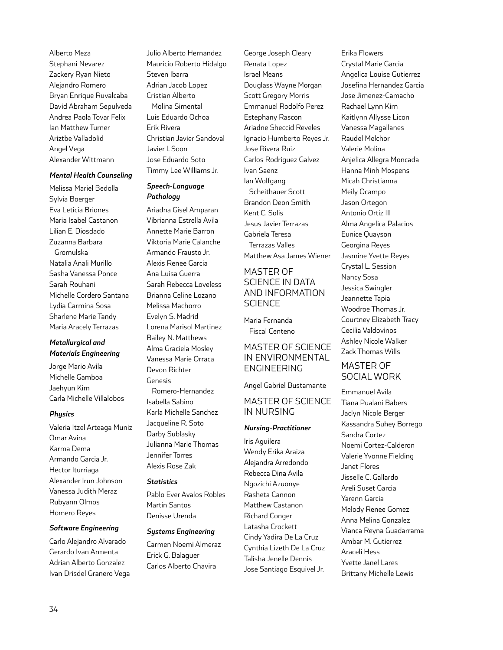Alberto Meza Stephani Nevarez Zackery Ryan Nieto Alejandro Romero Bryan Enrique Ruvalcaba David Abraham Sepulveda Andrea Paola Tovar Felix Ian Matthew Turner Ariztbe Valladolid Angel Vega Alexander Wittmann

#### *Mental Health Counseling*

Melissa Mariel Bedolla Sylvia Boerger Eva Leticia Briones Maria Isabel Castanon Lilian E. Diosdado Zuzanna Barbara Gromulska Natalia Anali Murillo Sasha Vanessa Ponce Sarah Rouhani Michelle Cordero Santana Lydia Carmina Sosa Sharlene Marie Tandy Maria Aracely Terrazas

#### *Metallurgical and Materials Engineering*

Jorge Mario Avila Michelle Gamboa Jaehyun Kim Carla Michelle Villalobos

#### *Physics*

Valeria Itzel Arteaga Muniz Omar Avina Karma Dema Armando Garcia Jr. Hector Iturriaga Alexander Irun Johnson Vanessa Judith Meraz Rubyann Olmos Homero Reyes

#### *Software Engineering*

Carlo Alejandro Alvarado Gerardo Ivan Armenta Adrian Alberto Gonzalez Ivan Drisdel Granero Vega

Julio Alberto Hernandez Mauricio Roberto Hidalgo Steven Ibarra Adrian Jacob Lopez Cristian Alberto Molina Simental Luis Eduardo Ochoa Erik Rivera Christian Javier Sandoval Javier I. Soon Jose Eduardo Soto Timmy Lee Williams Jr.

#### *Speech-Language Pathology*

Ariadna Gisel Amparan Vibrianna Estrella Avila Annette Marie Barron Viktoria Marie Calanche Armando Frausto Jr. Alexis Renee Garcia Ana Luisa Guerra Sarah Rebecca Loveless Brianna Celine Lozano Melissa Machorro Evelyn S. Madrid Lorena Marisol Martinez Bailey N. Matthews Alma Graciela Mosley Vanessa Marie Orraca Devon Richter Genesis Romero-Hernandez Isabella Sabino Karla Michelle Sanchez Jacqueline R. Soto Darby Sublasky Julianna Marie Thomas Jennifer Torres Alexis Rose Zak

#### *Statistics*

Pablo Ever Avalos Robles Martin Santos Denisse Urenda

#### *Systems Engineering*

Carmen Noemi Almeraz Erick G. Balaguer Carlos Alberto Chavira

George Joseph Cleary Renata Lopez Israel Means Douglass Wayne Morgan Scott Gregory Morris Emmanuel Rodolfo Perez Estephany Rascon Ariadne Sheccid Reveles Ignacio Humberto Reyes Jr. Jose Rivera Ruiz Carlos Rodriguez Galvez Ivan Saenz Ian Wolfgang Scheithauer Scott Brandon Deon Smith

Kent C. Solis Jesus Javier Terrazas Gabriela Teresa Terrazas Valles

Matthew Asa James Wiener

#### MASTER OF SCIENCE IN DATA AND INFORMATION **SCIENCE**

Maria Fernanda Fiscal Centeno

#### MASTER OF SCIENCE IN ENVIRONMENTAL ENGINEERING

Angel Gabriel Bustamante

# MASTER OF SCIENCE IN NURSING

#### *Nursing-Practitioner*

Iris Aguilera Wendy Erika Araiza Alejandra Arredondo Rebecca Dina Avila Ngozichi Azuonye Rasheta Cannon Matthew Castanon Richard Conger Latasha Crockett Cindy Yadira De La Cruz Cynthia Lizeth De La Cruz Talisha Jenelle Dennis Jose Santiago Esquivel Jr.

Erika Flowers Crystal Marie Garcia Angelica Louise Gutierrez Josefina Hernandez Garcia Jose Jimenez-Camacho Rachael Lynn Kirn Kaitlynn Allysse Licon Vanessa Magallanes Raudel Melchor Valerie Molina Anjelica Allegra Moncada Hanna Minh Mospens Micah Christianna Meily Ocampo Jason Ortegon Antonio Ortiz III Alma Angelica Palacios Eunice Quayson Georgina Reyes Jasmine Yvette Reyes Crystal L. Session Nancy Sosa Jessica Swingler Jeannette Tapia Woodroe Thomas Jr. Courtney Elizabeth Tracy Cecilia Valdovinos

Ashley Nicole Walker Zack Thomas Wills

#### MASTER OF SOCIAL WORK

Emmanuel Avila Tiana Pualani Babers Jaclyn Nicole Berger Kassandra Suhey Borrego Sandra Cortez Noemi Cortez-Calderon Valerie Yvonne Fielding Janet Flores Jisselle C. Gallardo Areli Suset Garcia Yarenn Garcia Melody Renee Gomez Anna Melina Gonzalez Vianca Reyna Guadarrama Ambar M. Gutierrez Araceli Hess Yvette Janel Lares Brittany Michelle Lewis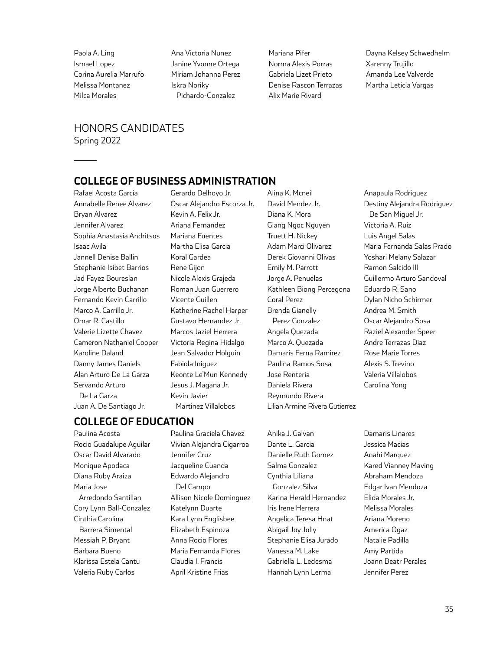Paola A. Ling Ismael Lopez Corina Aurelia Marrufo Melissa Montanez Milca Morales

Ana Victoria Nunez Janine Yvonne Ortega Miriam Johanna Perez Iskra Noriky Pichardo-Gonzalez

Mariana Pifer Norma Alexis Porras Gabriela Lizet Prieto Denise Rascon Terrazas Alix Marie Rivard

Dayna Kelsey Schwedhelm Xarenny Trujillo Amanda Lee Valverde Martha Leticia Vargas

## HONORS CANDIDATES Spring 2022

# **COLLEGE OF BUSINESS ADMINISTRATION**

Rafael Acosta Garcia Annabelle Renee Alvarez Bryan Alvarez Jennifer Alvarez Sophia Anastasia Andritsos Isaac Avila Jannell Denise Ballin Stephanie Isibet Barrios Jad Fayez Boureslan Jorge Alberto Buchanan Fernando Kevin Carrillo Marco A. Carrillo Jr. Omar R. Castillo Valerie Lizette Chavez Cameron Nathaniel Cooper Karoline Daland Danny James Daniels Alan Arturo De La Garza Servando Arturo De La Garza Juan A. De Santiago Jr.

Gerardo Delhoyo Jr. Oscar Alejandro Escorza Jr. Kevin A. Felix Jr. Ariana Fernandez Mariana Fuentes Martha Elisa Garcia Koral Gardea Rene Gijon Nicole Alexis Grajeda Roman Juan Guerrero Vicente Guillen Katherine Rachel Harper Gustavo Hernandez Jr. Marcos Jaziel Herrera Victoria Regina Hidalgo Jean Salvador Holguin Fabiola Iniguez Keonte Le'Mun Kennedy Jesus J. Magana Jr. Kevin Javier Martinez Villalobos

Alina K. Mcneil David Mendez Jr. Diana K. Mora Giang Ngoc Nguyen Truett H. Nickey Adam Marci Olivarez Derek Giovanni Olivas Emily M. Parrott Jorge A. Penuelas Kathleen Biong Percegona Coral Perez Brenda Gianelly Perez Gonzalez Angela Quezada Marco A. Quezada Damaris Ferna Ramirez Paulina Ramos Sosa Jose Renteria Daniela Rivera Reymundo Rivera Lilian Armine Rivera Gutierrez

Anapaula Rodriguez Destiny Alejandra Rodriguez De San Miguel Jr. Victoria A. Ruiz Luis Angel Salas Maria Fernanda Salas Prado Yoshari Melany Salazar Ramon Salcido III Guillermo Arturo Sandoval Eduardo R. Sano Dylan Nicho Schirmer Andrea M. Smith Oscar Alejandro Sosa Raziel Alexander Speer Andre Terrazas Diaz Rose Marie Torres Alexis S. Trevino Valeria Villalobos Carolina Yong

# **COLLEGE OF EDUCATION**

Paulina Acosta Rocio Guadalupe Aguilar Oscar David Alvarado Monique Apodaca Diana Ruby Araiza Maria Jose Arredondo Santillan Cory Lynn Ball-Gonzalez Cinthia Carolina Barrera Simental Messiah P. Bryant Barbara Bueno Klarissa Estela Cantu Valeria Ruby Carlos

Paulina Graciela Chavez Vivian Alejandra Cigarroa Jennifer Cruz Jacqueline Cuanda Edwardo Alejandro Del Campo Allison Nicole Dominguez Katelynn Duarte Kara Lynn Englisbee Elizabeth Espinoza Anna Rocio Flores Maria Fernanda Flores Claudia I. Francis April Kristine Frias

Anika J. Galvan Dante L. Garcia Danielle Ruth Gomez Salma Gonzalez Cynthia Liliana Gonzalez Silva Karina Herald Hernandez Iris Irene Herrera Angelica Teresa Hnat Abigail Joy Jolly Stephanie Elisa Jurado Vanessa M. Lake Gabriella L. Ledesma Hannah Lynn Lerma

Damaris Linares Jessica Macias Anahi Marquez Kared Vianney Maving Abraham Mendoza Edgar Ivan Mendoza Elida Morales Jr. Melissa Morales Ariana Moreno America Ogaz Natalie Padilla Amy Partida Joann Beatr Perales Jennifer Perez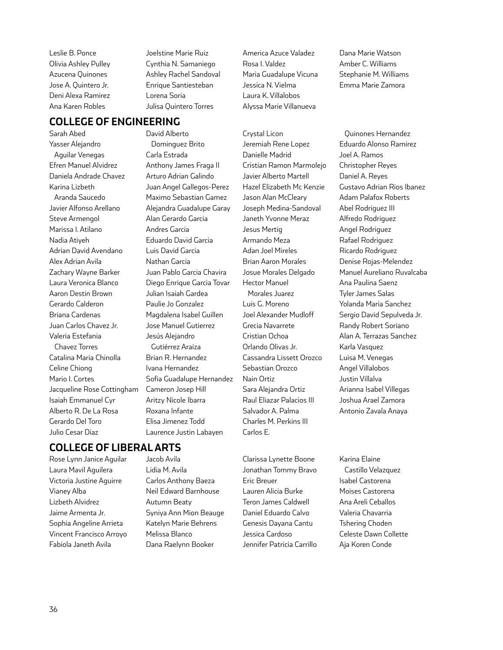Leslie B. Ponce Olivia Ashley Pulley Azucena Quinones Jose A. Quintero Jr. Deni Alexa Ramirez Ana Karen Robles

# **COLLEGE OF ENGINEERING**

Sarah Abed Yasser Alejandro Aguilar Venegas Efren Manuel Alvidrez Daniela Andrade Chavez Karina Lizbeth Aranda Saucedo Javier Alfonso Arellano Steve Armengol Marissa I. Atilano Nadia Atiyeh Adrian David Avendano Alex Adrian Avila Zachary Wayne Barker Laura Veronica Blanco Aaron Destin Brown Gerardo Calderon Briana Cardenas Juan Carlos Chavez Jr. Valeria Estefania Chavez Torres Catalina Maria Chinolla Celine Chiong Mario I. Cortes Jacqueline Rose Cottingham Isaiah Emmanuel Cyr Alberto R. De La Rosa Gerardo Del Toro Julio Cesar Diaz

Joelstine Marie Ruiz Cynthia N. Samaniego Ashley Rachel Sandoval Enrique Santiesteban Lorena Soria Julisa Quintero Torres

Anthony James Fraga II Arturo Adrian Galindo Juan Angel Gallegos-Perez Maximo Sebastian Gamez Alejandra Guadalupe Garay Alan Gerardo Garcia Andres Garcia Eduardo David Garcia Luis David Garcia Nathan Garcia

Juan Pablo Garcia Chavira Diego Enrique Garcia Tovar Julian Isaiah Gardea Paulie Jo Gonzalez Magdalena Isabel Guillen Jose Manuel Gutierrez Jesús Alejandro Gutiérrez Araiza Brian R. Hernandez Ivana Hernandez

Sofia Guadalupe Hernandez

Cameron Josep Hill Aritzy Nicole Ibarra Roxana Infante Elisa Jimenez Todd Laurence Justin Labayen

David Alberto Dominguez Brito Carla Estrada

America Azuce Valadez Rosa I. Valdez Maria Guadalupe Vicuna Jessica N. Vielma Laura K. Villalobos Alyssa Marie Villanueva

Crystal Licon Jeremiah Rene Lopez Danielle Madrid Cristian Ramon Marmolejo Javier Alberto Martell Hazel Elizabeth Mc Kenzie Jason Alan McCleary Joseph Medina-Sandoval Janeth Yvonne Meraz Jesus Mertig Armando Meza Adan Joel Mireles Brian Aaron Morales Josue Morales Delgado Hector Manuel Morales Juarez Luis G. Moreno Joel Alexander Mudloff Grecia Navarrete Cristian Ochoa Orlando Olivas Jr. Cassandra Lissett Orozco Sebastian Orozco Nain Ortiz Sara Alejandra Ortiz Raul Eliazar Palacios III Salvador A. Palma Charles M. Perkins III

Dana Marie Watson Amber C. Williams Stephanie M. Williams Emma Marie Zamora

 Quinones Hernandez Eduardo Alonso Ramirez Joel A. Ramos Christopher Reyes Daniel A. Reyes Gustavo Adrian Rios Ibanez Adam Palafox Roberts Abel Rodriguez III Alfredo Rodriguez Angel Rodriguez Rafael Rodriguez Ricardo Rodriguez Denise Rojas-Melendez Manuel Aureliano Ruvalcaba Ana Paulina Saenz Tyler James Salas Yolanda Maria Sanchez Sergio David Sepulveda Jr. Randy Robert Soriano Alan A. Terrazas Sanchez Karla Vasquez Luisa M. Venegas Angel Villalobos Justin Villalva Arianna Isabel Villegas Joshua Arael Zamora Antonio Zavala Anaya

# **COLLEGE OF LIBERAL ARTS**

Rose Lynn Janice Aguilar Laura Mavil Aguilera Victoria Justine Aguirre Vianey Alba Lizbeth Alvidrez Jaime Armenta Jr. Sophia Angeline Arrieta Vincent Francisco Arroyo Fabiola Janeth Avila

Jacob Avila Lidia M. Avila Carlos Anthony Baeza Neil Edward Barnhouse Autumn Beaty Syniya Ann Mion Beauge Katelyn Marie Behrens Melissa Blanco Dana Raelynn Booker

Clarissa Lynette Boone Jonathan Tommy Bravo Eric Breuer Lauren Alicia Burke Teron James Caldwell Daniel Eduardo Calvo Genesis Dayana Cantu Jessica Cardoso Jennifer Patricia Carrillo

Carlos E.

# Karina Elaine

 Castillo Velazquez Isabel Castorena Moises Castorena Ana Areli Ceballos Valeria Chavarria Tshering Choden Celeste Dawn Collette Aja Koren Conde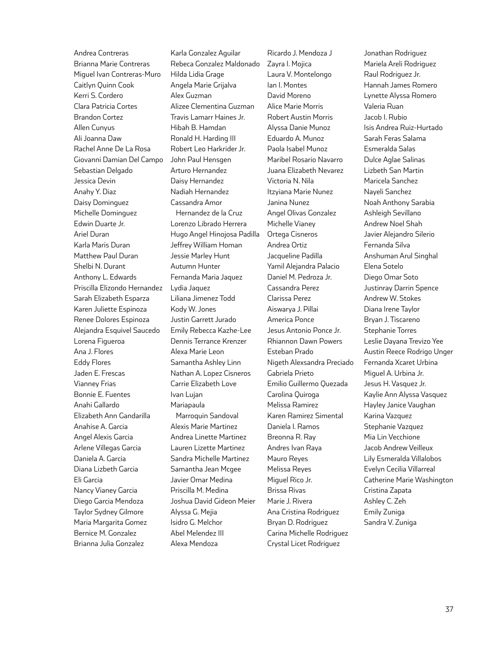Andrea Contreras Brianna Marie Contreras Miguel Ivan Contreras-Muro Caitlyn Quinn Cook Kerri S. Cordero Clara Patricia Cortes Brandon Cortez Allen Cunyus Ali Joanna Daw Rachel Anne De La Rosa Giovanni Damian Del Campo Sebastian Delgado Jessica Devin Anahy Y. Diaz Daisy Dominguez Michelle Dominguez Edwin Duarte Jr. Ariel Duran Karla Maris Duran Matthew Paul Duran Shelbi N. Durant Anthony L. Edwards Priscilla Elizondo Hernandez Sarah Elizabeth Esparza Karen Juliette Espinoza Renee Dolores Espinoza Alejandra Esquivel Saucedo Lorena Figueroa Ana J. Flores Eddy Flores Jaden E. Frescas Vianney Frias Bonnie E. Fuentes Anahi Gallardo Elizabeth Ann Gandarilla Anahise A. Garcia Angel Alexis Garcia Arlene Villegas Garcia Daniela A. Garcia Diana Lizbeth Garcia Eli Garcia Nancy Vianey Garcia Diego Garcia Mendoza Taylor Sydney Gilmore Maria Margarita Gomez Bernice M. Gonzalez Brianna Julia Gonzalez

Karla Gonzalez Aguilar Rebeca Gonzalez Maldonado Hilda Lidia Grage Angela Marie Grijalva Alex Guzman Alizee Clementina Guzman Travis Lamarr Haines Jr. Hibah B. Hamdan Ronald H. Harding III Robert Leo Harkrider Jr. John Paul Hensgen Arturo Hernandez Daisy Hernandez Nadiah Hernandez Cassandra Amor Hernandez de la Cruz Lorenzo Librado Herrera Hugo Angel Hinojosa Padilla Jeffrey William Homan Jessie Marley Hunt Autumn Hunter Fernanda Maria Jaquez Lydia Jaquez Liliana Jimenez Todd Kody W. Jones Justin Garrett Jurado Emily Rebecca Kazhe-Lee Dennis Terrance Krenzer Alexa Marie Leon Samantha Ashley Linn Nathan A. Lopez Cisneros Carrie Elizabeth Love Ivan Lujan Mariapaula Marroquin Sandoval Alexis Marie Martinez Andrea Linette Martinez Lauren Lizette Martinez Sandra Michelle Martinez Samantha Jean Mcgee Javier Omar Medina Priscilla M. Medina Joshua David Gideon Meier Alyssa G. Mejia Isidro G. Melchor Abel Melendez III Alexa Mendoza

Ricardo J. Mendoza J Zayra I. Mojica Laura V. Montelongo Ian I. Montes David Moreno Alice Marie Morris Robert Austin Morris Alyssa Danie Munoz Eduardo A. Munoz Paola Isabel Munoz Maribel Rosario Navarro Juana Elizabeth Nevarez Victoria N. Nila Itzyiana Marie Nunez Janina Nunez Angel Olivas Gonzalez Michelle Vianey Ortega Cisneros Andrea Ortiz Jacqueline Padilla Yamil Alejandra Palacio Daniel M. Pedroza Jr. Cassandra Perez Clarissa Perez Aiswarya J. Pillai America Ponce Jesus Antonio Ponce Jr. Rhiannon Dawn Powers Esteban Prado Nigeth Alexsandra Preciado Gabriela Prieto Emilio Guillermo Quezada Carolina Quiroga Melissa Ramirez Karen Ramirez Simental Daniela I. Ramos Breonna R. Ray Andres Ivan Raya Mauro Reyes Melissa Reyes Miguel Rico Jr. Brissa Rivas Marie J. Rivera Ana Cristina Rodriguez Bryan D. Rodriguez Carina Michelle Rodriguez Crystal Licet Rodriguez

Jonathan Rodriguez Mariela Areli Rodriguez Raul Rodriguez Jr. Hannah James Romero Lynette Alyssa Romero Valeria Ruan Jacob I. Rubio Isis Andrea Ruiz-Hurtado Sarah Feras Salama Esmeralda Salas Dulce Aglae Salinas Lizbeth San Martin Maricela Sanchez Nayeli Sanchez Noah Anthony Sarabia Ashleigh Sevillano Andrew Noel Shah Javier Alejandro Silerio Fernanda Silva Anshuman Arul Singhal Elena Sotelo Diego Omar Soto Justinray Darrin Spence Andrew W. Stokes Diana Irene Taylor Bryan J. Tiscareno Stephanie Torres Leslie Dayana Trevizo Yee Austin Reece Rodrigo Unger Fernanda Xcaret Urbina Miguel A. Urbina Jr. Jesus H. Vasquez Jr. Kaylie Ann Alyssa Vasquez Hayley Janice Vaughan Karina Vazquez Stephanie Vazquez Mia Lin Vecchione Jacob Andrew Veilleux Lily Esmeralda Villalobos Evelyn Cecilia Villarreal Catherine Marie Washington Cristina Zapata Ashley C. Zeh Emily Zuniga Sandra V. Zuniga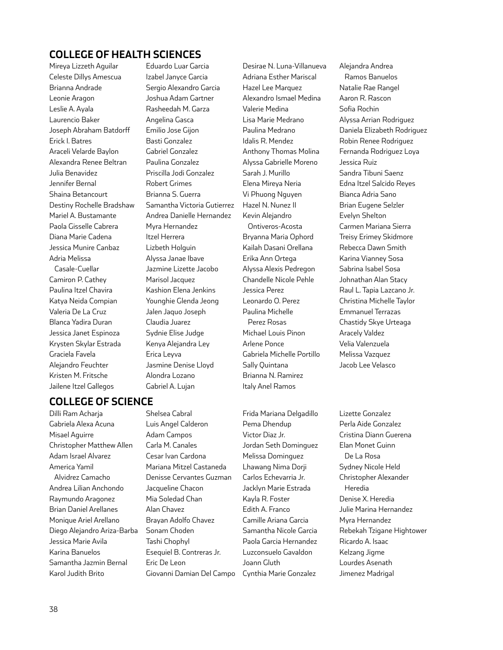# **COLLEGE OF HEALTH SCIENCES**

Mireya Lizzeth Aguilar Celeste Dillys Amescua Brianna Andrade Leonie Aragon Leslie A. Ayala Laurencio Baker Joseph Abraham Batdorff Erick I. Batres Araceli Velarde Baylon Alexandra Renee Beltran Julia Benavidez Jennifer Bernal Shaina Betancourt Destiny Rochelle Bradshaw Mariel A. Bustamante Paola Gisselle Cabrera Diana Marie Cadena Jessica Munire Canbaz Adria Melissa Casale-Cuellar

Camiron P. Cathey Paulina Itzel Chavira Katya Neida Compian Valeria De La Cruz Blanca Yadira Duran Jessica Janet Espinoza Krysten Skylar Estrada Graciela Favela Alejandro Feuchter Kristen M. Fritsche Jailene Itzel Gallegos

# **COLLEGE OF SCIENCE**

Dilli Ram Acharja Gabriela Alexa Acuna Misael Aguirre Christopher Matthew Allen Adam Israel Alvarez America Yamil Alvidrez Camacho Andrea Lilian Anchondo Raymundo Aragonez Brian Daniel Arellanes Monique Ariel Arellano Diego Alejandro Ariza-Barba Jessica Marie Avila Karina Banuelos Samantha Jazmin Bernal Karol Judith Brito

Eduardo Luar Garcia Izabel Janyce Garcia Sergio Alexandro Garcia Joshua Adam Gartner Rasheedah M. Garza Angelina Gasca Emilio Jose Gijon Basti Gonzalez Gabriel Gonzalez Paulina Gonzalez Priscilla Jodi Gonzalez Robert Grimes Brianna S. Guerra Samantha Victoria Gutierrez Andrea Danielle Hernandez Myra Hernandez Itzel Herrera Lizbeth Holguin Alyssa Janae Ibave Jazmine Lizette Jacobo Marisol Jacquez Kashion Elena Jenkins Younghie Glenda Jeong Jalen Jaquo Joseph Claudia Juarez Sydnie Elise Judge Kenya Alejandra Ley Erica Leyva Jasmine Denise Lloyd Alondra Lozano Gabriel A. Lujan

Shelsea Cabral Luis Angel Calderon Adam Campos Carla M. Canales Cesar Ivan Cardona Mariana Mitzel Castaneda Denisse Cervantes Guzman Jacqueline Chacon Mia Soledad Chan Alan Chavez Brayan Adolfo Chavez Sonam Choden Tashi Chophyl Esequiel B. Contreras Jr. Eric De Leon Giovanni Damian Del Campo

Desirae N. Luna-Villanueva Adriana Esther Mariscal Hazel Lee Marquez Alexandro Ismael Medina Valerie Medina Lisa Marie Medrano Paulina Medrano Idalis R. Mendez Anthony Thomas Molina Alyssa Gabrielle Moreno Sarah J. Murillo Elena Mireya Neria Vi Phuong Nguyen Hazel N. Nunez II Kevin Alejandro Ontiveros-Acosta Bryanna Maria Ophord Kailah Dasani Orellana Erika Ann Ortega Alyssa Alexis Pedregon Chandelle Nicole Pehle Jessica Perez Leonardo O. Perez Paulina Michelle Perez Rosas Michael Louis Pinon Arlene Ponce Gabriela Michelle Portillo Sally Quintana Brianna N. Ramirez Italy Anel Ramos

Frida Mariana Delgadillo Pema Dhendup Victor Diaz Jr. Jordan Seth Dominguez Melissa Dominguez Lhawang Nima Dorji Carlos Echevarria Jr. Jacklyn Marie Estrada Kayla R. Foster Edith A. Franco Camille Ariana Garcia Samantha Nicole Garcia Paola Garcia Hernandez Luzconsuelo Gavaldon Joann Gluth Cynthia Marie Gonzalez

Alejandra Andrea Ramos Banuelos Natalie Rae Rangel Aaron R. Rascon Sofia Rochin Alyssa Arrian Rodriguez Daniela Elizabeth Rodriguez Robin Renee Rodriguez Fernanda Rodriguez Loya Jessica Ruiz Sandra Tibuni Saenz Edna Itzel Salcido Reyes Bianca Adria Sano Brian Eugene Selzler Evelyn Shelton Carmen Mariana Sierra Treisy Erimey Skidmore Rebecca Dawn Smith Karina Vianney Sosa Sabrina Isabel Sosa Johnathan Alan Stacy Raul L. Tapia Lazcano Jr. Christina Michelle Taylor Emmanuel Terrazas Chastidy Skye Urteaga Aracely Valdez Velia Valenzuela Melissa Vazquez

Lizette Gonzalez Perla Aide Gonzalez Cristina Diann Guerena Elan Monet Guinn De La Rosa Sydney Nicole Held Christopher Alexander Heredia Denise X. Heredia Julie Marina Hernandez Myra Hernandez Rebekah Tzigane Hightower Ricardo A. Isaac Kelzang Jigme Lourdes Asenath Jimenez Madrigal

Jacob Lee Velasco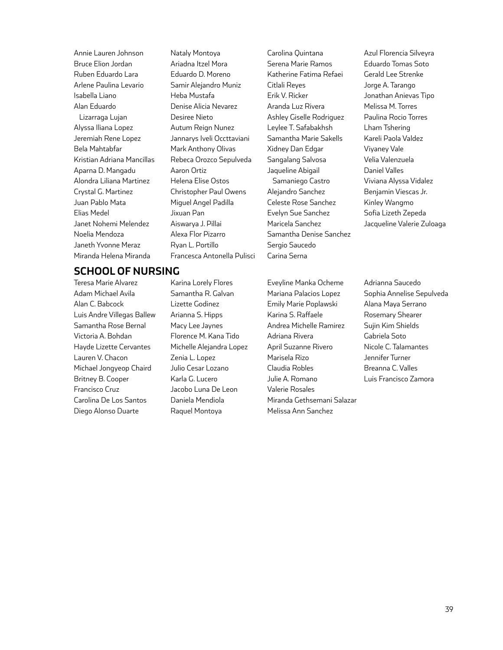Annie Lauren Johnson Bruce Elion Jordan Ruben Eduardo Lara Arlene Paulina Levario Isabella Liano Alan Eduardo Lizarraga Lujan Alyssa Iliana Lopez Jeremiah Rene Lopez Bela Mahtabfar Kristian Adriana Mancillas Aparna D. Mangadu Alondra Liliana Martinez Crystal G. Martinez Juan Pablo Mata Elias Medel Janet Nohemi Melendez Noelia Mendoza Janeth Yvonne Meraz Miranda Helena Miranda

# **SCHOOL OF NURSING**

Teresa Marie Alvarez Adam Michael Avila Alan C. Babcock Luis Andre Villegas Ballew Samantha Rose Bernal Victoria A. Bohdan Hayde Lizette Cervantes Lauren V. Chacon Michael Jongyeop Chaird Britney B. Cooper Francisco Cruz Carolina De Los Santos Diego Alonso Duarte

Miguel Angel Padilla Jixuan Pan Aiswarya J. Pillai Alexa Flor Pizarro Ryan L. Portillo Francesca Antonella Pulisci Karina Lorely Flores Samantha R. Galvan Lizette Godinez Arianna S. Hipps Macy Lee Jaynes Florence M. Kana Tido Michelle Alejandra Lopez Zenia L. Lopez Julio Cesar Lozano Karla G. Lucero Jacobo Luna De Leon Daniela Mendiola Raquel Montoya

Nataly Montoya Ariadna Itzel Mora Eduardo D. Moreno Samir Alejandro Muniz

Heba Mustafa Denise Alicia Nevarez Desiree Nieto Autum Reign Nunez Jannarys Iveli Occttaviani Mark Anthony Olivas Rebeca Orozco Sepulveda

Aaron Ortiz Helena Elise Ostos Christopher Paul Owens

Carolina Quintana Serena Marie Ramos Katherine Fatima Refaei Citlali Reyes Erik V. Ricker Aranda Luz Rivera Ashley Giselle Rodriguez Leylee T. Safabakhsh Samantha Marie Sakells Xidney Dan Edgar Sangalang Salvosa Jaqueline Abigail Samaniego Castro Alejandro Sanchez Celeste Rose Sanchez Evelyn Sue Sanchez Maricela Sanchez Samantha Denise Sanchez Sergio Saucedo Carina Serna

Eveyline Manka Ocheme Mariana Palacios Lopez Emily Marie Poplawski Karina S. Raffaele Andrea Michelle Ramirez Adriana Rivera April Suzanne Rivero Marisela Rizo Claudia Robles Julie A. Romano Valerie Rosales Miranda Gethsemani Salazar Melissa Ann Sanchez

Azul Florencia Silveyra Eduardo Tomas Soto Gerald Lee Strenke Jorge A. Tarango Jonathan Anievas Tipo Melissa M. Torres Paulina Rocio Torres Lham Tshering Kareli Paola Valdez Viyaney Vale Velia Valenzuela Daniel Valles Viviana Alyssa Vidalez Benjamin Viescas Jr. Kinley Wangmo Sofia Lizeth Zepeda Jacqueline Valerie Zuloaga

Adrianna Saucedo Sophia Annelise Sepulveda Alana Maya Serrano Rosemary Shearer Sujin Kim Shields Gabriela Soto Nicole C. Talamantes Jennifer Turner Breanna C. Valles Luis Francisco Zamora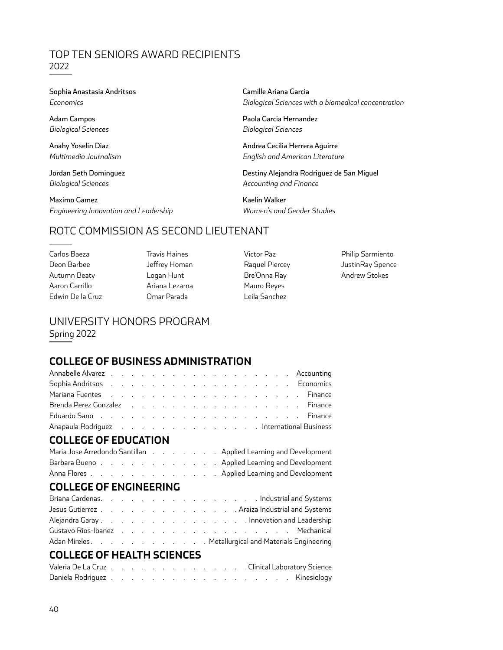# TOP TEN SENIORS AWARD RECIPIENTS 2022

Sophia Anastasia Andritsos *Economics* 

Adam Campos *Biological Sciences* 

Anahy Yoselin Diaz *Multimedia Journalism* 

Jordan Seth Dominguez *Biological Sciences* 

Maximo Gamez *Engineering Innovation and Leadership*  Camille Ariana Garcia *Biological Sciences with a biomedical concentration* 

Paola Garcia Hernandez *Biological Sciences* 

Andrea Cecilia Herrera Aguirre *English and American Literature* 

Destiny Alejandra Rodriguez de San Miguel *Accounting and Finance* 

Kaelin Walker *Women's and Gender Studies* 

# ROTC COMMISSION AS SECOND LIEUTENANT

Carlos Baeza Deon Barbee Autumn Beaty Aaron Carrillo Edwin De la Cruz Travis Haines Jeffrey Homan Logan Hunt Ariana Lezama Omar Parada

Victor Paz Raquel Piercey Bre'Onna Ray Mauro Reyes Leila Sanchez

Philip Sarmiento JustinRay Spence Andrew Stokes

#### UNIVERSITY HONORS PROGRAM Spring 2022

# **COLLEGE OF BUSINESS ADMINISTRATION**

| Sophia Andritsos (Collection Collection Collection Collection Contracts) and Contracts Contracts Contracts (Co      |  |  |  |  |  |  |  |  |  |  |  |
|---------------------------------------------------------------------------------------------------------------------|--|--|--|--|--|--|--|--|--|--|--|
| Mariana Fuentes and a contract to contract the contract of the contract of the contract of the contract of the      |  |  |  |  |  |  |  |  |  |  |  |
| Brenda Perez Gonzalez (b. 1990), contract the contract of the contract of the Brenda Perez Gonzalez                 |  |  |  |  |  |  |  |  |  |  |  |
| Eduardo Sano in the contract to the contract to the contract of the contract of the contract of the contract of     |  |  |  |  |  |  |  |  |  |  |  |
| Anapaula Rodriguez (Anapaula Contract Anapaula Rodriguez (Anapaula Contract Anapaula Rodriguez (Anapaula Contr      |  |  |  |  |  |  |  |  |  |  |  |
| <b>COLLEGE OF EDUCATION</b>                                                                                         |  |  |  |  |  |  |  |  |  |  |  |
| Maria Jose Arredondo Santillan Applied Learning and Development                                                     |  |  |  |  |  |  |  |  |  |  |  |
| Barbara Bueno Applied Learning and Development                                                                      |  |  |  |  |  |  |  |  |  |  |  |
| Anna Flores Applied Learning and Development                                                                        |  |  |  |  |  |  |  |  |  |  |  |
| <b>COLLEGE OF ENGINEERING</b>                                                                                       |  |  |  |  |  |  |  |  |  |  |  |
| Briana Cardenas. (Ed. 2010). The Cardenas Article Marian Article Marian Article and Systems                         |  |  |  |  |  |  |  |  |  |  |  |
| Jesus Gutierrez Araiza Industrial and Systems                                                                       |  |  |  |  |  |  |  |  |  |  |  |
| Alejandra Garay Innovation and Leadership                                                                           |  |  |  |  |  |  |  |  |  |  |  |
| Gustavo Rios-Ibanez Mechanical                                                                                      |  |  |  |  |  |  |  |  |  |  |  |
| Adan Mireles. Metallurgical and Materials Engineering                                                               |  |  |  |  |  |  |  |  |  |  |  |
| <b>COLLEGE OF HEALTH SCIENCES</b>                                                                                   |  |  |  |  |  |  |  |  |  |  |  |
| Valeria De La Cruz (Cruz Andreas Andreas Andreas Andreas Andreas Andreas Andreas Anders Clinical Laboratory Science |  |  |  |  |  |  |  |  |  |  |  |
| Daniela Rodriguez Kinesiology                                                                                       |  |  |  |  |  |  |  |  |  |  |  |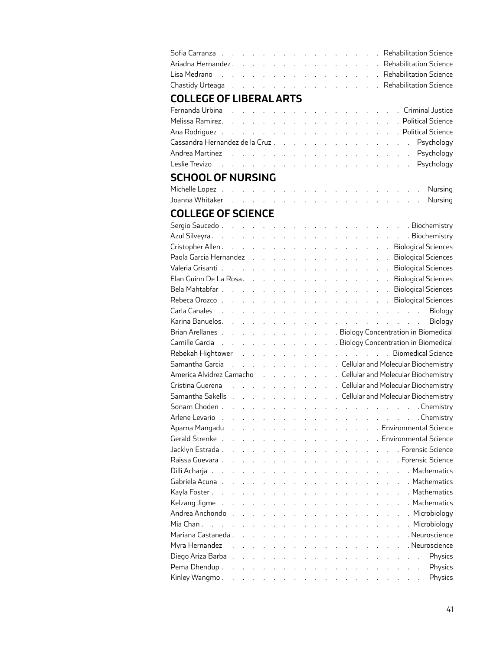| Sofia Carranza in province a construction of the Sofia Carranza                                                                                                                                                                                  |                |                           |                |                            |                      |                      |                            |                      |                      |        |                          |                      |                                                     |                                                                                 | $\mathbf{r}$                          |                |                            |                          | <b>Rehabilitation Science</b>                                                                                  |  |
|--------------------------------------------------------------------------------------------------------------------------------------------------------------------------------------------------------------------------------------------------|----------------|---------------------------|----------------|----------------------------|----------------------|----------------------|----------------------------|----------------------|----------------------|--------|--------------------------|----------------------|-----------------------------------------------------|---------------------------------------------------------------------------------|---------------------------------------|----------------|----------------------------|--------------------------|----------------------------------------------------------------------------------------------------------------|--|
| Ariadna Hernandez.                                                                                                                                                                                                                               |                |                           |                |                            |                      |                      |                            |                      |                      |        |                          |                      | and the company of the company of the               |                                                                                 | $\mathcal{L}^{\mathcal{L}}$           |                |                            |                          | Rehabilitation Science                                                                                         |  |
| Lisa Medrano<br>and the contract of the contract of the contract of the                                                                                                                                                                          |                |                           |                |                            |                      |                      |                            |                      |                      |        |                          |                      |                                                     |                                                                                 |                                       |                |                            |                          | . Rehabilitation Science                                                                                       |  |
| Chastidy Urteaga (Chastidy Urteaga (Chastidy Chastidy Urteaga (Chastian Chastian Chastian Chastian Chastian Ch                                                                                                                                   |                |                           |                |                            |                      |                      |                            |                      |                      |        |                          |                      |                                                     |                                                                                 |                                       |                |                            |                          |                                                                                                                |  |
| <b>COLLEGE OF LIBERAL ARTS</b>                                                                                                                                                                                                                   |                |                           |                |                            |                      |                      |                            |                      |                      |        |                          |                      |                                                     |                                                                                 |                                       |                |                            |                          |                                                                                                                |  |
| Fernanda Urbina e conservación de la conservación de la conservación de la conservación de la conservación de                                                                                                                                    |                |                           |                |                            |                      |                      |                            |                      |                      |        |                          |                      |                                                     |                                                                                 |                                       |                |                            |                          | . Criminal Justice                                                                                             |  |
| Melissa Ramirez.                                                                                                                                                                                                                                 |                |                           |                |                            |                      |                      |                            |                      |                      |        |                          |                      |                                                     | and a state                                                                     |                                       | $\mathbf{r}$   |                            |                          | . Political Science                                                                                            |  |
| Ana Rodriguez.                                                                                                                                                                                                                                   |                |                           |                |                            |                      |                      |                            |                      |                      |        |                          |                      |                                                     | and the contract of the contract of the contract of the                         |                                       |                |                            |                          | . Political Science                                                                                            |  |
| Cassandra Hernandez de la Cruz.                                                                                                                                                                                                                  |                |                           |                |                            |                      |                      |                            |                      |                      |        |                          |                      |                                                     |                                                                                 |                                       |                | $\mathcal{L}^{\pm}$        |                          | Psychology                                                                                                     |  |
| Andrea Martinez                                                                                                                                                                                                                                  |                |                           |                |                            |                      |                      |                            |                      |                      |        |                          |                      |                                                     | and the second contract of the second contract of the second                    |                                       |                |                            |                          | Psychology                                                                                                     |  |
| and the contract of the contract of the contract of the contract of the contract of the contract of the contract of the contract of the contract of the contract of the contract of the contract of the contract of the contra<br>Leslie Trevizo |                |                           |                |                            |                      |                      |                            |                      |                      |        |                          |                      |                                                     |                                                                                 |                                       |                |                            |                          | Psychology                                                                                                     |  |
| <b>SCHOOL OF NURSING</b>                                                                                                                                                                                                                         |                |                           |                |                            |                      |                      |                            |                      |                      |        |                          |                      |                                                     |                                                                                 |                                       |                |                            |                          |                                                                                                                |  |
|                                                                                                                                                                                                                                                  |                |                           |                |                            |                      |                      |                            |                      |                      |        |                          |                      |                                                     |                                                                                 |                                       |                |                            |                          | Nursing                                                                                                        |  |
| Joanna Whitaker                                                                                                                                                                                                                                  |                |                           |                |                            |                      |                      |                            |                      |                      |        |                          |                      | and the contract of the contract of the contract of |                                                                                 |                                       |                | and a state of             | l.                       | Nursing                                                                                                        |  |
| <b>COLLEGE OF SCIENCE</b>                                                                                                                                                                                                                        |                |                           |                |                            |                      |                      |                            |                      |                      |        |                          |                      |                                                     |                                                                                 |                                       |                |                            |                          |                                                                                                                |  |
| Sergio Saucedo Biochemistry                                                                                                                                                                                                                      |                |                           |                |                            |                      |                      |                            |                      |                      |        |                          |                      |                                                     |                                                                                 |                                       |                |                            |                          |                                                                                                                |  |
|                                                                                                                                                                                                                                                  |                |                           |                |                            |                      |                      |                            |                      |                      |        |                          |                      |                                                     |                                                                                 |                                       |                |                            |                          |                                                                                                                |  |
| Cristopher Allen Biological Sciences                                                                                                                                                                                                             |                |                           |                |                            |                      |                      |                            |                      |                      |        |                          |                      |                                                     |                                                                                 |                                       |                |                            |                          |                                                                                                                |  |
| Paola Garcia Hernandez Biological Sciences                                                                                                                                                                                                       |                |                           |                |                            |                      |                      |                            |                      |                      |        |                          |                      |                                                     |                                                                                 |                                       |                |                            |                          |                                                                                                                |  |
| Valeria Grisanti                                                                                                                                                                                                                                 |                |                           |                |                            |                      |                      |                            |                      |                      |        |                          |                      |                                                     |                                                                                 |                                       |                |                            |                          | . Biological Sciences                                                                                          |  |
| Elan Guinn De La Rosa.                                                                                                                                                                                                                           |                |                           |                |                            |                      |                      |                            |                      |                      |        |                          |                      |                                                     | <b>Contract Contract</b>                                                        |                                       |                |                            |                          | . Biological Sciences                                                                                          |  |
| Bela Mahtabfar                                                                                                                                                                                                                                   |                |                           |                |                            |                      |                      |                            |                      |                      |        |                          |                      |                                                     |                                                                                 |                                       |                |                            |                          | . Biological Sciences                                                                                          |  |
| Rebeca Orozco de la provincia de la provincia de la provincia de la provincia de la provincia de la provincia                                                                                                                                    |                |                           |                |                            |                      |                      |                            |                      |                      |        |                          |                      |                                                     |                                                                                 |                                       |                |                            |                          | . Biological Sciences                                                                                          |  |
| Carla Canales<br>and the contract of the contract of the contract of the contract of the contract of the contract of the contract of the contract of the contract of the contract of the contract of the contract of the contract of the contra  |                |                           |                |                            |                      |                      |                            |                      |                      |        |                          |                      |                                                     |                                                                                 |                                       |                |                            |                          | Biology                                                                                                        |  |
| Karina Banuelos.                                                                                                                                                                                                                                 |                |                           |                |                            |                      |                      |                            |                      |                      |        |                          |                      |                                                     | the contract of the contract of the contract of the contract of the contract of |                                       |                |                            |                          | Biology                                                                                                        |  |
| Brian Arellanes Biology Concentration in Biomedical                                                                                                                                                                                              |                |                           |                |                            |                      |                      |                            |                      |                      |        |                          |                      |                                                     |                                                                                 |                                       |                |                            |                          |                                                                                                                |  |
| Camille Garcia                                                                                                                                                                                                                                   |                |                           |                | $\mathcal{L}^{\text{max}}$ |                      |                      |                            |                      |                      |        |                          |                      |                                                     |                                                                                 |                                       |                |                            |                          | . Biology Concentration in Biomedical                                                                          |  |
| Rebekah Hightower                                                                                                                                                                                                                                |                | $\mathcal{L}=\mathcal{L}$ |                |                            |                      |                      |                            |                      |                      |        |                          |                      |                                                     |                                                                                 |                                       |                |                            |                          | . Biomedical Science                                                                                           |  |
| Samantha Garcia                                                                                                                                                                                                                                  |                |                           |                |                            |                      |                      |                            |                      |                      |        |                          |                      |                                                     |                                                                                 |                                       |                |                            |                          | a continuing the contract of the contract of the contract of the contract of the contract of the contract of t |  |
| America Alvidrez Camacho                                                                                                                                                                                                                         |                |                           |                |                            |                      |                      |                            |                      |                      |        |                          |                      |                                                     |                                                                                 |                                       |                |                            |                          | Ellular and Molecular Biochemistry                                                                             |  |
| Cristina Guerena (e.g., e.g., e.g., e.g., e.g., cellular and Molecular Biochemistry                                                                                                                                                              |                |                           |                |                            |                      |                      |                            |                      |                      |        |                          |                      |                                                     |                                                                                 |                                       |                |                            |                          |                                                                                                                |  |
| Samantha Sakells Cellular and Molecular Biochemistry                                                                                                                                                                                             |                |                           |                |                            |                      |                      |                            |                      |                      |        |                          |                      |                                                     |                                                                                 |                                       |                |                            |                          |                                                                                                                |  |
|                                                                                                                                                                                                                                                  |                |                           |                |                            |                      |                      |                            |                      |                      |        |                          |                      |                                                     |                                                                                 |                                       |                |                            |                          |                                                                                                                |  |
| Arlene Levario.                                                                                                                                                                                                                                  |                |                           |                |                            |                      |                      |                            |                      |                      |        |                          |                      |                                                     |                                                                                 |                                       |                | $\mathcal{L}^{\text{max}}$ |                          | . Chemistry                                                                                                    |  |
| Aparna Mangadu                                                                                                                                                                                                                                   |                |                           |                |                            |                      |                      |                            |                      |                      |        | $\ddot{\phantom{0}}$     | ÷.                   | $\sim$ .<br>ä,                                      |                                                                                 |                                       |                |                            |                          | . Environmental Science                                                                                        |  |
| Gerald Strenke.                                                                                                                                                                                                                                  |                |                           | l.             | $\mathbf{r}$               | $\ddot{\phantom{a}}$ | $\ddot{\phantom{a}}$ |                            | $\ddot{\phantom{a}}$ | $\ddot{\phantom{a}}$ |        | $\sim$                   | $\ddot{\phantom{a}}$ | $\sim$ $\sim$                                       | $\sim$                                                                          |                                       |                |                            |                          | . Environmental Science                                                                                        |  |
| Jacklyn Estrada.                                                                                                                                                                                                                                 |                |                           |                | l.                         | l.                   | l.                   | l.                         | $\overline{a}$       |                      |        | $\overline{a}$           | $\mathbf{r}$         | <b>Contract</b>                                     |                                                                                 | $\ddot{\phantom{a}}$                  | $\mathcal{L}$  |                            |                          | . Forensic Science                                                                                             |  |
| Raissa Guevara.                                                                                                                                                                                                                                  |                |                           |                |                            |                      |                      |                            |                      |                      |        |                          |                      |                                                     |                                                                                 | $\mathbf{r}$                          |                |                            |                          | . Forensic Science                                                                                             |  |
| Dilli Acharja.                                                                                                                                                                                                                                   |                |                           |                |                            |                      |                      |                            |                      |                      |        |                          |                      |                                                     |                                                                                 |                                       |                |                            |                          | . Mathematics                                                                                                  |  |
| Gabriela Acuna .                                                                                                                                                                                                                                 |                |                           |                |                            |                      |                      |                            |                      |                      |        |                          |                      |                                                     |                                                                                 |                                       |                |                            |                          | . Mathematics                                                                                                  |  |
| Kayla Foster.                                                                                                                                                                                                                                    |                |                           |                |                            |                      |                      |                            |                      |                      |        |                          |                      |                                                     |                                                                                 |                                       |                |                            |                          | . Mathematics                                                                                                  |  |
|                                                                                                                                                                                                                                                  |                |                           |                |                            | $\ddot{\phantom{a}}$ | l.                   |                            | ä,                   | l.                   |        |                          |                      |                                                     |                                                                                 |                                       | $\overline{a}$ |                            |                          | . Mathematics                                                                                                  |  |
| Kelzang Jigme<br>Andrea Anchondo                                                                                                                                                                                                                 |                |                           |                |                            |                      |                      | $\mathcal{L}^{\text{max}}$ |                      |                      |        |                          |                      |                                                     |                                                                                 |                                       |                |                            |                          | . Microbiology                                                                                                 |  |
| Mia Chan.                                                                                                                                                                                                                                        |                | $\overline{a}$            | $\overline{a}$ | $\mathbf{r}$               | $\overline{a}$       | l.                   | $\mathbf{r}$               | $\sim$               |                      |        |                          |                      |                                                     |                                                                                 | $\ddot{\phantom{a}}$                  | $\overline{a}$ |                            |                          |                                                                                                                |  |
| Mariana Castaneda.                                                                                                                                                                                                                               |                |                           |                |                            |                      |                      |                            |                      |                      |        |                          |                      |                                                     |                                                                                 |                                       |                |                            |                          | . Microbiology                                                                                                 |  |
|                                                                                                                                                                                                                                                  |                |                           |                |                            |                      |                      |                            |                      |                      |        |                          |                      |                                                     |                                                                                 |                                       |                |                            |                          | . Neuroscience                                                                                                 |  |
| Myra Hernandez                                                                                                                                                                                                                                   |                |                           |                |                            |                      |                      |                            |                      |                      |        |                          |                      |                                                     |                                                                                 |                                       |                |                            |                          | . Neuroscience                                                                                                 |  |
| Diego Ariza Barba.                                                                                                                                                                                                                               |                |                           |                |                            | J.                   | $\sim 10$            | $\mathbf{r}$               | $\sim 10^{-1}$       | $\mathbf{L}$         | $\sim$ | $\overline{\phantom{a}}$ | ä,                   |                                                     | $\ddot{\phantom{a}}$                                                            | ä,                                    |                |                            | $\overline{\phantom{a}}$ | Physics                                                                                                        |  |
| Pema Dhendup.                                                                                                                                                                                                                                    |                |                           | l.             | $\sim$                     | $\overline{a}$       | <b>Carl Corp.</b>    |                            |                      | <b>Contractor</b>    |        |                          | ÷.                   | $\overline{a}$                                      | $\sim$                                                                          | $\ddot{\phantom{a}}$<br>$\mathcal{L}$ | $\sim$         |                            |                          | Physics                                                                                                        |  |
| Kinley Wangmo.                                                                                                                                                                                                                                   | $\overline{a}$ |                           |                |                            |                      |                      |                            |                      |                      |        |                          |                      |                                                     | de la provincia de la provincia de la provincia de la provincia de              |                                       |                |                            |                          | Physics                                                                                                        |  |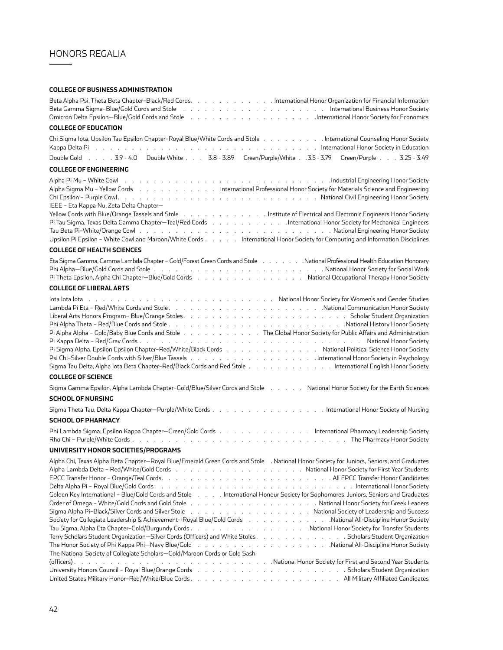# HONORS REGALIA

#### **COLLEGE OF BUSINESS ADMINISTRATION**

| Beta Alpha Psi, Theta Beta Chapter-Black/Red Cords. International Honor Organization for Financial Information<br>Beta Gamma Sigma-Blue/Gold Cords and Stole National Account Account Account Account Account Account Account Account<br>Omicron Delta Epsilon-Blue/Gold Cords and Stole (b) contains the context of the conducts of Scorety for Economics                                                                                                                                                                                                                                                                                                                                                                                                                                                                                                                                                                                                                                                                                                                       |
|----------------------------------------------------------------------------------------------------------------------------------------------------------------------------------------------------------------------------------------------------------------------------------------------------------------------------------------------------------------------------------------------------------------------------------------------------------------------------------------------------------------------------------------------------------------------------------------------------------------------------------------------------------------------------------------------------------------------------------------------------------------------------------------------------------------------------------------------------------------------------------------------------------------------------------------------------------------------------------------------------------------------------------------------------------------------------------|
| <b>COLLEGE OF EDUCATION</b>                                                                                                                                                                                                                                                                                                                                                                                                                                                                                                                                                                                                                                                                                                                                                                                                                                                                                                                                                                                                                                                      |
| Chi Sigma lota, Upsilon Tau Epsilon Chapter-Royal Blue/White Cords and Stole Number Schilder Machanal Counseling Honor Society<br>Kappa Delta Pinder Lewissen Lee and Content of Contentional Home Catalonia Lewis Content of Lee and Content Co                                                                                                                                                                                                                                                                                                                                                                                                                                                                                                                                                                                                                                                                                                                                                                                                                                 |
| Double Gold 3.9 - 4.0 Double White 3.8 - 3.89 Green/Purple/White 3.5 - 3.79 Green/Purple 3.25 - 3.49                                                                                                                                                                                                                                                                                                                                                                                                                                                                                                                                                                                                                                                                                                                                                                                                                                                                                                                                                                             |
| <b>COLLEGE OF ENGINEERING</b>                                                                                                                                                                                                                                                                                                                                                                                                                                                                                                                                                                                                                                                                                                                                                                                                                                                                                                                                                                                                                                                    |
| Alpha Pi Mu - White Cowlett of the context of the context of the context of the context of the context of the context of the context of the context of the context of the context of the context of the context of the context<br>Alpha Sigma Mu - Yellow Cords International Professional Honor Society for Materials Science and Engineering<br>IEEE - Eta Kappa Nu, Zeta Delta Chapter-<br>Yellow Cords with Blue/Orange Tassels and Stole Institute of Electrical and Electronic Engineers Honor Society<br>Pi Tau Sigma, Texas Delta Gamma Chapter—Teal/Red Cords International Honor Society for Mechanical Engineers<br>Upsilon Pi Epsilon - White Cowl and Maroon/White Cords International Honor Society for Computing and Information Disciplines                                                                                                                                                                                                                                                                                                                      |
| <b>COLLEGE OF HEALTH SCIENCES</b>                                                                                                                                                                                                                                                                                                                                                                                                                                                                                                                                                                                                                                                                                                                                                                                                                                                                                                                                                                                                                                                |
| Eta Sigma Gamma, Gamma Lambda Chapter - Gold/Forest Green Cords and Stole National Professional Health Education Honorary<br>Pi Theta Epsilon, Alpha Chi Chapter-Blue/Gold Cords National Occupational Therapy Honor Society                                                                                                                                                                                                                                                                                                                                                                                                                                                                                                                                                                                                                                                                                                                                                                                                                                                     |
| <b>COLLEGE OF LIBERAL ARTS</b>                                                                                                                                                                                                                                                                                                                                                                                                                                                                                                                                                                                                                                                                                                                                                                                                                                                                                                                                                                                                                                                   |
| lota lota lota (b) and Cender Studies (Condensation Cender Studies Condensation Center Cender Studies (c) and Cender Studies<br>Pi Alpha Alpha - Gold/Baby Blue Cords and Stole The Global Honor Society for Public Affairs and Administration<br>Pi Sigma Alpha, Epsilon Epsilon Chapter-Red/White/Black Cords National Political Science Honor Society<br>Sigma Tau Delta, Alpha lota Beta Chapter-Red/Black Cords and Red Stole International English Honor Society                                                                                                                                                                                                                                                                                                                                                                                                                                                                                                                                                                                                           |
| <b>COLLEGE OF SCIENCE</b>                                                                                                                                                                                                                                                                                                                                                                                                                                                                                                                                                                                                                                                                                                                                                                                                                                                                                                                                                                                                                                                        |
| Sigma Gamma Epsilon, Alpha Lambda Chapter-Gold/Blue/Silver Cords and Stole National Honor Society for the Earth Sciences                                                                                                                                                                                                                                                                                                                                                                                                                                                                                                                                                                                                                                                                                                                                                                                                                                                                                                                                                         |
| <b>SCHOOL OF NURSING</b>                                                                                                                                                                                                                                                                                                                                                                                                                                                                                                                                                                                                                                                                                                                                                                                                                                                                                                                                                                                                                                                         |
|                                                                                                                                                                                                                                                                                                                                                                                                                                                                                                                                                                                                                                                                                                                                                                                                                                                                                                                                                                                                                                                                                  |
| <b>SCHOOL OF PHARMACY</b>                                                                                                                                                                                                                                                                                                                                                                                                                                                                                                                                                                                                                                                                                                                                                                                                                                                                                                                                                                                                                                                        |
| Phi Lambda Sigma, Epsilon Kappa Chapter-Green/Gold CordsInternational Pharmacy Leadership Society<br>UNIVERSITY HONOR SOCIETIES/PROGRAMS                                                                                                                                                                                                                                                                                                                                                                                                                                                                                                                                                                                                                                                                                                                                                                                                                                                                                                                                         |
|                                                                                                                                                                                                                                                                                                                                                                                                                                                                                                                                                                                                                                                                                                                                                                                                                                                                                                                                                                                                                                                                                  |
| Alpha Chi, Texas Alpha Beta Chapter–Royal Blue/Emerald Green Cords and Stole . National Honor Society for Juniors, Seniors, and Graduates<br>Alpha Lambda Delta - Red/White/Gold Cords National Honor Society for First Year Students<br>Golden Key International - Blue/Gold Cords and Stole International Honour Society for Sophomores, Juniors, Seniors and Graduates<br>Order of Omega - White/Gold Cords and Gold Stole National Honor Society for Greek Leaders<br>Sigma Alpha Pi-Black/Silver Cords and Silver Stole National Society of Leadership and Success<br>Society for Collegiate Leadership & Achievement--Royal Blue/Gold Cords National All-Discipline Honor Society<br>Tau Sigma, Alpha Eta Chapter-Gold/Burgundy Cords National Honor Society for Transfer Students<br>Terry Scholars Student Organization—Silver Cords (Officers) and White Stoles. Scholars Student Organization<br>The Honor Society of Phi Kappa Phi-Navy Blue/Gold National All-Discipline Honor Society<br>The National Society of Collegiate Scholars-Gold/Maroon Cords or Gold Sash |
|                                                                                                                                                                                                                                                                                                                                                                                                                                                                                                                                                                                                                                                                                                                                                                                                                                                                                                                                                                                                                                                                                  |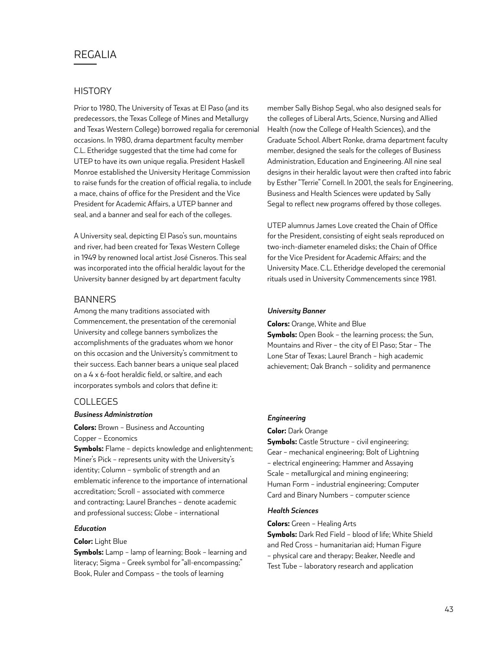#### **HISTORY**

Prior to 1980, The University of Texas at El Paso (and its predecessors, the Texas College of Mines and Metallurgy and Texas Western College) borrowed regalia for ceremonial occasions. In 1980, drama department faculty member C.L. Etheridge suggested that the time had come for UTEP to have its own unique regalia. President Haskell Monroe established the University Heritage Commission to raise funds for the creation of official regalia, to include a mace, chains of office for the President and the Vice President for Academic Affairs, a UTEP banner and seal, and a banner and seal for each of the colleges.

A University seal, depicting El Paso's sun, mountains and river, had been created for Texas Western College in 1949 by renowned local artist José Cisneros. This seal was incorporated into the official heraldic layout for the University banner designed by art department faculty

#### BANNERS

Among the many traditions associated with Commencement, the presentation of the ceremonial University and college banners symbolizes the accomplishments of the graduates whom we honor on this occasion and the University's commitment to their success. Each banner bears a unique seal placed on a 4 x 6-foot heraldic field, or saltire, and each incorporates symbols and colors that define it:

#### COLLEGES

#### *Business Administration*

**Colors:** Brown – Business and Accounting Copper – Economics

**Symbols:** Flame - depicts knowledge and enlightenment; Miner's Pick – represents unity with the University's identity; Column – symbolic of strength and an emblematic inference to the importance of international accreditation; Scroll – associated with commerce and contracting; Laurel Branches – denote academic and professional success; Globe – international

#### *Education*

#### **Color:** Light Blue

**Symbols:** Lamp – lamp of learning; Book – learning and literacy; Sigma – Greek symbol for "all-encompassing;" Book, Ruler and Compass – the tools of learning

member Sally Bishop Segal, who also designed seals for the colleges of Liberal Arts, Science, Nursing and Allied Health (now the College of Health Sciences), and the Graduate School. Albert Ronke, drama department faculty member, designed the seals for the colleges of Business Administration, Education and Engineering. All nine seal designs in their heraldic layout were then crafted into fabric by Esther "Terrie" Cornell. In 2001, the seals for Engineering, Business and Health Sciences were updated by Sally Segal to reflect new programs offered by those colleges.

UTEP alumnus James Love created the Chain of Office for the President, consisting of eight seals reproduced on two-inch-diameter enameled disks; the Chain of Office for the Vice President for Academic Affairs; and the University Mace. C.L. Etheridge developed the ceremonial rituals used in University Commencements since 1981.

#### *University Banner*

**Colors:** Orange, White and Blue

**Symbols:** Open Book – the learning process; the Sun, Mountains and River – the city of El Paso; Star – The Lone Star of Texas; Laurel Branch – high academic achievement; Oak Branch – solidity and permanence

#### *Engineering*

#### **Color:** Dark Orange

**Symbols:** Castle Structure – civil engineering; Gear – mechanical engineering; Bolt of Lightning – electrical engineering; Hammer and Assaying Scale – metallurgical and mining engineering; Human Form – industrial engineering; Computer Card and Binary Numbers – computer science

#### *Health Sciences*

**Colors:** Green – Healing Arts

**Symbols:** Dark Red Field – blood of life; White Shield and Red Cross – humanitarian aid; Human Figure – physical care and therapy; Beaker, Needle and Test Tube – laboratory research and application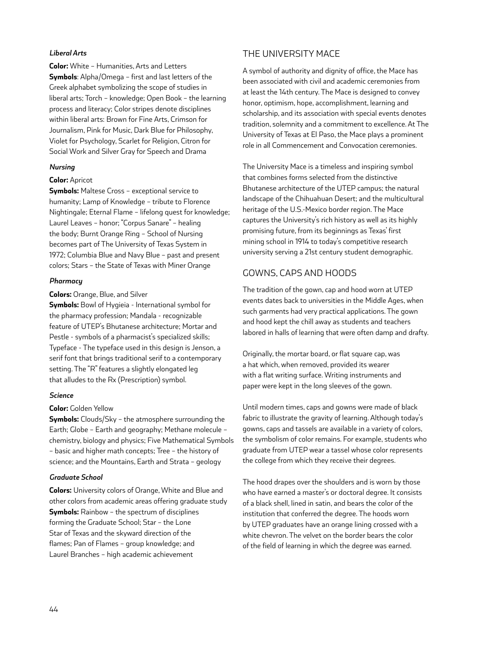#### *Liberal Arts*

**Color:** White – Humanities, Arts and Letters **Symbols**: Alpha/Omega – first and last letters of the Greek alphabet symbolizing the scope of studies in liberal arts; Torch – knowledge; Open Book – the learning process and literacy; Color stripes denote disciplines within liberal arts: Brown for Fine Arts, Crimson for Journalism, Pink for Music, Dark Blue for Philosophy, Violet for Psychology, Scarlet for Religion, Citron for Social Work and Silver Gray for Speech and Drama

#### *Nursing*

#### **Color:** Apricot

**Symbols:** Maltese Cross – exceptional service to humanity; Lamp of Knowledge – tribute to Florence Nightingale; Eternal Flame – lifelong quest for knowledge; Laurel Leaves – honor; "Corpus Sanare" – healing the body; Burnt Orange Ring – School of Nursing becomes part of The University of Texas System in 1972; Columbia Blue and Navy Blue – past and present colors; Stars – the State of Texas with Miner Orange

#### *Pharmacy*

#### **Colors:** Orange, Blue, and Silver

**Symbols:** Bowl of Hygieia - International symbol for the pharmacy profession; Mandala - recognizable feature of UTEP's Bhutanese architecture; Mortar and Pestle - symbols of a pharmacist's specialized skills; Typeface - The typeface used in this design is Jenson, a serif font that brings traditional serif to a contemporary setting. The "R" features a slightly elongated leg that alludes to the Rx (Prescription) symbol.

#### *Science*

#### **Color:** Golden Yellow

**Symbols:** Clouds/Sky – the atmosphere surrounding the Earth; Globe – Earth and geography; Methane molecule – chemistry, biology and physics; Five Mathematical Symbols – basic and higher math concepts; Tree – the history of science; and the Mountains, Earth and Strata – geology

#### *Graduate School*

**Colors:** University colors of Orange, White and Blue and other colors from academic areas offering graduate study **Symbols:** Rainbow – the spectrum of disciplines forming the Graduate School; Star – the Lone Star of Texas and the skyward direction of the flames; Pan of Flames – group knowledge; and Laurel Branches – high academic achievement

#### THE UNIVERSITY MACE

A symbol of authority and dignity of office, the Mace has been associated with civil and academic ceremonies from at least the 14th century. The Mace is designed to convey honor, optimism, hope, accomplishment, learning and scholarship, and its association with special events denotes tradition, solemnity and a commitment to excellence. At The University of Texas at El Paso, the Mace plays a prominent role in all Commencement and Convocation ceremonies.

The University Mace is a timeless and inspiring symbol that combines forms selected from the distinctive Bhutanese architecture of the UTEP campus; the natural landscape of the Chihuahuan Desert; and the multicultural heritage of the U.S.-Mexico border region. The Mace captures the University's rich history as well as its highly promising future, from its beginnings as Texas' first mining school in 1914 to today's competitive research university serving a 21st century student demographic.

### GOWNS, CAPS AND HOODS

The tradition of the gown, cap and hood worn at UTEP events dates back to universities in the Middle Ages, when such garments had very practical applications. The gown and hood kept the chill away as students and teachers labored in halls of learning that were often damp and drafty.

Originally, the mortar board, or flat square cap, was a hat which, when removed, provided its wearer with a flat writing surface. Writing instruments and paper were kept in the long sleeves of the gown.

Until modern times, caps and gowns were made of black fabric to illustrate the gravity of learning. Although today's gowns, caps and tassels are available in a variety of colors, the symbolism of color remains. For example, students who graduate from UTEP wear a tassel whose color represents the college from which they receive their degrees.

The hood drapes over the shoulders and is worn by those who have earned a master's or doctoral degree. It consists of a black shell, lined in satin, and bears the color of the institution that conferred the degree. The hoods worn by UTEP graduates have an orange lining crossed with a white chevron. The velvet on the border bears the color of the field of learning in which the degree was earned.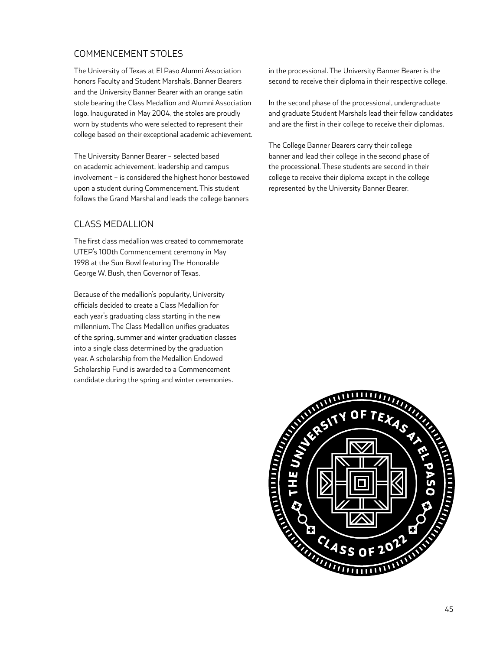#### COMMENCEMENT STOLES

The University of Texas at El Paso Alumni Association honors Faculty and Student Marshals, Banner Bearers and the University Banner Bearer with an orange satin stole bearing the Class Medallion and Alumni Association logo. Inaugurated in May 2004, the stoles are proudly worn by students who were selected to represent their college based on their exceptional academic achievement.

The University Banner Bearer – selected based on academic achievement, leadership and campus involvement – is considered the highest honor bestowed upon a student during Commencement. This student follows the Grand Marshal and leads the college banners

#### CLASS MEDALLION

The first class medallion was created to commemorate UTEP's 100th Commencement ceremony in May 1998 at the Sun Bowl featuring The Honorable George W. Bush, then Governor of Texas.

Because of the medallion's popularity, University officials decided to create a Class Medallion for each year's graduating class starting in the new millennium. The Class Medallion unifies graduates of the spring, summer and winter graduation classes into a single class determined by the graduation year. A scholarship from the Medallion Endowed Scholarship Fund is awarded to a Commencement candidate during the spring and winter ceremonies.

in the processional. The University Banner Bearer is the second to receive their diploma in their respective college.

In the second phase of the processional, undergraduate and graduate Student Marshals lead their fellow candidates and are the first in their college to receive their diplomas.

The College Banner Bearers carry their college banner and lead their college in the second phase of the processional. These students are second in their college to receive their diploma except in the college represented by the University Banner Bearer.

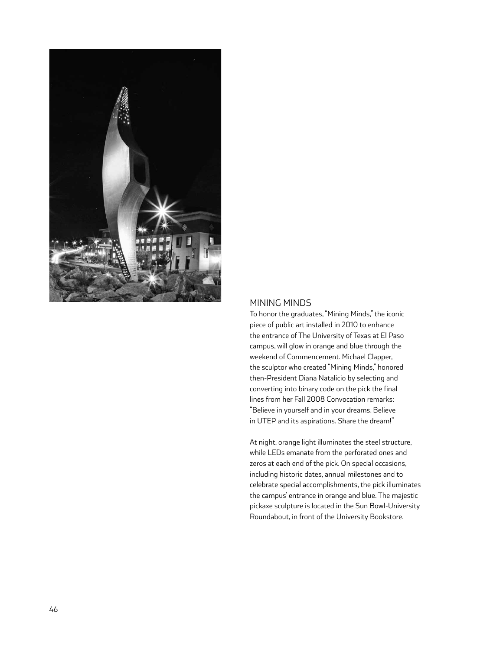

#### MINING MINDS

To honor the graduates, "Mining Minds," the iconic piece of public art installed in 2010 to enhance the entrance of The University of Texas at El Paso campus, will glow in orange and blue through the weekend of Commencement. Michael Clapper, the sculptor who created "Mining Minds," honored then-President Diana Natalicio by selecting and converting into binary code on the pick the final lines from her Fall 2008 Convocation remarks: "Believe in yourself and in your dreams. Believe in UTEP and its aspirations. Share the dream!"

At night, orange light illuminates the steel structure, while LEDs emanate from the perforated ones and zeros at each end of the pick. On special occasions, including historic dates, annual milestones and to celebrate special accomplishments, the pick illuminates the campus' entrance in orange and blue. The majestic pickaxe sculpture is located in the Sun Bowl-University Roundabout, in front of the University Bookstore.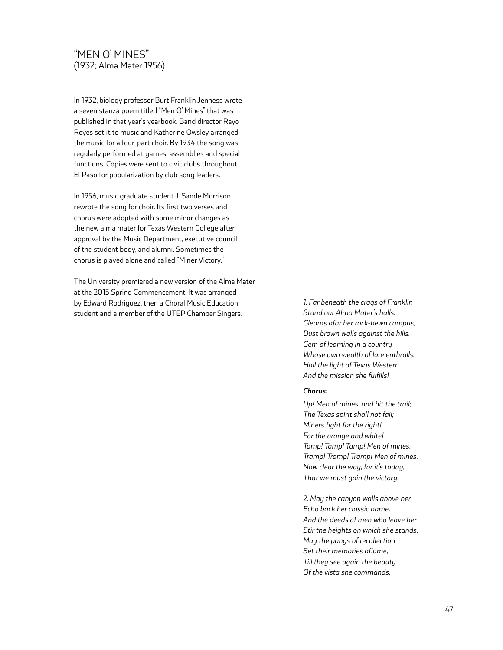#### "MEN O' MINES" (1932; Alma Mater 1956)

In 1932, biology professor Burt Franklin Jenness wrote a seven stanza poem titled "Men O' Mines" that was published in that year's yearbook. Band director Rayo Reyes set it to music and Katherine Owsley arranged the music for a four-part choir. By 1934 the song was regularly performed at games, assemblies and special functions. Copies were sent to civic clubs throughout El Paso for popularization by club song leaders.

In 1956, music graduate student J. Sande Morrison rewrote the song for choir. Its first two verses and chorus were adopted with some minor changes as the new alma mater for Texas Western College after approval by the Music Department, executive council of the student body, and alumni. Sometimes the chorus is played alone and called "Miner Victory."

The University premiered a new version of the Alma Mater at the 2015 Spring Commencement. It was arranged by Edward Rodriguez, then a Choral Music Education student and a member of the UTEP Chamber Singers.

*1. Far beneath the crags of Franklin Stand our Alma Mater's halls. Gleams afar her rock-hewn campus, Dust brown walls against the hills. Gem of learning in a country Whose own wealth of lore enthralls. Hail the light of Texas Western And the mission she fulfills!*

#### *Chorus:*

*Up! Men of mines, and hit the trail; The Texas spirit shall not fail; Miners fight for the right! For the orange and white! Tamp! Tamp! Tamp! Men of mines, Tramp! Tramp! Tramp! Men of mines, Now clear the way, for it's today, That we must gain the victory.*

*2. May the canyon walls above her Echo back her classic name, And the deeds of men who leave her Stir the heights on which she stands. May the pangs of recollection Set their memories aflame, Till they see again the beauty Of the vista she commands.*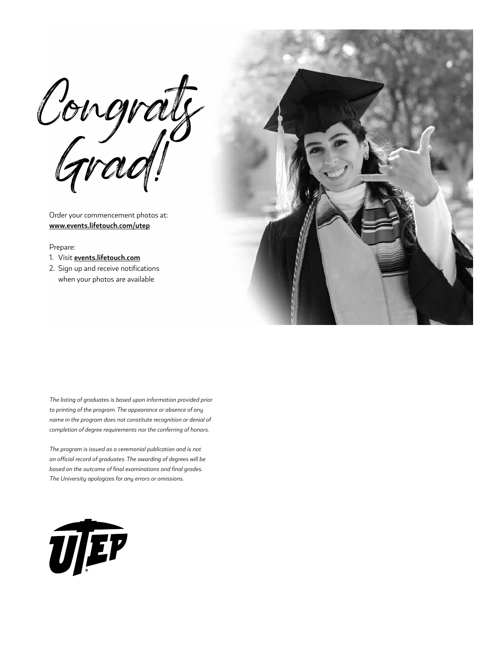Congratz Grad!

Order your commencement photos at: **www.events.lifetouch.com/utep**

#### Prepare:

- 1. Visit **events.lifetouch.com**
- 2. Sign up and receive notifications when your photos are available



*The listing of graduates is based upon information provided prior to printing of the program. The appearance or absence of any name in the program does not constitute recognition or denial of completion of degree requirements nor the conferring of honors.*

*The program is issued as a ceremonial publication and is not an official record of graduates. The awarding of degrees will be based on the outcome of final examinations and final grades. The University apologizes for any errors or omissions.*